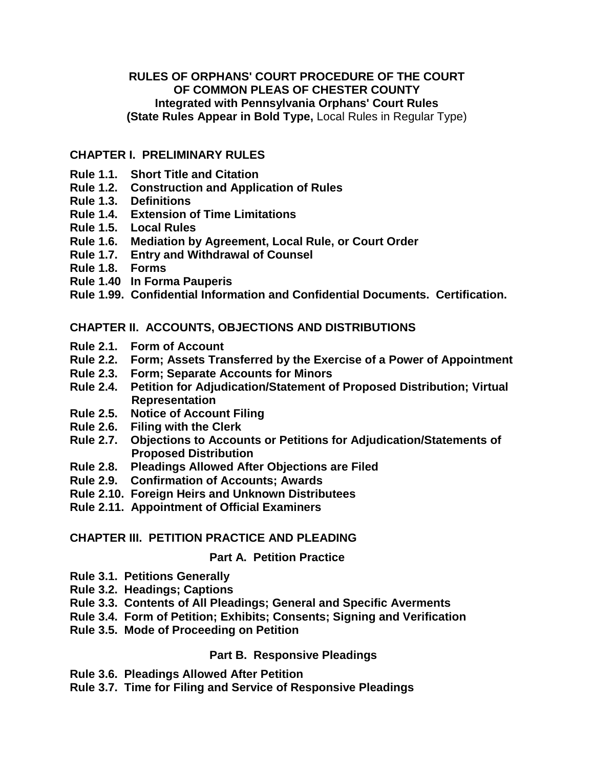### **RULES OF ORPHANS' COURT PROCEDURE OF THE COURT OF COMMON PLEAS OF CHESTER COUNTY Integrated with Pennsylvania Orphans' Court Rules (State Rules Appear in Bold Type,** Local Rules in Regular Type)

## **CHAPTER I. PRELIMINARY RULES**

- **Rule 1.1. Short Title and Citation**
- **Rule 1.2. Construction and Application of Rules**
- **Rule 1.3. Definitions**
- **Rule 1.4. Extension of Time Limitations**
- **Rule 1.5. Local Rules**
- **Rule 1.6. Mediation by Agreement, Local Rule, or Court Order**
- **Rule 1.7. Entry and Withdrawal of Counsel**
- **Rule 1.8. Forms**
- **Rule 1.40 In Forma Pauperis**
- **Rule 1.99. Confidential Information and Confidential Documents. Certification.**

**CHAPTER II. ACCOUNTS, OBJECTIONS AND DISTRIBUTIONS**

- **Rule 2.1. Form of Account**
- **Rule 2.2. Form; Assets Transferred by the Exercise of a Power of Appointment**
- **Rule 2.3. Form; Separate Accounts for Minors**
- **Rule 2.4. Petition for Adjudication/Statement of Proposed Distribution; Virtual Representation**
- **Rule 2.5. Notice of Account Filing**
- **Rule 2.6. Filing with the Clerk**
- **Rule 2.7. Objections to Accounts or Petitions for Adjudication/Statements of Proposed Distribution**
- **Rule 2.8. Pleadings Allowed After Objections are Filed**
- **Rule 2.9. Confirmation of Accounts; Awards**
- **Rule 2.10. Foreign Heirs and Unknown Distributees**
- **Rule 2.11. Appointment of Official Examiners**

## **CHAPTER III. PETITION PRACTICE AND PLEADING**

#### **Part A. Petition Practice**

- **Rule 3.1. Petitions Generally**
- **Rule 3.2. Headings; Captions**
- **Rule 3.3. Contents of All Pleadings; General and Specific Averments**
- **Rule 3.4. Form of Petition; Exhibits; Consents; Signing and Verification**
- **Rule 3.5. Mode of Proceeding on Petition**

#### **Part B. Responsive Pleadings**

- **Rule 3.6. Pleadings Allowed After Petition**
- **Rule 3.7. Time for Filing and Service of Responsive Pleadings**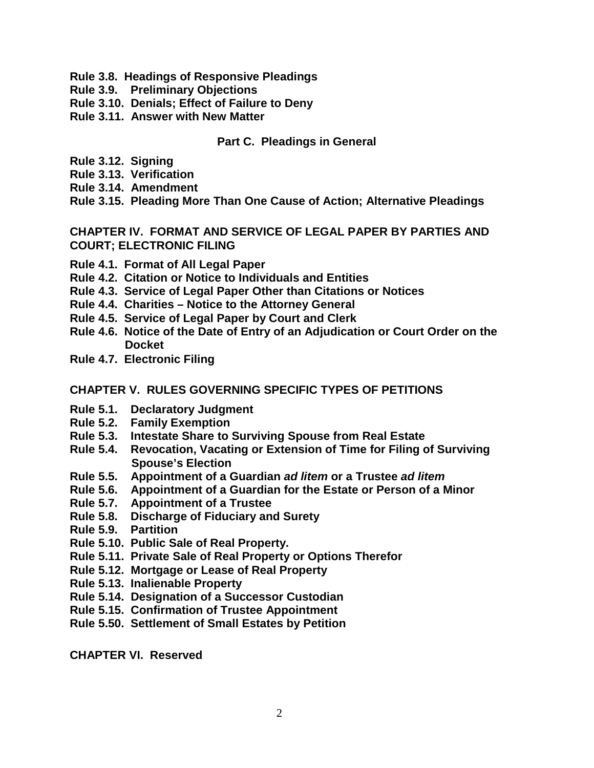- **Rule 3.8. Headings of Responsive Pleadings**
- **Rule 3.9. Preliminary Objections**
- **Rule 3.10. Denials; Effect of Failure to Deny**
- **Rule 3.11. Answer with New Matter**

### **Part C. Pleadings in General**

- **Rule 3.12. Signing**
- **Rule 3.13. Verification**
- **Rule 3.14. Amendment**
- **Rule 3.15. Pleading More Than One Cause of Action; Alternative Pleadings**

**CHAPTER IV. FORMAT AND SERVICE OF LEGAL PAPER BY PARTIES AND COURT; ELECTRONIC FILING**

- **Rule 4.1. Format of All Legal Paper**
- **Rule 4.2. Citation or Notice to Individuals and Entities**
- **Rule 4.3. Service of Legal Paper Other than Citations or Notices**
- **Rule 4.4. Charities – Notice to the Attorney General**
- **Rule 4.5. Service of Legal Paper by Court and Clerk**
- **Rule 4.6. Notice of the Date of Entry of an Adjudication or Court Order on the Docket**
- **Rule 4.7. Electronic Filing**

## **CHAPTER V. RULES GOVERNING SPECIFIC TYPES OF PETITIONS**

- **Rule 5.1. Declaratory Judgment**
- **Rule 5.2. Family Exemption**
- **Rule 5.3. Intestate Share to Surviving Spouse from Real Estate**
- **Rule 5.4. Revocation, Vacating or Extension of Time for Filing of Surviving Spouse's Election**
- **Rule 5.5. Appointment of a Guardian** *ad litem* **or a Trustee** *ad litem*
- **Rule 5.6. Appointment of a Guardian for the Estate or Person of a Minor**
- **Rule 5.7. Appointment of a Trustee**
- **Rule 5.8. Discharge of Fiduciary and Surety**
- **Rule 5.9. Partition**
- **Rule 5.10. Public Sale of Real Property.**
- **Rule 5.11. Private Sale of Real Property or Options Therefor**
- **Rule 5.12. Mortgage or Lease of Real Property**
- **Rule 5.13. Inalienable Property**
- **Rule 5.14. Designation of a Successor Custodian**
- **Rule 5.15. Confirmation of Trustee Appointment**
- **Rule 5.50. Settlement of Small Estates by Petition**

**CHAPTER VI. Reserved**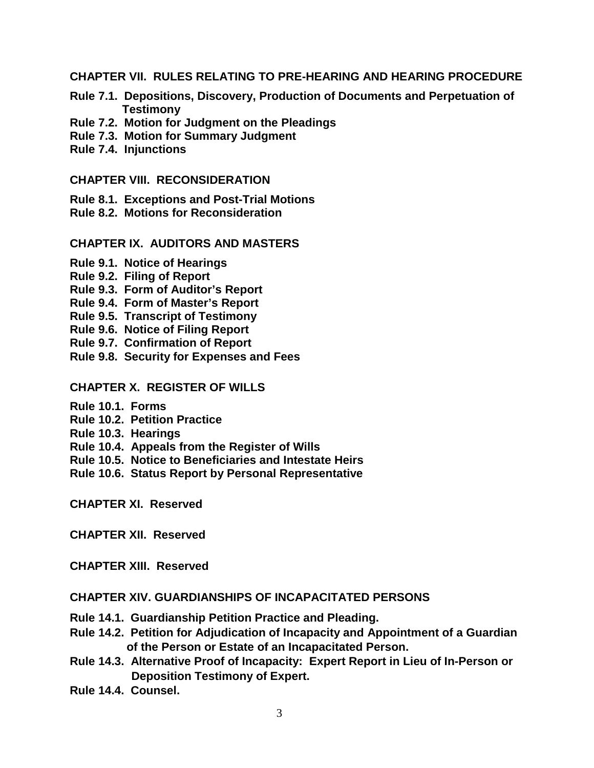### **CHAPTER VII. RULES RELATING TO PRE-HEARING AND HEARING PROCEDURE**

**Rule 7.1. Depositions, Discovery, Production of Documents and Perpetuation of Testimony**

- **Rule 7.2. Motion for Judgment on the Pleadings**
- **Rule 7.3. Motion for Summary Judgment**
- **Rule 7.4. Injunctions**

### **CHAPTER VIII. RECONSIDERATION**

- **Rule 8.1. Exceptions and Post-Trial Motions**
- **Rule 8.2. Motions for Reconsideration**

### **CHAPTER IX. AUDITORS AND MASTERS**

- **Rule 9.1. Notice of Hearings**
- **Rule 9.2. Filing of Report**
- **Rule 9.3. Form of Auditor's Report**
- **Rule 9.4. Form of Master's Report**
- **Rule 9.5. Transcript of Testimony**
- **Rule 9.6. Notice of Filing Report**
- **Rule 9.7. Confirmation of Report**
- **Rule 9.8. Security for Expenses and Fees**

#### **CHAPTER X. REGISTER OF WILLS**

- **Rule 10.1. Forms**
- **Rule 10.2. Petition Practice**
- **Rule 10.3. Hearings**
- **Rule 10.4. Appeals from the Register of Wills**
- **Rule 10.5. Notice to Beneficiaries and Intestate Heirs**
- **Rule 10.6. Status Report by Personal Representative**

**CHAPTER XI. Reserved**

**CHAPTER XII. Reserved**

**CHAPTER XIII. Reserved**

#### **CHAPTER XIV. GUARDIANSHIPS OF INCAPACITATED PERSONS**

- **Rule 14.1. Guardianship Petition Practice and Pleading.**
- **Rule 14.2. Petition for Adjudication of Incapacity and Appointment of a Guardian of the Person or Estate of an Incapacitated Person.**
- **Rule 14.3. Alternative Proof of Incapacity: Expert Report in Lieu of In-Person or Deposition Testimony of Expert.**
- **Rule 14.4. Counsel.**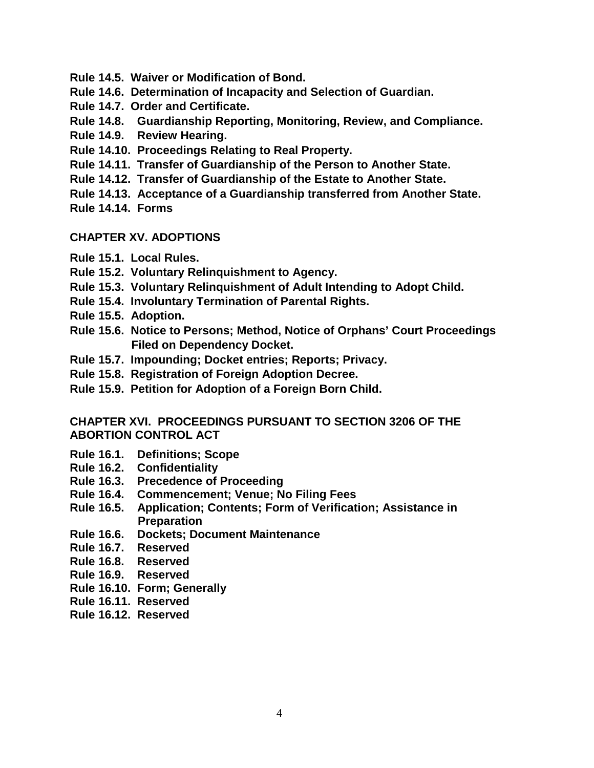- **Rule 14.5. Waiver or Modification of Bond.**
- **Rule 14.6. Determination of Incapacity and Selection of Guardian.**
- **Rule 14.7. Order and Certificate.**
- **Rule 14.8. Guardianship Reporting, Monitoring, Review, and Compliance.**
- **Rule 14.9. Review Hearing.**
- **Rule 14.10. Proceedings Relating to Real Property.**
- **Rule 14.11. Transfer of Guardianship of the Person to Another State.**
- **Rule 14.12. Transfer of Guardianship of the Estate to Another State.**
- **Rule 14.13. Acceptance of a Guardianship transferred from Another State.**
- **Rule 14.14. Forms**

### **CHAPTER XV. ADOPTIONS**

- **Rule 15.1. Local Rules.**
- **Rule 15.2. Voluntary Relinquishment to Agency.**
- **Rule 15.3. Voluntary Relinquishment of Adult Intending to Adopt Child.**
- **Rule 15.4. Involuntary Termination of Parental Rights.**
- **Rule 15.5. Adoption.**
- **Rule 15.6. Notice to Persons; Method, Notice of Orphans' Court Proceedings Filed on Dependency Docket.**
- **Rule 15.7. Impounding; Docket entries; Reports; Privacy.**
- **Rule 15.8. Registration of Foreign Adoption Decree.**
- **Rule 15.9. Petition for Adoption of a Foreign Born Child.**

## **CHAPTER XVI. PROCEEDINGS PURSUANT TO SECTION 3206 OF THE ABORTION CONTROL ACT**

- **Rule 16.1. Definitions; Scope**
- **Rule 16.2. Confidentiality**
- **Rule 16.3. Precedence of Proceeding**
- **Rule 16.4. Commencement; Venue; No Filing Fees**
- **Rule 16.5. Application; Contents; Form of Verification; Assistance in Preparation**
- **Rule 16.6. Dockets; Document Maintenance**
- **Rule 16.7. Reserved**
- **Rule 16.8. Reserved**
- **Rule 16.9. Reserved**
- **Rule 16.10. Form; Generally**
- **Rule 16.11. Reserved**
- **Rule 16.12. Reserved**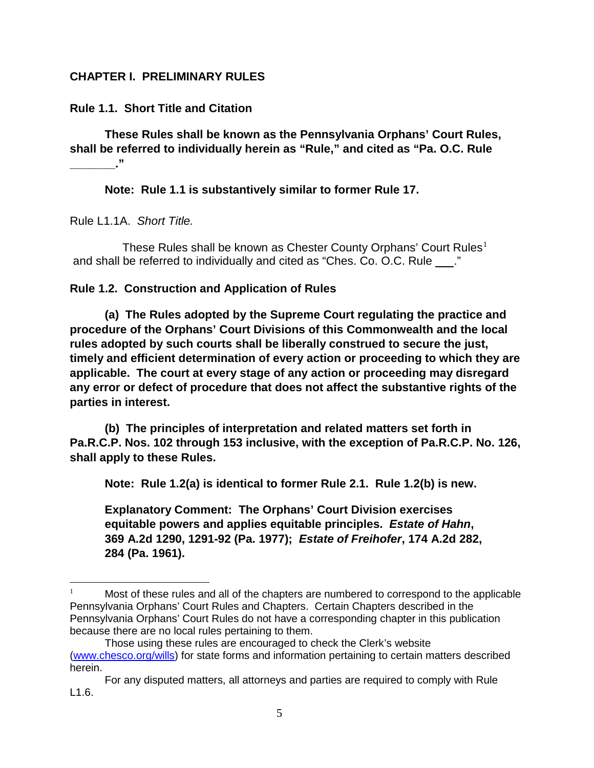## **CHAPTER I. PRELIMINARY RULES**

**Rule 1.1. Short Title and Citation** 

**These Rules shall be known as the Pennsylvania Orphans' Court Rules, shall be referred to individually herein as "Rule," and cited as "Pa. O.C. Rule \_\_\_\_\_\_\_."**

**Note: Rule 1.1 is substantively similar to former Rule 17.** 

Rule L1.1A. *Short Title.*

**These Rules shall be known as Chester County Orphans' Court Rules<sup>[1](#page-4-0)</sup>** and shall be referred to individually and cited as "Ches. Co. O.C. Rule ..."

**Rule 1.2. Construction and Application of Rules**

**(a) The Rules adopted by the Supreme Court regulating the practice and procedure of the Orphans' Court Divisions of this Commonwealth and the local rules adopted by such courts shall be liberally construed to secure the just, timely and efficient determination of every action or proceeding to which they are applicable. The court at every stage of any action or proceeding may disregard any error or defect of procedure that does not affect the substantive rights of the parties in interest.**

 **(b) The principles of interpretation and related matters set forth in Pa.R.C.P. Nos. 102 through 153 inclusive, with the exception of Pa.R.C.P. No. 126, shall apply to these Rules.** 

**Note: Rule 1.2(a) is identical to former Rule 2.1. Rule 1.2(b) is new.** 

**Explanatory Comment: The Orphans' Court Division exercises equitable powers and applies equitable principles.** *Estate of Hahn***, 369 A.2d 1290, 1291-92 (Pa. 1977);** *Estate of Freihofer***, 174 A.2d 282, 284 (Pa. 1961).**

<span id="page-4-0"></span>Most of these rules and all of the chapters are numbered to correspond to the applicable Pennsylvania Orphans' Court Rules and Chapters. Certain Chapters described in the Pennsylvania Orphans' Court Rules do not have a corresponding chapter in this publication because there are no local rules pertaining to them.

Those using these rules are encouraged to check the Clerk's website [\(www.chesco.org/wills\)](http://www.chesco.org/wills) for state forms and information pertaining to certain matters described herein.

For any disputed matters, all attorneys and parties are required to comply with Rule L1.6.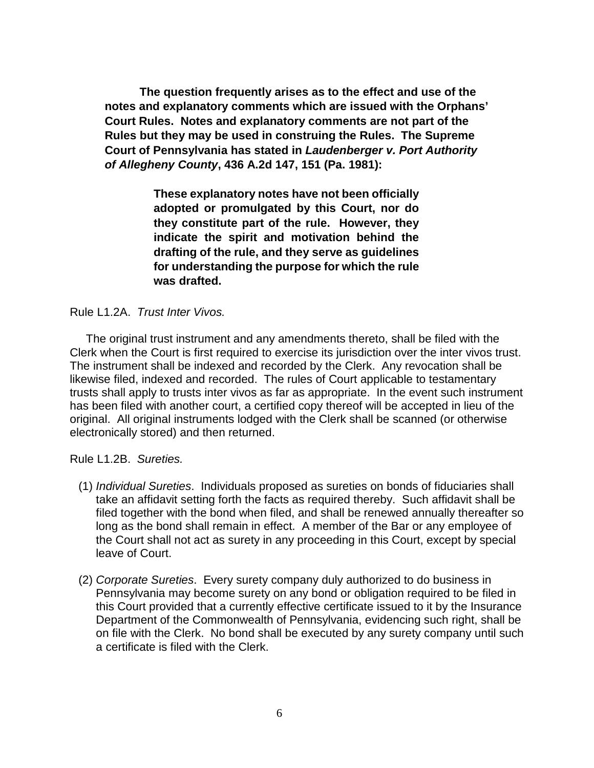**The question frequently arises as to the effect and use of the notes and explanatory comments which are issued with the Orphans' Court Rules. Notes and explanatory comments are not part of the Rules but they may be used in construing the Rules. The Supreme Court of Pennsylvania has stated in** *Laudenberger v. Port Authority of Allegheny County***, 436 A.2d 147, 151 (Pa. 1981):**

> **These explanatory notes have not been officially adopted or promulgated by this Court, nor do they constitute part of the rule. However, they indicate the spirit and motivation behind the drafting of the rule, and they serve as guidelines for understanding the purpose for which the rule was drafted.**

#### Rule L1.2A. *Trust Inter Vivos.*

The original trust instrument and any amendments thereto, shall be filed with the Clerk when the Court is first required to exercise its jurisdiction over the inter vivos trust. The instrument shall be indexed and recorded by the Clerk. Any revocation shall be likewise filed, indexed and recorded. The rules of Court applicable to testamentary trusts shall apply to trusts inter vivos as far as appropriate. In the event such instrument has been filed with another court, a certified copy thereof will be accepted in lieu of the original. All original instruments lodged with the Clerk shall be scanned (or otherwise electronically stored) and then returned.

Rule L1.2B. *Sureties.*

- (1) *Individual Sureties*. Individuals proposed as sureties on bonds of fiduciaries shall take an affidavit setting forth the facts as required thereby. Such affidavit shall be filed together with the bond when filed, and shall be renewed annually thereafter so long as the bond shall remain in effect. A member of the Bar or any employee of the Court shall not act as surety in any proceeding in this Court, except by special leave of Court.
- (2) *Corporate Sureties*. Every surety company duly authorized to do business in Pennsylvania may become surety on any bond or obligation required to be filed in this Court provided that a currently effective certificate issued to it by the Insurance Department of the Commonwealth of Pennsylvania, evidencing such right, shall be on file with the Clerk. No bond shall be executed by any surety company until such a certificate is filed with the Clerk.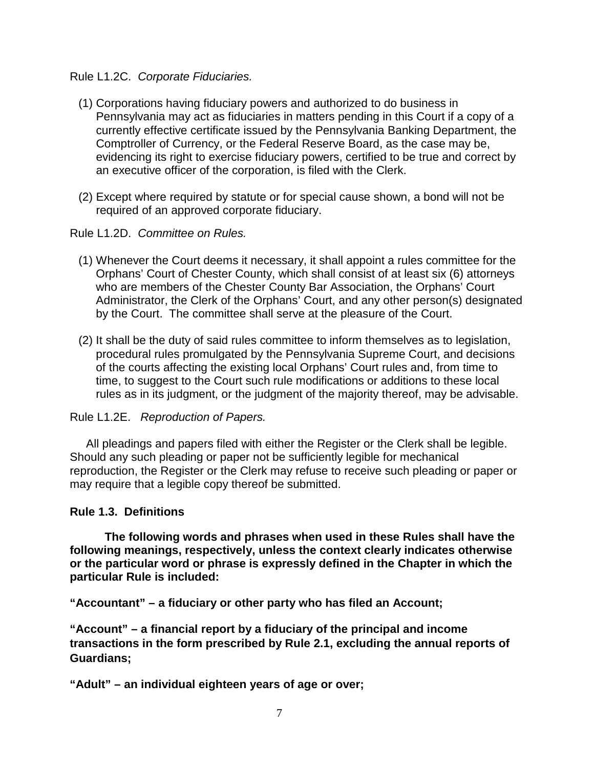### Rule L1.2C. *Corporate Fiduciaries.*

- (1) Corporations having fiduciary powers and authorized to do business in Pennsylvania may act as fiduciaries in matters pending in this Court if a copy of a currently effective certificate issued by the Pennsylvania Banking Department, the Comptroller of Currency, or the Federal Reserve Board, as the case may be, evidencing its right to exercise fiduciary powers, certified to be true and correct by an executive officer of the corporation, is filed with the Clerk.
- (2) Except where required by statute or for special cause shown, a bond will not be required of an approved corporate fiduciary.

### Rule L1.2D. *Committee on Rules.*

- (1) Whenever the Court deems it necessary, it shall appoint a rules committee for the Orphans' Court of Chester County, which shall consist of at least six (6) attorneys who are members of the Chester County Bar Association, the Orphans' Court Administrator, the Clerk of the Orphans' Court, and any other person(s) designated by the Court. The committee shall serve at the pleasure of the Court.
- (2) It shall be the duty of said rules committee to inform themselves as to legislation, procedural rules promulgated by the Pennsylvania Supreme Court, and decisions of the courts affecting the existing local Orphans' Court rules and, from time to time, to suggest to the Court such rule modifications or additions to these local rules as in its judgment, or the judgment of the majority thereof, may be advisable.

#### Rule L1.2E. *Reproduction of Papers.*

 All pleadings and papers filed with either the Register or the Clerk shall be legible. Should any such pleading or paper not be sufficiently legible for mechanical reproduction, the Register or the Clerk may refuse to receive such pleading or paper or may require that a legible copy thereof be submitted.

#### **Rule 1.3. Definitions**

**The following words and phrases when used in these Rules shall have the following meanings, respectively, unless the context clearly indicates otherwise or the particular word or phrase is expressly defined in the Chapter in which the particular Rule is included:**

**"Accountant" – a fiduciary or other party who has filed an Account;**

**"Account" – a financial report by a fiduciary of the principal and income transactions in the form prescribed by Rule 2.1, excluding the annual reports of Guardians;**

**"Adult" – an individual eighteen years of age or over;**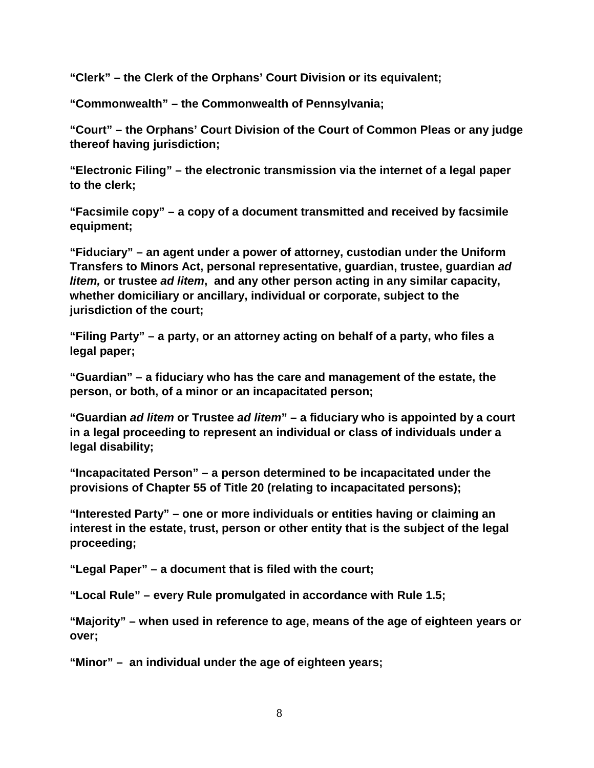**"Clerk" – the Clerk of the Orphans' Court Division or its equivalent;**

**"Commonwealth" – the Commonwealth of Pennsylvania;**

**"Court" – the Orphans' Court Division of the Court of Common Pleas or any judge thereof having jurisdiction;**

**"Electronic Filing" – the electronic transmission via the internet of a legal paper to the clerk;**

**"Facsimile copy" – a copy of a document transmitted and received by facsimile equipment;**

**"Fiduciary" – an agent under a power of attorney, custodian under the Uniform Transfers to Minors Act, personal representative, guardian, trustee, guardian** *ad litem,* **or trustee** *ad litem***, and any other person acting in any similar capacity, whether domiciliary or ancillary, individual or corporate, subject to the jurisdiction of the court;** 

**"Filing Party" – a party, or an attorney acting on behalf of a party, who files a legal paper;**

**"Guardian" – a fiduciary who has the care and management of the estate, the person, or both, of a minor or an incapacitated person;**

**"Guardian** *ad litem* **or Trustee** *ad litem***" – a fiduciary who is appointed by a court in a legal proceeding to represent an individual or class of individuals under a legal disability;**

**"Incapacitated Person" – a person determined to be incapacitated under the provisions of Chapter 55 of Title 20 (relating to incapacitated persons);**

**"Interested Party" – one or more individuals or entities having or claiming an interest in the estate, trust, person or other entity that is the subject of the legal proceeding;**

**"Legal Paper" – a document that is filed with the court;**

**"Local Rule" – every Rule promulgated in accordance with Rule 1.5;** 

**"Majority" – when used in reference to age, means of the age of eighteen years or over;**

**"Minor" – an individual under the age of eighteen years;**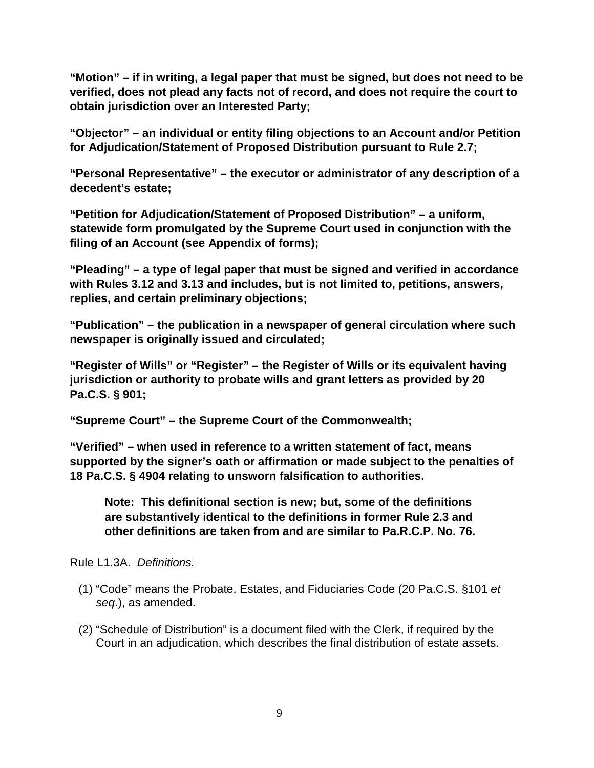**"Motion" – if in writing, a legal paper that must be signed, but does not need to be verified, does not plead any facts not of record, and does not require the court to obtain jurisdiction over an Interested Party;**

**"Objector" – an individual or entity filing objections to an Account and/or Petition for Adjudication/Statement of Proposed Distribution pursuant to Rule 2.7;** 

**"Personal Representative" – the executor or administrator of any description of a decedent's estate;**

**"Petition for Adjudication/Statement of Proposed Distribution" – a uniform, statewide form promulgated by the Supreme Court used in conjunction with the filing of an Account (see Appendix of forms);** 

**"Pleading" – a type of legal paper that must be signed and verified in accordance with Rules 3.12 and 3.13 and includes, but is not limited to, petitions, answers, replies, and certain preliminary objections;**

**"Publication" – the publication in a newspaper of general circulation where such newspaper is originally issued and circulated;**

**"Register of Wills" or "Register" – the Register of Wills or its equivalent having jurisdiction or authority to probate wills and grant letters as provided by 20 Pa.C.S. § 901;**

**"Supreme Court" – the Supreme Court of the Commonwealth;**

**"Verified" – when used in reference to a written statement of fact, means supported by the signer's oath or affirmation or made subject to the penalties of 18 Pa.C.S. § 4904 relating to unsworn falsification to authorities.** 

**Note: This definitional section is new; but, some of the definitions are substantively identical to the definitions in former Rule 2.3 and other definitions are taken from and are similar to Pa.R.C.P. No. 76.** 

Rule L1.3A. *Definitions.*

- (1) "Code" means the Probate, Estates, and Fiduciaries Code (20 Pa.C.S. §101 *et seq*.), as amended.
- (2) "Schedule of Distribution" is a document filed with the Clerk, if required by the Court in an adjudication, which describes the final distribution of estate assets.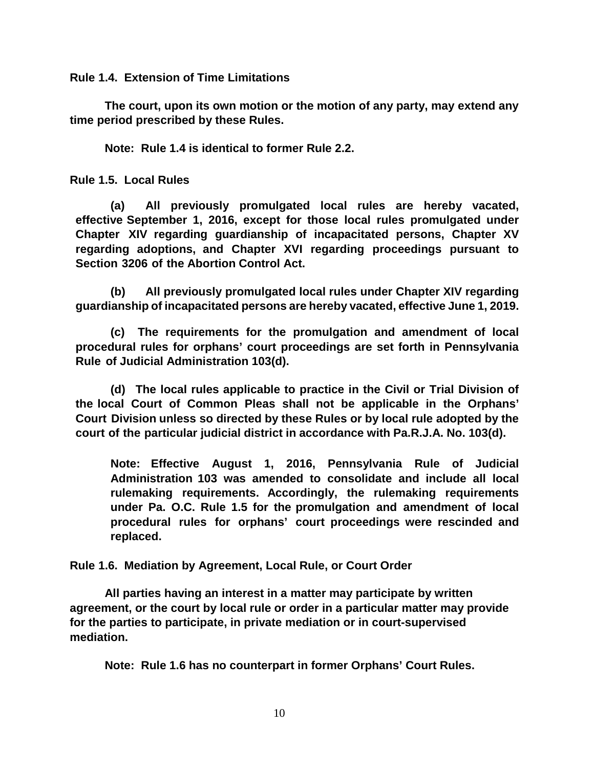**Rule 1.4. Extension of Time Limitations** 

**The court, upon its own motion or the motion of any party, may extend any time period prescribed by these Rules.** 

**Note: Rule 1.4 is identical to former Rule 2.2.**

**Rule 1.5. Local Rules** 

**(a) All previously promulgated local rules are hereby vacated, effective September 1, 2016, except for those local rules promulgated under Chapter XIV regarding guardianship of incapacitated persons, Chapter XV regarding adoptions, and Chapter XVI regarding proceedings pursuant to Section 3206 of the Abortion Control Act.**

**(b) All previously promulgated local rules under Chapter XIV regarding guardianship of incapacitated persons are hereby vacated, effective June 1, 2019.**

**(c) The requirements for the promulgation and amendment of local procedural rules for orphans' court proceedings are set forth in Pennsylvania Rule of Judicial Administration 103(d).**

**(d) The local rules applicable to practice in the Civil or Trial Division of the local Court of Common Pleas shall not be applicable in the Orphans' Court Division unless so directed by these Rules or by local rule adopted by the court of the particular judicial district in accordance with Pa.R.J.A. No. 103(d).**

**Note: Effective August 1, 2016, Pennsylvania Rule of Judicial Administration 103 was amended to consolidate and include all local rulemaking requirements. Accordingly, the rulemaking requirements under Pa. O.C. Rule 1.5 for the promulgation and amendment of local procedural rules for orphans' court proceedings were rescinded and replaced.**

**Rule 1.6. Mediation by Agreement, Local Rule, or Court Order** 

**All parties having an interest in a matter may participate by written agreement, or the court by local rule or order in a particular matter may provide for the parties to participate, in private mediation or in court-supervised mediation.**

**Note: Rule 1.6 has no counterpart in former Orphans' Court Rules.**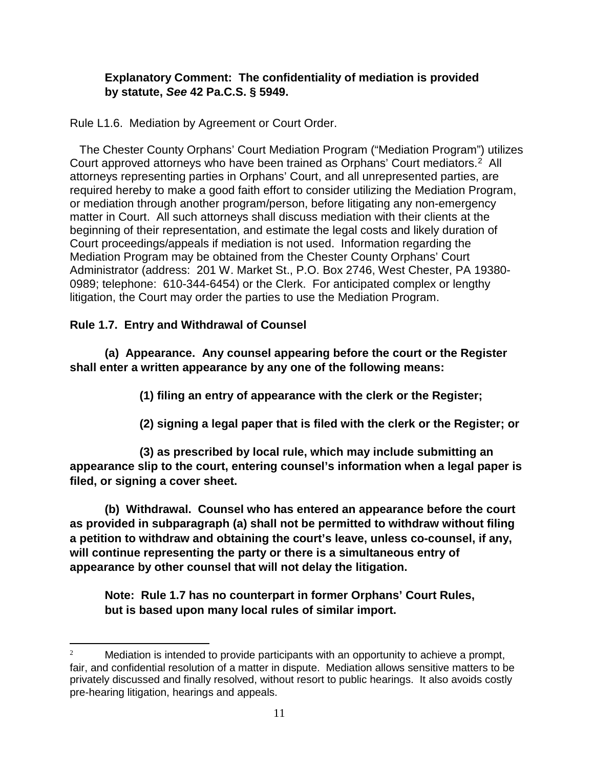# **Explanatory Comment: The confidentiality of mediation is provided by statute,** *See* **42 Pa.C.S. § 5949.**

Rule L1.6. Mediation by Agreement or Court Order.

 The Chester County Orphans' Court Mediation Program ("Mediation Program") utilizes Court approved attorneys who have been trained as Orphans' Court mediators.[2](#page-10-0) All attorneys representing parties in Orphans' Court, and all unrepresented parties, are required hereby to make a good faith effort to consider utilizing the Mediation Program, or mediation through another program/person, before litigating any non-emergency matter in Court. All such attorneys shall discuss mediation with their clients at the beginning of their representation, and estimate the legal costs and likely duration of Court proceedings/appeals if mediation is not used. Information regarding the Mediation Program may be obtained from the Chester County Orphans' Court Administrator (address: 201 W. Market St., P.O. Box 2746, West Chester, PA 19380- 0989; telephone: 610-344-6454) or the Clerk. For anticipated complex or lengthy litigation, the Court may order the parties to use the Mediation Program.

# **Rule 1.7. Entry and Withdrawal of Counsel**

**(a) Appearance. Any counsel appearing before the court or the Register shall enter a written appearance by any one of the following means:**

**(1) filing an entry of appearance with the clerk or the Register;**

**(2) signing a legal paper that is filed with the clerk or the Register; or**

**(3) as prescribed by local rule, which may include submitting an appearance slip to the court, entering counsel's information when a legal paper is filed, or signing a cover sheet.**

**(b) Withdrawal. Counsel who has entered an appearance before the court as provided in subparagraph (a) shall not be permitted to withdraw without filing a petition to withdraw and obtaining the court's leave, unless co-counsel, if any, will continue representing the party or there is a simultaneous entry of appearance by other counsel that will not delay the litigation.** 

**Note: Rule 1.7 has no counterpart in former Orphans' Court Rules, but is based upon many local rules of similar import.** 

<span id="page-10-0"></span>Mediation is intended to provide participants with an opportunity to achieve a prompt, fair, and confidential resolution of a matter in dispute. Mediation allows sensitive matters to be privately discussed and finally resolved, without resort to public hearings. It also avoids costly pre-hearing litigation, hearings and appeals.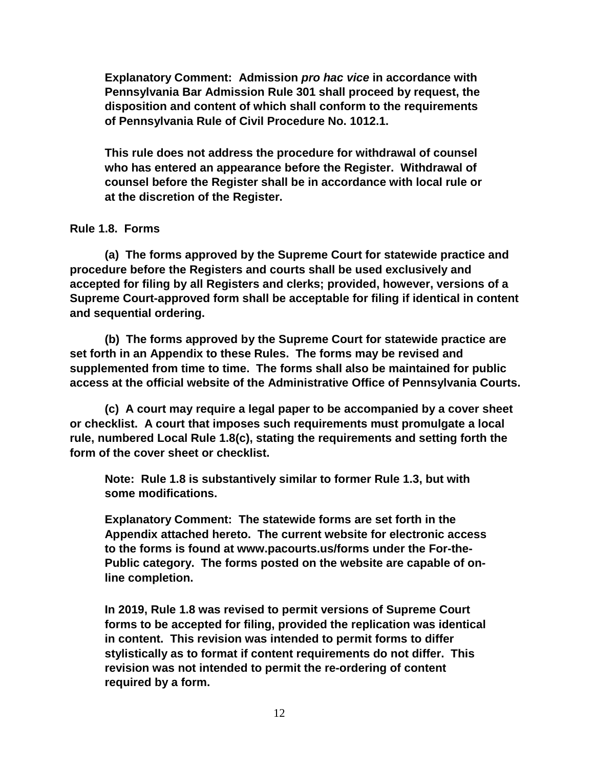**Explanatory Comment: Admission** *pro hac vice* **in accordance with Pennsylvania Bar Admission Rule 301 shall proceed by request, the disposition and content of which shall conform to the requirements of Pennsylvania Rule of Civil Procedure No. 1012.1.**

**This rule does not address the procedure for withdrawal of counsel who has entered an appearance before the Register. Withdrawal of counsel before the Register shall be in accordance with local rule or at the discretion of the Register.**

### **Rule 1.8. Forms**

**(a) The forms approved by the Supreme Court for statewide practice and procedure before the Registers and courts shall be used exclusively and accepted for filing by all Registers and clerks; provided, however, versions of a Supreme Court-approved form shall be acceptable for filing if identical in content and sequential ordering.** 

**(b) The forms approved by the Supreme Court for statewide practice are set forth in an Appendix to these Rules. The forms may be revised and supplemented from time to time. The forms shall also be maintained for public access at the official website of the Administrative Office of Pennsylvania Courts.** 

**(c) A court may require a legal paper to be accompanied by a cover sheet or checklist. A court that imposes such requirements must promulgate a local rule, numbered Local Rule 1.8(c), stating the requirements and setting forth the form of the cover sheet or checklist.** 

**Note: Rule 1.8 is substantively similar to former Rule 1.3, but with some modifications.** 

**Explanatory Comment: The statewide forms are set forth in the Appendix attached hereto. The current website for electronic access to the forms is found at www.pacourts.us/forms under the For-the-Public category. The forms posted on the website are capable of online completion.** 

**In 2019, Rule 1.8 was revised to permit versions of Supreme Court forms to be accepted for filing, provided the replication was identical in content. This revision was intended to permit forms to differ stylistically as to format if content requirements do not differ. This revision was not intended to permit the re-ordering of content required by a form.**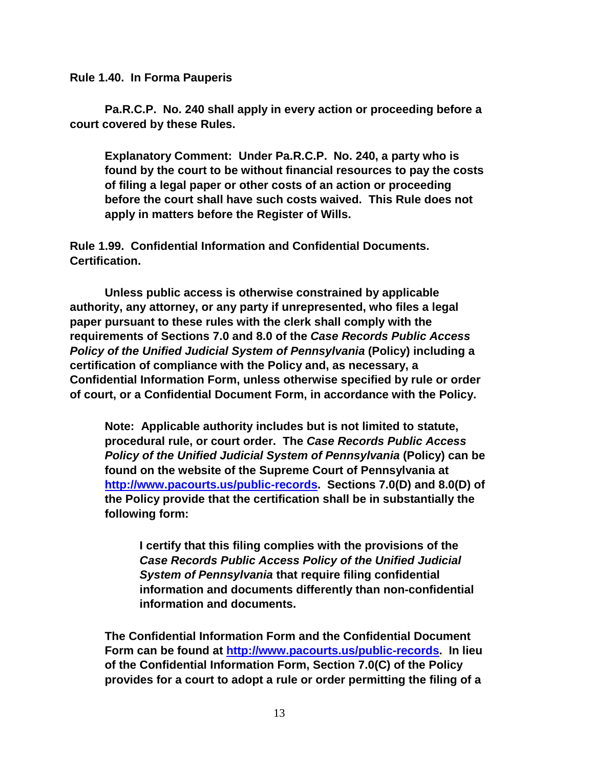**Rule 1.40. In Forma Pauperis**

**Pa.R.C.P. No. 240 shall apply in every action or proceeding before a court covered by these Rules.**

**Explanatory Comment: Under Pa.R.C.P. No. 240, a party who is found by the court to be without financial resources to pay the costs of filing a legal paper or other costs of an action or proceeding before the court shall have such costs waived. This Rule does not apply in matters before the Register of Wills.**

**Rule 1.99. Confidential Information and Confidential Documents. Certification.**

**Unless public access is otherwise constrained by applicable authority, any attorney, or any party if unrepresented, who files a legal paper pursuant to these rules with the clerk shall comply with the requirements of Sections 7.0 and 8.0 of the** *Case Records Public Access Policy of the Unified Judicial System of Pennsylvania* **(Policy) including a certification of compliance with the Policy and, as necessary, a Confidential Information Form, unless otherwise specified by rule or order of court, or a Confidential Document Form, in accordance with the Policy.**

**Note: Applicable authority includes but is not limited to statute, procedural rule, or court order. The** *Case Records Public Access Policy of the Unified Judicial System of Pennsylvania* **(Policy) can be found on the website of the Supreme Court of Pennsylvania at [http://www.pacourts.us/public-records.](http://www.pacourts.us/public-records) Sections 7.0(D) and 8.0(D) of the Policy provide that the certification shall be in substantially the following form:**

**I certify that this filing complies with the provisions of the**  *Case Records Public Access Policy of the Unified Judicial System of Pennsylvania* **that require filing confidential information and documents differently than non-confidential information and documents.**

**The Confidential Information Form and the Confidential Document Form can be found at [http://www.pacourts.us/public-records.](http://www.pacourts.us/public-records) In lieu of the Confidential Information Form, Section 7.0(C) of the Policy provides for a court to adopt a rule or order permitting the filing of a**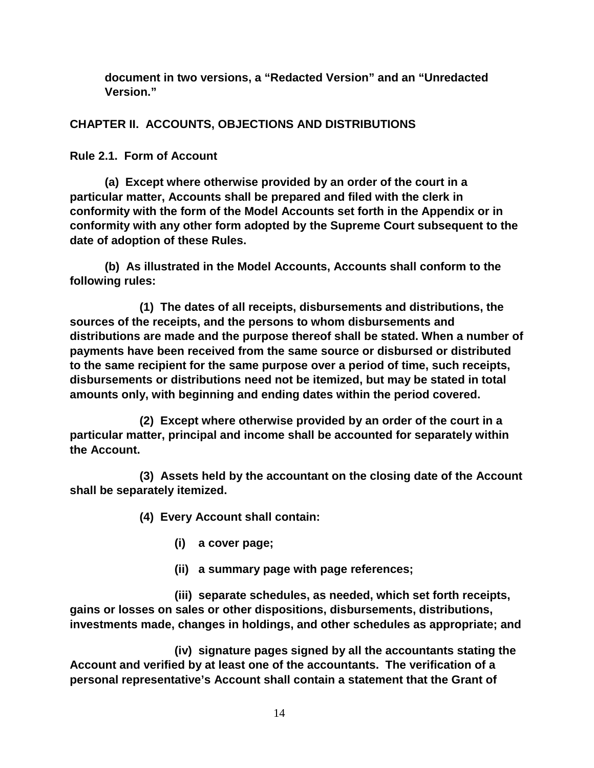**document in two versions, a "Redacted Version" and an "Unredacted Version."**

# **CHAPTER II. ACCOUNTS, OBJECTIONS AND DISTRIBUTIONS**

**Rule 2.1. Form of Account** 

**(a) Except where otherwise provided by an order of the court in a particular matter, Accounts shall be prepared and filed with the clerk in conformity with the form of the Model Accounts set forth in the Appendix or in conformity with any other form adopted by the Supreme Court subsequent to the date of adoption of these Rules.**

**(b) As illustrated in the Model Accounts, Accounts shall conform to the following rules:** 

**(1) The dates of all receipts, disbursements and distributions, the sources of the receipts, and the persons to whom disbursements and distributions are made and the purpose thereof shall be stated. When a number of payments have been received from the same source or disbursed or distributed to the same recipient for the same purpose over a period of time, such receipts, disbursements or distributions need not be itemized, but may be stated in total amounts only, with beginning and ending dates within the period covered.** 

**(2) Except where otherwise provided by an order of the court in a particular matter, principal and income shall be accounted for separately within the Account.** 

**(3) Assets held by the accountant on the closing date of the Account shall be separately itemized.** 

**(4) Every Account shall contain:**

- **(i) a cover page;**
- **(ii) a summary page with page references;**

**(iii) separate schedules, as needed, which set forth receipts, gains or losses on sales or other dispositions, disbursements, distributions, investments made, changes in holdings, and other schedules as appropriate; and** 

**(iv) signature pages signed by all the accountants stating the Account and verified by at least one of the accountants. The verification of a personal representative's Account shall contain a statement that the Grant of**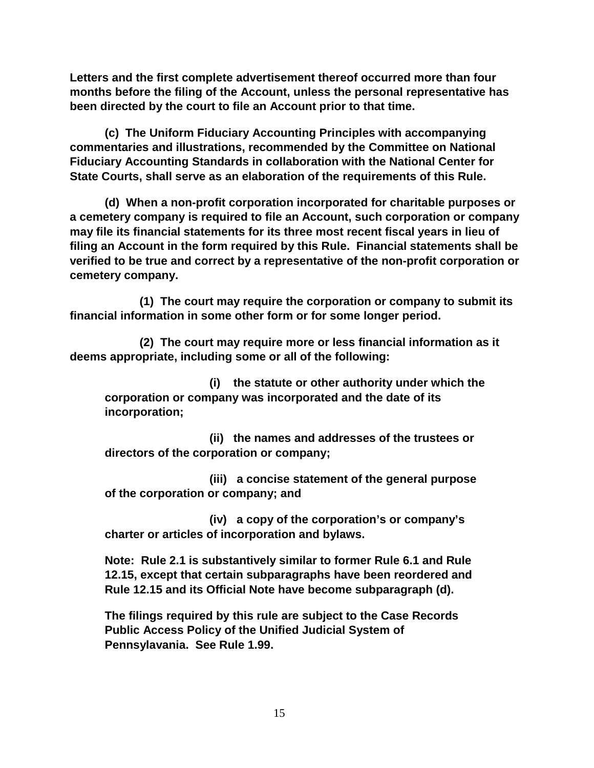**Letters and the first complete advertisement thereof occurred more than four months before the filing of the Account, unless the personal representative has been directed by the court to file an Account prior to that time.** 

**(c) The Uniform Fiduciary Accounting Principles with accompanying commentaries and illustrations, recommended by the Committee on National Fiduciary Accounting Standards in collaboration with the National Center for State Courts, shall serve as an elaboration of the requirements of this Rule.** 

**(d) When a non-profit corporation incorporated for charitable purposes or a cemetery company is required to file an Account, such corporation or company may file its financial statements for its three most recent fiscal years in lieu of filing an Account in the form required by this Rule. Financial statements shall be verified to be true and correct by a representative of the non-profit corporation or cemetery company.** 

**(1) The court may require the corporation or company to submit its financial information in some other form or for some longer period.**

**(2) The court may require more or less financial information as it deems appropriate, including some or all of the following:** 

**(i) the statute or other authority under which the corporation or company was incorporated and the date of its incorporation;** 

**(ii) the names and addresses of the trustees or directors of the corporation or company;** 

**(iii) a concise statement of the general purpose of the corporation or company; and** 

**(iv) a copy of the corporation's or company's charter or articles of incorporation and bylaws.**

**Note: Rule 2.1 is substantively similar to former Rule 6.1 and Rule 12.15, except that certain subparagraphs have been reordered and Rule 12.15 and its Official Note have become subparagraph (d).**

**The filings required by this rule are subject to the Case Records Public Access Policy of the Unified Judicial System of Pennsylavania. See Rule 1.99.**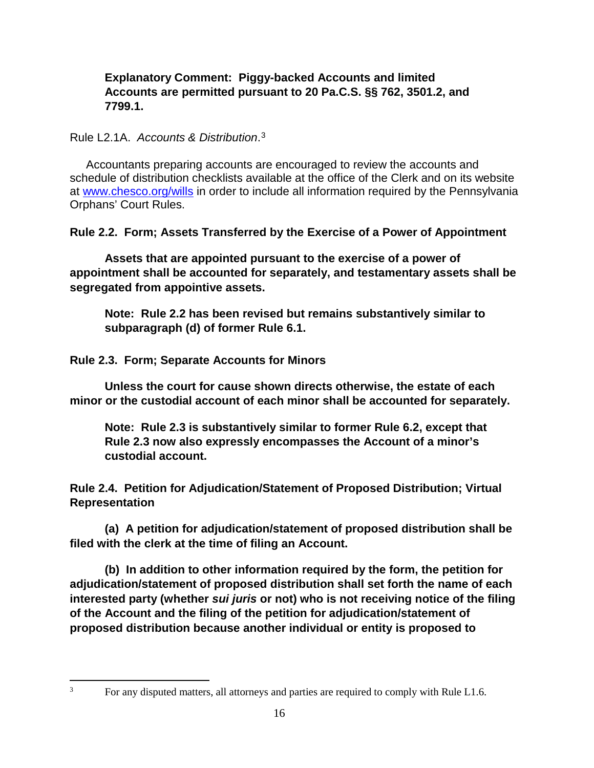# **Explanatory Comment: Piggy-backed Accounts and limited Accounts are permitted pursuant to 20 Pa.C.S. §§ 762, 3501.2, and 7799.1.**

Rule L2.1A. *Accounts & Distribution*. [3](#page-15-0)

 Accountants preparing accounts are encouraged to review the accounts and schedule of distribution checklists available at the office of the Clerk and on its website at [www.chesco.org/wills](http://www.chesco.org/wills) in order to include all information required by the Pennsylvania Orphans' Court Rules.

**Rule 2.2. Form; Assets Transferred by the Exercise of a Power of Appointment**

**Assets that are appointed pursuant to the exercise of a power of appointment shall be accounted for separately, and testamentary assets shall be segregated from appointive assets.**

**Note: Rule 2.2 has been revised but remains substantively similar to subparagraph (d) of former Rule 6.1.**

**Rule 2.3. Form; Separate Accounts for Minors** 

**Unless the court for cause shown directs otherwise, the estate of each minor or the custodial account of each minor shall be accounted for separately.**

**Note: Rule 2.3 is substantively similar to former Rule 6.2, except that Rule 2.3 now also expressly encompasses the Account of a minor's custodial account.** 

**Rule 2.4. Petition for Adjudication/Statement of Proposed Distribution; Virtual Representation** 

**(a) A petition for adjudication/statement of proposed distribution shall be filed with the clerk at the time of filing an Account.**

**(b) In addition to other information required by the form, the petition for adjudication/statement of proposed distribution shall set forth the name of each interested party (whether** *sui juris* **or not) who is not receiving notice of the filing of the Account and the filing of the petition for adjudication/statement of proposed distribution because another individual or entity is proposed to** 

<span id="page-15-0"></span><sup>&</sup>lt;sup>3</sup> For any disputed matters, all attorneys and parties are required to comply with Rule L1.6.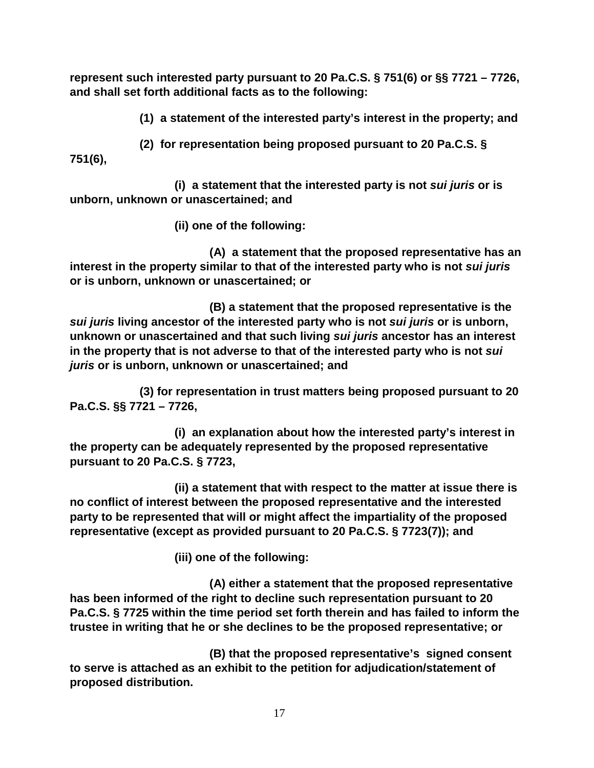**represent such interested party pursuant to 20 Pa.C.S. § 751(6) or §§ 7721 – 7726, and shall set forth additional facts as to the following:** 

**(1) a statement of the interested party's interest in the property; and**

**(2) for representation being proposed pursuant to 20 Pa.C.S. §** 

**751(6),** 

**(i) a statement that the interested party is not** *sui juris* **or is unborn, unknown or unascertained; and** 

**(ii) one of the following:**

**(A) a statement that the proposed representative has an interest in the property similar to that of the interested party who is not** *sui juris* **or is unborn, unknown or unascertained; or**

**(B) a statement that the proposed representative is the**  *sui juris* **living ancestor of the interested party who is not** *sui juris* **or is unborn, unknown or unascertained and that such living** *sui juris* **ancestor has an interest in the property that is not adverse to that of the interested party who is not** *sui juris* **or is unborn, unknown or unascertained; and**

**(3) for representation in trust matters being proposed pursuant to 20 Pa.C.S. §§ 7721 – 7726,** 

**(i) an explanation about how the interested party's interest in the property can be adequately represented by the proposed representative pursuant to 20 Pa.C.S. § 7723,**

**(ii) a statement that with respect to the matter at issue there is no conflict of interest between the proposed representative and the interested party to be represented that will or might affect the impartiality of the proposed representative (except as provided pursuant to 20 Pa.C.S. § 7723(7)); and** 

**(iii) one of the following:**

**(A) either a statement that the proposed representative has been informed of the right to decline such representation pursuant to 20 Pa.C.S. § 7725 within the time period set forth therein and has failed to inform the trustee in writing that he or she declines to be the proposed representative; or** 

**(B) that the proposed representative's signed consent to serve is attached as an exhibit to the petition for adjudication/statement of proposed distribution.**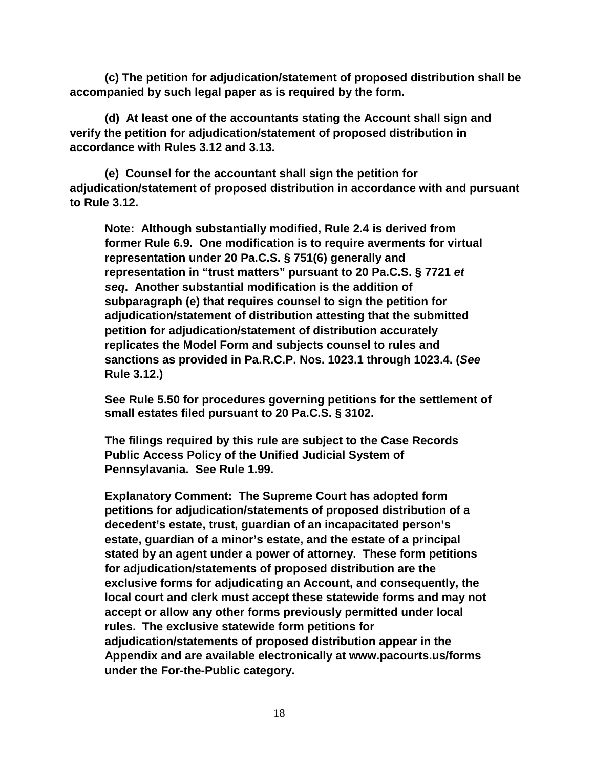**(c) The petition for adjudication/statement of proposed distribution shall be accompanied by such legal paper as is required by the form.**

**(d) At least one of the accountants stating the Account shall sign and verify the petition for adjudication/statement of proposed distribution in accordance with Rules 3.12 and 3.13.**

**(e) Counsel for the accountant shall sign the petition for adjudication/statement of proposed distribution in accordance with and pursuant to Rule 3.12.**

**Note: Although substantially modified, Rule 2.4 is derived from former Rule 6.9. One modification is to require averments for virtual representation under 20 Pa.C.S. § 751(6) generally and representation in "trust matters" pursuant to 20 Pa.C.S. § 7721** *et seq***. Another substantial modification is the addition of subparagraph (e) that requires counsel to sign the petition for adjudication/statement of distribution attesting that the submitted petition for adjudication/statement of distribution accurately replicates the Model Form and subjects counsel to rules and sanctions as provided in Pa.R.C.P. Nos. 1023.1 through 1023.4. (***See*  **Rule 3.12.)** 

**See Rule 5.50 for procedures governing petitions for the settlement of small estates filed pursuant to 20 Pa.C.S. § 3102.**

**The filings required by this rule are subject to the Case Records Public Access Policy of the Unified Judicial System of Pennsylavania. See Rule 1.99.**

**Explanatory Comment: The Supreme Court has adopted form petitions for adjudication/statements of proposed distribution of a decedent's estate, trust, guardian of an incapacitated person's estate, guardian of a minor's estate, and the estate of a principal stated by an agent under a power of attorney. These form petitions for adjudication/statements of proposed distribution are the exclusive forms for adjudicating an Account, and consequently, the local court and clerk must accept these statewide forms and may not accept or allow any other forms previously permitted under local rules. The exclusive statewide form petitions for adjudication/statements of proposed distribution appear in the Appendix and are available electronically at www.pacourts.us/forms under the For-the-Public category.**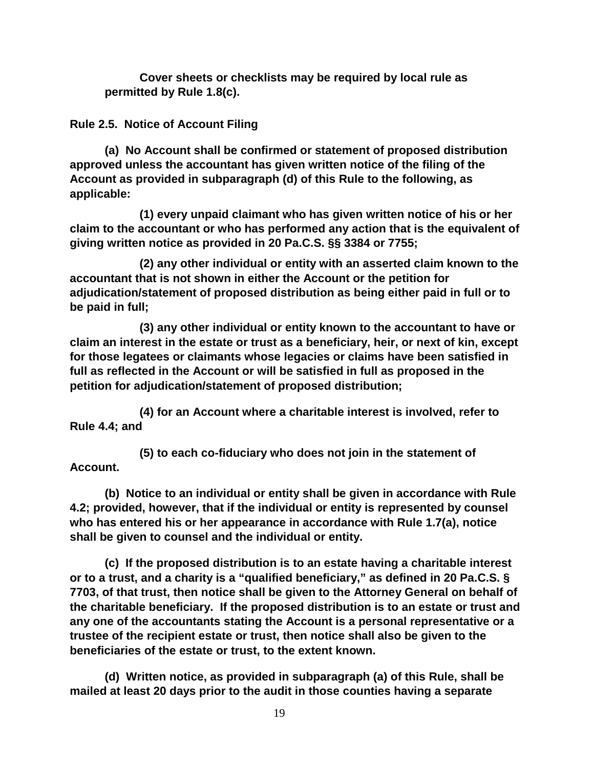**Cover sheets or checklists may be required by local rule as permitted by Rule 1.8(c).** 

**Rule 2.5. Notice of Account Filing**

**(a) No Account shall be confirmed or statement of proposed distribution approved unless the accountant has given written notice of the filing of the Account as provided in subparagraph (d) of this Rule to the following, as applicable:** 

**(1) every unpaid claimant who has given written notice of his or her claim to the accountant or who has performed any action that is the equivalent of giving written notice as provided in 20 Pa.C.S. §§ 3384 or 7755;**

**(2) any other individual or entity with an asserted claim known to the accountant that is not shown in either the Account or the petition for adjudication/statement of proposed distribution as being either paid in full or to be paid in full;** 

**(3) any other individual or entity known to the accountant to have or claim an interest in the estate or trust as a beneficiary, heir, or next of kin, except for those legatees or claimants whose legacies or claims have been satisfied in full as reflected in the Account or will be satisfied in full as proposed in the petition for adjudication/statement of proposed distribution;**

**(4) for an Account where a charitable interest is involved, refer to Rule 4.4; and**

**(5) to each co-fiduciary who does not join in the statement of Account.**

**(b) Notice to an individual or entity shall be given in accordance with Rule 4.2; provided, however, that if the individual or entity is represented by counsel who has entered his or her appearance in accordance with Rule 1.7(a), notice shall be given to counsel and the individual or entity.**

**(c) If the proposed distribution is to an estate having a charitable interest or to a trust, and a charity is a "qualified beneficiary," as defined in 20 Pa.C.S. § 7703, of that trust, then notice shall be given to the Attorney General on behalf of the charitable beneficiary. If the proposed distribution is to an estate or trust and any one of the accountants stating the Account is a personal representative or a trustee of the recipient estate or trust, then notice shall also be given to the beneficiaries of the estate or trust, to the extent known.**

**(d) Written notice, as provided in subparagraph (a) of this Rule, shall be mailed at least 20 days prior to the audit in those counties having a separate**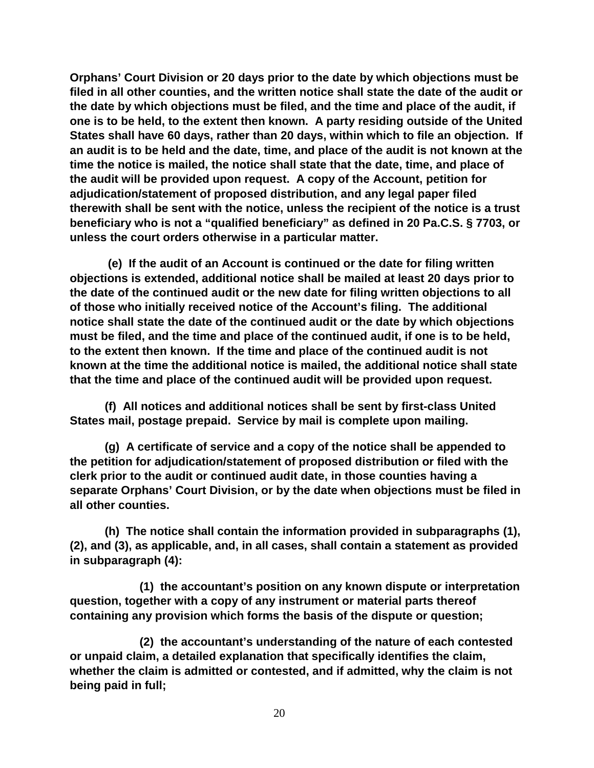**Orphans' Court Division or 20 days prior to the date by which objections must be filed in all other counties, and the written notice shall state the date of the audit or the date by which objections must be filed, and the time and place of the audit, if one is to be held, to the extent then known. A party residing outside of the United States shall have 60 days, rather than 20 days, within which to file an objection. If an audit is to be held and the date, time, and place of the audit is not known at the time the notice is mailed, the notice shall state that the date, time, and place of the audit will be provided upon request. A copy of the Account, petition for adjudication/statement of proposed distribution, and any legal paper filed therewith shall be sent with the notice, unless the recipient of the notice is a trust beneficiary who is not a "qualified beneficiary" as defined in 20 Pa.C.S. § 7703, or unless the court orders otherwise in a particular matter.** 

**(e) If the audit of an Account is continued or the date for filing written objections is extended, additional notice shall be mailed at least 20 days prior to the date of the continued audit or the new date for filing written objections to all of those who initially received notice of the Account's filing. The additional notice shall state the date of the continued audit or the date by which objections must be filed, and the time and place of the continued audit, if one is to be held, to the extent then known. If the time and place of the continued audit is not known at the time the additional notice is mailed, the additional notice shall state that the time and place of the continued audit will be provided upon request.** 

**(f) All notices and additional notices shall be sent by first-class United States mail, postage prepaid. Service by mail is complete upon mailing.** 

**(g) A certificate of service and a copy of the notice shall be appended to the petition for adjudication/statement of proposed distribution or filed with the clerk prior to the audit or continued audit date, in those counties having a separate Orphans' Court Division, or by the date when objections must be filed in all other counties.**

**(h) The notice shall contain the information provided in subparagraphs (1), (2), and (3), as applicable, and, in all cases, shall contain a statement as provided in subparagraph (4):** 

**(1) the accountant's position on any known dispute or interpretation question, together with a copy of any instrument or material parts thereof containing any provision which forms the basis of the dispute or question;**

**(2) the accountant's understanding of the nature of each contested or unpaid claim, a detailed explanation that specifically identifies the claim, whether the claim is admitted or contested, and if admitted, why the claim is not being paid in full;**

20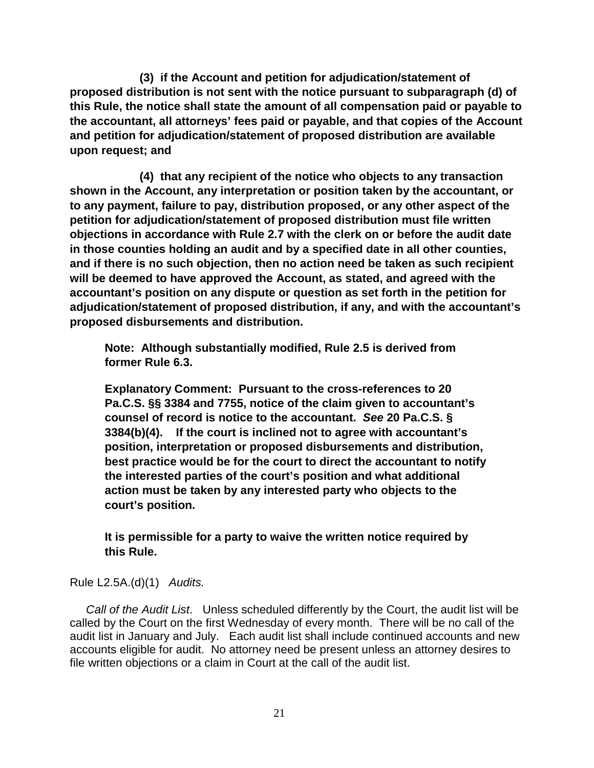**(3) if the Account and petition for adjudication/statement of proposed distribution is not sent with the notice pursuant to subparagraph (d) of this Rule, the notice shall state the amount of all compensation paid or payable to the accountant, all attorneys' fees paid or payable, and that copies of the Account and petition for adjudication/statement of proposed distribution are available upon request; and**

**(4) that any recipient of the notice who objects to any transaction shown in the Account, any interpretation or position taken by the accountant, or to any payment, failure to pay, distribution proposed, or any other aspect of the petition for adjudication/statement of proposed distribution must file written objections in accordance with Rule 2.7 with the clerk on or before the audit date in those counties holding an audit and by a specified date in all other counties, and if there is no such objection, then no action need be taken as such recipient will be deemed to have approved the Account, as stated, and agreed with the accountant's position on any dispute or question as set forth in the petition for adjudication/statement of proposed distribution, if any, and with the accountant's proposed disbursements and distribution.** 

**Note: Although substantially modified, Rule 2.5 is derived from former Rule 6.3.** 

**Explanatory Comment: Pursuant to the cross-references to 20 Pa.C.S. §§ 3384 and 7755, notice of the claim given to accountant's counsel of record is notice to the accountant.** *See* **20 Pa.C.S. § 3384(b)(4). If the court is inclined not to agree with accountant's position, interpretation or proposed disbursements and distribution, best practice would be for the court to direct the accountant to notify the interested parties of the court's position and what additional action must be taken by any interested party who objects to the court's position.**

**It is permissible for a party to waive the written notice required by this Rule.**

# Rule L2.5A.(d)(1) *Audits.*

 *Call of the Audit List*. Unless scheduled differently by the Court, the audit list will be called by the Court on the first Wednesday of every month. There will be no call of the audit list in January and July. Each audit list shall include continued accounts and new accounts eligible for audit. No attorney need be present unless an attorney desires to file written objections or a claim in Court at the call of the audit list.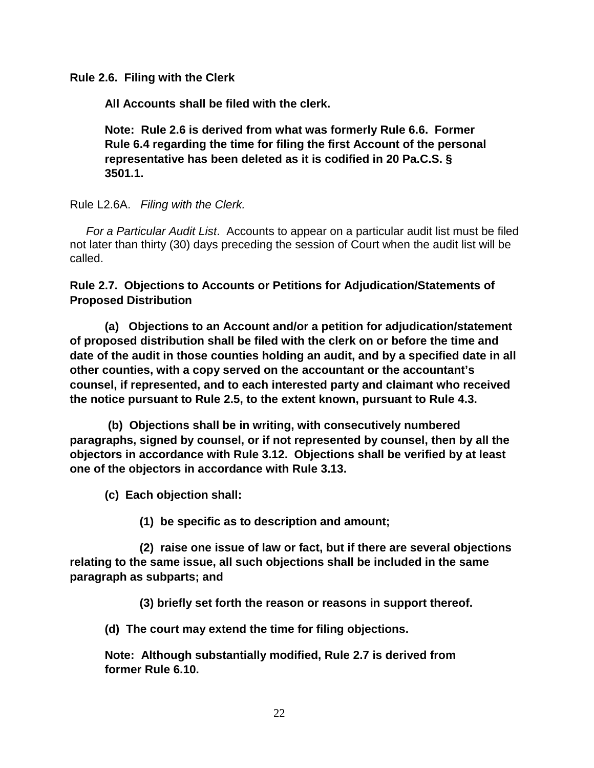**Rule 2.6. Filing with the Clerk** 

**All Accounts shall be filed with the clerk.** 

**Note: Rule 2.6 is derived from what was formerly Rule 6.6. Former Rule 6.4 regarding the time for filing the first Account of the personal representative has been deleted as it is codified in 20 Pa.C.S. § 3501.1.**

Rule L2.6A. *Filing with the Clerk.*

 *For a Particular Audit List*. Accounts to appear on a particular audit list must be filed not later than thirty (30) days preceding the session of Court when the audit list will be called.

**Rule 2.7. Objections to Accounts or Petitions for Adjudication/Statements of Proposed Distribution**

**(a) Objections to an Account and/or a petition for adjudication/statement of proposed distribution shall be filed with the clerk on or before the time and date of the audit in those counties holding an audit, and by a specified date in all other counties, with a copy served on the accountant or the accountant's counsel, if represented, and to each interested party and claimant who received the notice pursuant to Rule 2.5, to the extent known, pursuant to Rule 4.3.**

**(b) Objections shall be in writing, with consecutively numbered paragraphs, signed by counsel, or if not represented by counsel, then by all the objectors in accordance with Rule 3.12. Objections shall be verified by at least one of the objectors in accordance with Rule 3.13.** 

**(c) Each objection shall:**

**(1) be specific as to description and amount;**

**(2) raise one issue of law or fact, but if there are several objections relating to the same issue, all such objections shall be included in the same paragraph as subparts; and** 

**(3) briefly set forth the reason or reasons in support thereof.** 

**(d) The court may extend the time for filing objections.**

**Note: Although substantially modified, Rule 2.7 is derived from former Rule 6.10.**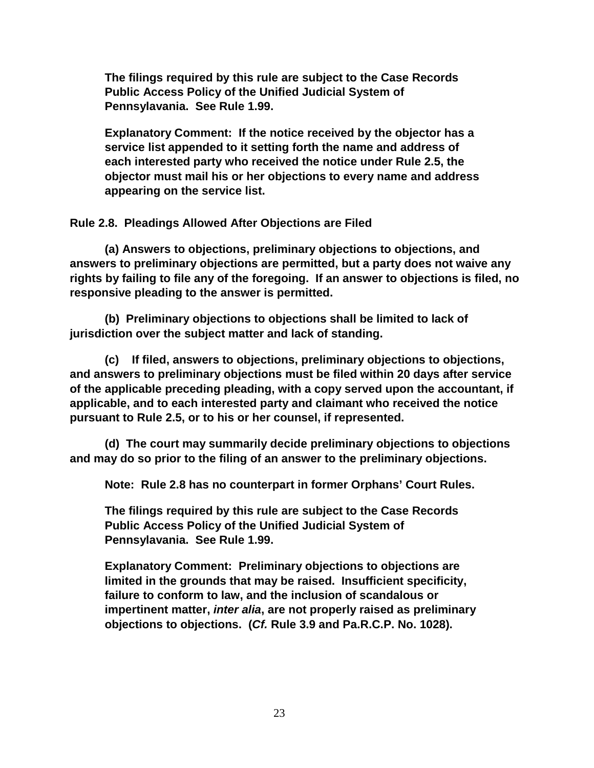**The filings required by this rule are subject to the Case Records Public Access Policy of the Unified Judicial System of Pennsylavania. See Rule 1.99.**

**Explanatory Comment: If the notice received by the objector has a service list appended to it setting forth the name and address of each interested party who received the notice under Rule 2.5, the objector must mail his or her objections to every name and address appearing on the service list.**

**Rule 2.8. Pleadings Allowed After Objections are Filed** 

**(a) Answers to objections, preliminary objections to objections, and answers to preliminary objections are permitted, but a party does not waive any rights by failing to file any of the foregoing. If an answer to objections is filed, no responsive pleading to the answer is permitted.**

**(b) Preliminary objections to objections shall be limited to lack of jurisdiction over the subject matter and lack of standing.** 

**(c) If filed, answers to objections, preliminary objections to objections, and answers to preliminary objections must be filed within 20 days after service of the applicable preceding pleading, with a copy served upon the accountant, if applicable, and to each interested party and claimant who received the notice pursuant to Rule 2.5, or to his or her counsel, if represented.**

**(d) The court may summarily decide preliminary objections to objections and may do so prior to the filing of an answer to the preliminary objections.**

**Note: Rule 2.8 has no counterpart in former Orphans' Court Rules.**

**The filings required by this rule are subject to the Case Records Public Access Policy of the Unified Judicial System of Pennsylavania. See Rule 1.99.**

**Explanatory Comment: Preliminary objections to objections are limited in the grounds that may be raised. Insufficient specificity, failure to conform to law, and the inclusion of scandalous or impertinent matter,** *inter alia***, are not properly raised as preliminary objections to objections. (***Cf.* **Rule 3.9 and Pa.R.C.P. No. 1028).**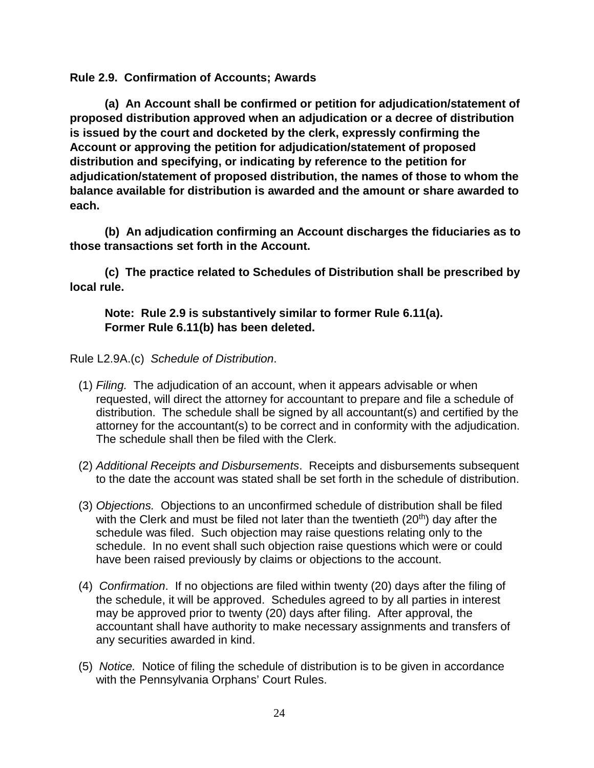**Rule 2.9. Confirmation of Accounts; Awards**

**(a) An Account shall be confirmed or petition for adjudication/statement of proposed distribution approved when an adjudication or a decree of distribution is issued by the court and docketed by the clerk, expressly confirming the Account or approving the petition for adjudication/statement of proposed distribution and specifying, or indicating by reference to the petition for adjudication/statement of proposed distribution, the names of those to whom the balance available for distribution is awarded and the amount or share awarded to each.** 

**(b) An adjudication confirming an Account discharges the fiduciaries as to those transactions set forth in the Account.**

**(c) The practice related to Schedules of Distribution shall be prescribed by local rule.**

**Note: Rule 2.9 is substantively similar to former Rule 6.11(a). Former Rule 6.11(b) has been deleted.**

Rule L2.9A.(c) *Schedule of Distribution*.

- (1) *Filing.* The adjudication of an account, when it appears advisable or when requested, will direct the attorney for accountant to prepare and file a schedule of distribution. The schedule shall be signed by all accountant(s) and certified by the attorney for the accountant(s) to be correct and in conformity with the adjudication. The schedule shall then be filed with the Clerk.
- (2) *Additional Receipts and Disbursements*. Receipts and disbursements subsequent to the date the account was stated shall be set forth in the schedule of distribution.
- (3) *Objections.* Objections to an unconfirmed schedule of distribution shall be filed with the Clerk and must be filed not later than the twentieth  $(20<sup>th</sup>)$  day after the schedule was filed. Such objection may raise questions relating only to the schedule. In no event shall such objection raise questions which were or could have been raised previously by claims or objections to the account.
- (4) *Confirmation*. If no objections are filed within twenty (20) days after the filing of the schedule, it will be approved. Schedules agreed to by all parties in interest may be approved prior to twenty (20) days after filing. After approval, the accountant shall have authority to make necessary assignments and transfers of any securities awarded in kind.
- (5) *Notice.* Notice of filing the schedule of distribution is to be given in accordance with the Pennsylvania Orphans' Court Rules.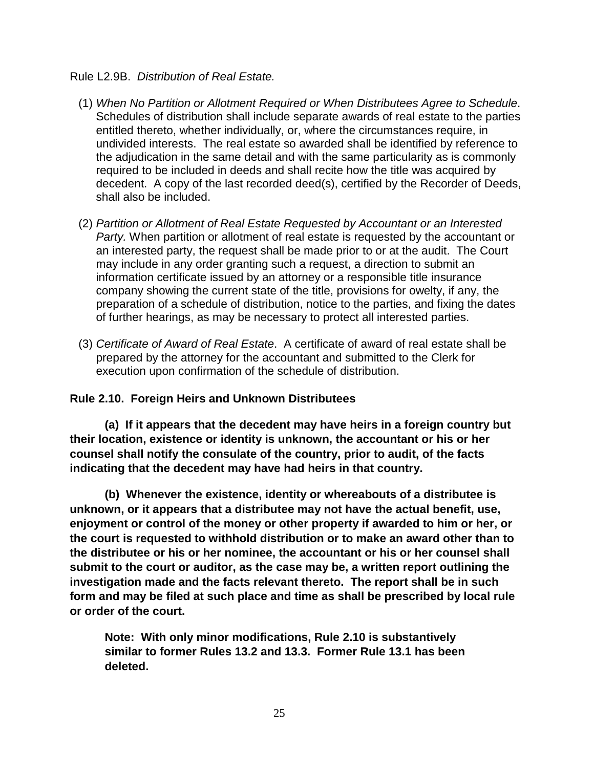Rule L2.9B. *Distribution of Real Estate.*

- (1) *When No Partition or Allotment Required or When Distributees Agree to Schedule*. Schedules of distribution shall include separate awards of real estate to the parties entitled thereto, whether individually, or, where the circumstances require, in undivided interests. The real estate so awarded shall be identified by reference to the adjudication in the same detail and with the same particularity as is commonly required to be included in deeds and shall recite how the title was acquired by decedent. A copy of the last recorded deed(s), certified by the Recorder of Deeds, shall also be included.
- (2) *Partition or Allotment of Real Estate Requested by Accountant or an Interested Party.* When partition or allotment of real estate is requested by the accountant or an interested party, the request shall be made prior to or at the audit. The Court may include in any order granting such a request, a direction to submit an information certificate issued by an attorney or a responsible title insurance company showing the current state of the title, provisions for owelty, if any, the preparation of a schedule of distribution, notice to the parties, and fixing the dates of further hearings, as may be necessary to protect all interested parties.
- (3) *Certificate of Award of Real Estate*. A certificate of award of real estate shall be prepared by the attorney for the accountant and submitted to the Clerk for execution upon confirmation of the schedule of distribution.

## **Rule 2.10. Foreign Heirs and Unknown Distributees**

**(a) If it appears that the decedent may have heirs in a foreign country but their location, existence or identity is unknown, the accountant or his or her counsel shall notify the consulate of the country, prior to audit, of the facts indicating that the decedent may have had heirs in that country.** 

**(b) Whenever the existence, identity or whereabouts of a distributee is unknown, or it appears that a distributee may not have the actual benefit, use, enjoyment or control of the money or other property if awarded to him or her, or the court is requested to withhold distribution or to make an award other than to the distributee or his or her nominee, the accountant or his or her counsel shall submit to the court or auditor, as the case may be, a written report outlining the investigation made and the facts relevant thereto. The report shall be in such form and may be filed at such place and time as shall be prescribed by local rule or order of the court.**

**Note: With only minor modifications, Rule 2.10 is substantively similar to former Rules 13.2 and 13.3. Former Rule 13.1 has been deleted.**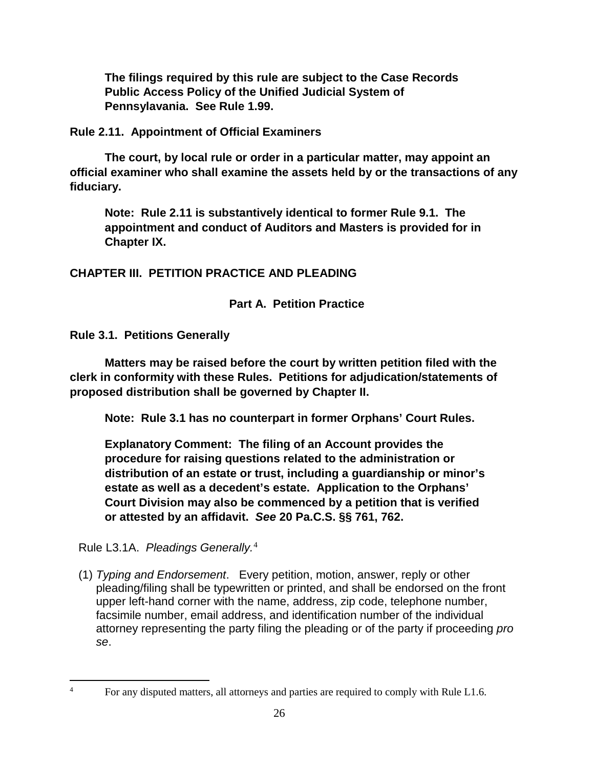**The filings required by this rule are subject to the Case Records Public Access Policy of the Unified Judicial System of Pennsylavania. See Rule 1.99.**

**Rule 2.11. Appointment of Official Examiners** 

**The court, by local rule or order in a particular matter, may appoint an official examiner who shall examine the assets held by or the transactions of any fiduciary.**

**Note: Rule 2.11 is substantively identical to former Rule 9.1. The appointment and conduct of Auditors and Masters is provided for in Chapter IX.**

# **CHAPTER III. PETITION PRACTICE AND PLEADING**

# **Part A. Petition Practice**

**Rule 3.1. Petitions Generally**

**Matters may be raised before the court by written petition filed with the clerk in conformity with these Rules. Petitions for adjudication/statements of proposed distribution shall be governed by Chapter II.**

**Note: Rule 3.1 has no counterpart in former Orphans' Court Rules.**

**Explanatory Comment: The filing of an Account provides the procedure for raising questions related to the administration or distribution of an estate or trust, including a guardianship or minor's estate as well as a decedent's estate. Application to the Orphans' Court Division may also be commenced by a petition that is verified or attested by an affidavit.** *See* **20 Pa.C.S. §§ 761, 762.**

Rule L3.1A. *Pleadings Generally.*[4](#page-25-0)

(1) *Typing and Endorsement*. Every petition, motion, answer, reply or other pleading/filing shall be typewritten or printed, and shall be endorsed on the front upper left-hand corner with the name, address, zip code, telephone number, facsimile number, email address, and identification number of the individual attorney representing the party filing the pleading or of the party if proceeding *pro se*.

<span id="page-25-0"></span><sup>&</sup>lt;sup>4</sup> For any disputed matters, all attorneys and parties are required to comply with Rule L1.6.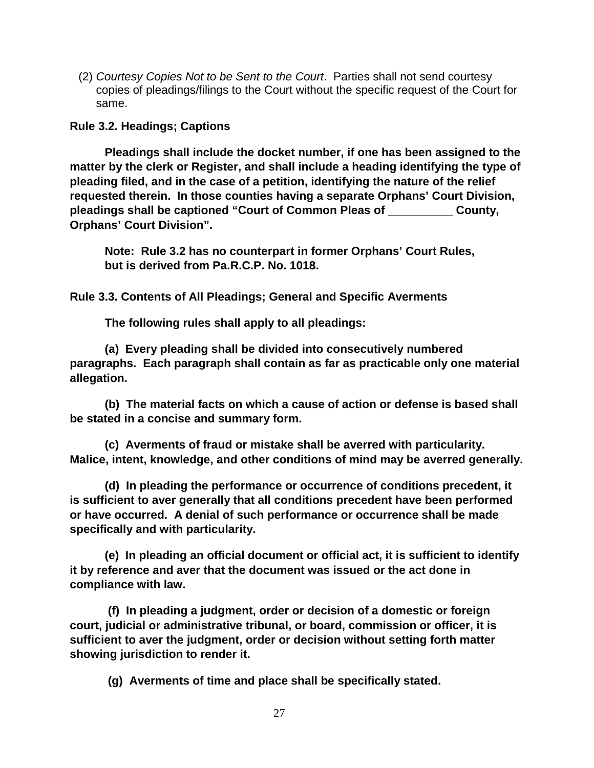(2) *Courtesy Copies Not to be Sent to the Court*. Parties shall not send courtesy copies of pleadings/filings to the Court without the specific request of the Court for same.

**Rule 3.2. Headings; Captions** 

**Pleadings shall include the docket number, if one has been assigned to the matter by the clerk or Register, and shall include a heading identifying the type of pleading filed, and in the case of a petition, identifying the nature of the relief requested therein. In those counties having a separate Orphans' Court Division, pleadings shall be captioned "Court of Common Pleas of \_\_\_\_\_\_\_\_\_\_ County, Orphans' Court Division".**

**Note: Rule 3.2 has no counterpart in former Orphans' Court Rules, but is derived from Pa.R.C.P. No. 1018.**

**Rule 3.3. Contents of All Pleadings; General and Specific Averments** 

**The following rules shall apply to all pleadings:**

**(a) Every pleading shall be divided into consecutively numbered paragraphs. Each paragraph shall contain as far as practicable only one material allegation.**

**(b) The material facts on which a cause of action or defense is based shall be stated in a concise and summary form.** 

**(c) Averments of fraud or mistake shall be averred with particularity. Malice, intent, knowledge, and other conditions of mind may be averred generally.** 

**(d) In pleading the performance or occurrence of conditions precedent, it is sufficient to aver generally that all conditions precedent have been performed or have occurred. A denial of such performance or occurrence shall be made specifically and with particularity.** 

**(e) In pleading an official document or official act, it is sufficient to identify it by reference and aver that the document was issued or the act done in compliance with law.** 

**(f) In pleading a judgment, order or decision of a domestic or foreign court, judicial or administrative tribunal, or board, commission or officer, it is sufficient to aver the judgment, order or decision without setting forth matter showing jurisdiction to render it.** 

**(g) Averments of time and place shall be specifically stated.**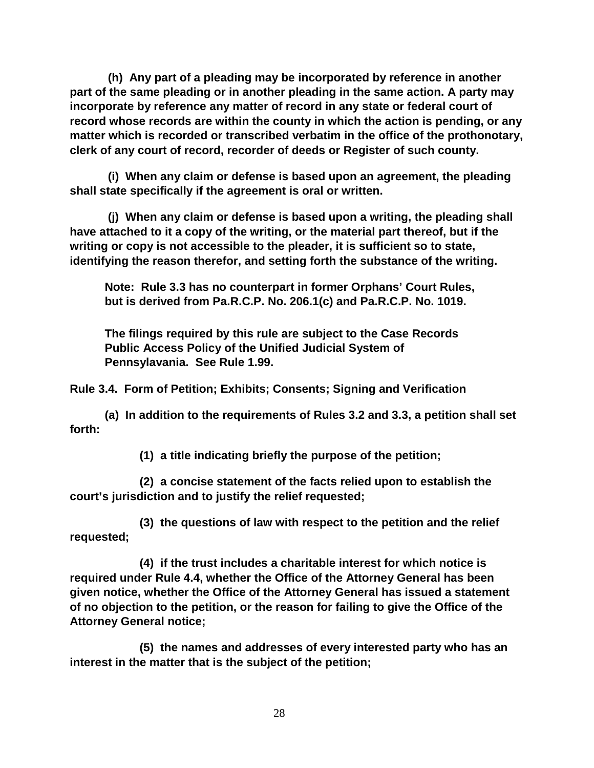**(h) Any part of a pleading may be incorporated by reference in another part of the same pleading or in another pleading in the same action. A party may incorporate by reference any matter of record in any state or federal court of record whose records are within the county in which the action is pending, or any matter which is recorded or transcribed verbatim in the office of the prothonotary, clerk of any court of record, recorder of deeds or Register of such county.** 

**(i) When any claim or defense is based upon an agreement, the pleading shall state specifically if the agreement is oral or written.**

**(j) When any claim or defense is based upon a writing, the pleading shall have attached to it a copy of the writing, or the material part thereof, but if the writing or copy is not accessible to the pleader, it is sufficient so to state, identifying the reason therefor, and setting forth the substance of the writing.** 

**Note: Rule 3.3 has no counterpart in former Orphans' Court Rules, but is derived from Pa.R.C.P. No. 206.1(c) and Pa.R.C.P. No. 1019.**

**The filings required by this rule are subject to the Case Records Public Access Policy of the Unified Judicial System of Pennsylavania. See Rule 1.99.**

**Rule 3.4. Form of Petition; Exhibits; Consents; Signing and Verification** 

**(a) In addition to the requirements of Rules 3.2 and 3.3, a petition shall set forth:**

**(1) a title indicating briefly the purpose of the petition;** 

**(2) a concise statement of the facts relied upon to establish the court's jurisdiction and to justify the relief requested;**

**(3) the questions of law with respect to the petition and the relief requested;**

**(4) if the trust includes a charitable interest for which notice is required under Rule 4.4, whether the Office of the Attorney General has been given notice, whether the Office of the Attorney General has issued a statement of no objection to the petition, or the reason for failing to give the Office of the Attorney General notice;** 

**(5) the names and addresses of every interested party who has an interest in the matter that is the subject of the petition;**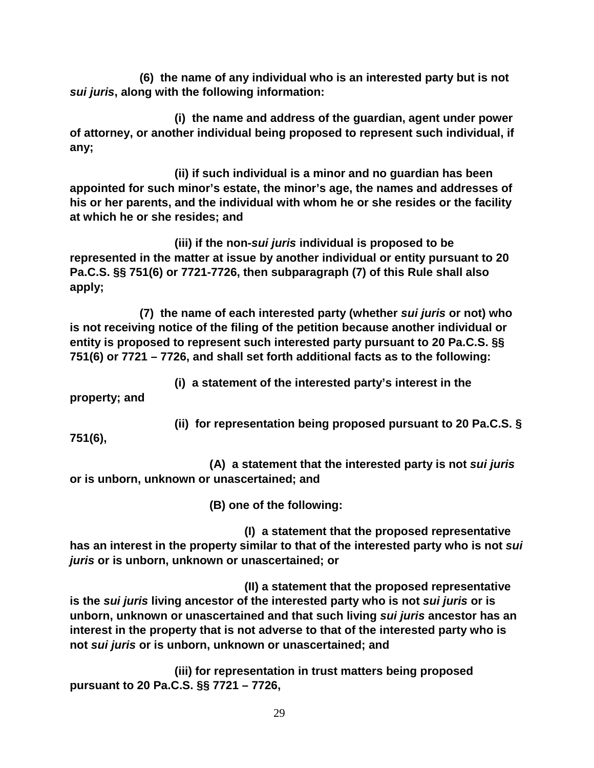**(6) the name of any individual who is an interested party but is not**  *sui juris***, along with the following information:**

**(i) the name and address of the guardian, agent under power of attorney, or another individual being proposed to represent such individual, if any;** 

**(ii) if such individual is a minor and no guardian has been appointed for such minor's estate, the minor's age, the names and addresses of his or her parents, and the individual with whom he or she resides or the facility at which he or she resides; and** 

**(iii) if the non-***sui juris* **individual is proposed to be represented in the matter at issue by another individual or entity pursuant to 20 Pa.C.S. §§ 751(6) or 7721-7726, then subparagraph (7) of this Rule shall also apply;**

**(7) the name of each interested party (whether** *sui juris* **or not) who is not receiving notice of the filing of the petition because another individual or entity is proposed to represent such interested party pursuant to 20 Pa.C.S. §§ 751(6) or 7721 – 7726, and shall set forth additional facts as to the following:** 

**(i) a statement of the interested party's interest in the** 

**property; and**

**(ii) for representation being proposed pursuant to 20 Pa.C.S. §** 

**751(6),** 

**(A) a statement that the interested party is not** *sui juris*  **or is unborn, unknown or unascertained; and** 

**(B) one of the following:**

**(I) a statement that the proposed representative has an interest in the property similar to that of the interested party who is not** *sui juris* **or is unborn, unknown or unascertained; or**

**(II) a statement that the proposed representative is the** *sui juris* **living ancestor of the interested party who is not** *sui juris* **or is unborn, unknown or unascertained and that such living** *sui juris* **ancestor has an interest in the property that is not adverse to that of the interested party who is not** *sui juris* **or is unborn, unknown or unascertained; and**

**(iii) for representation in trust matters being proposed pursuant to 20 Pa.C.S. §§ 7721 – 7726,**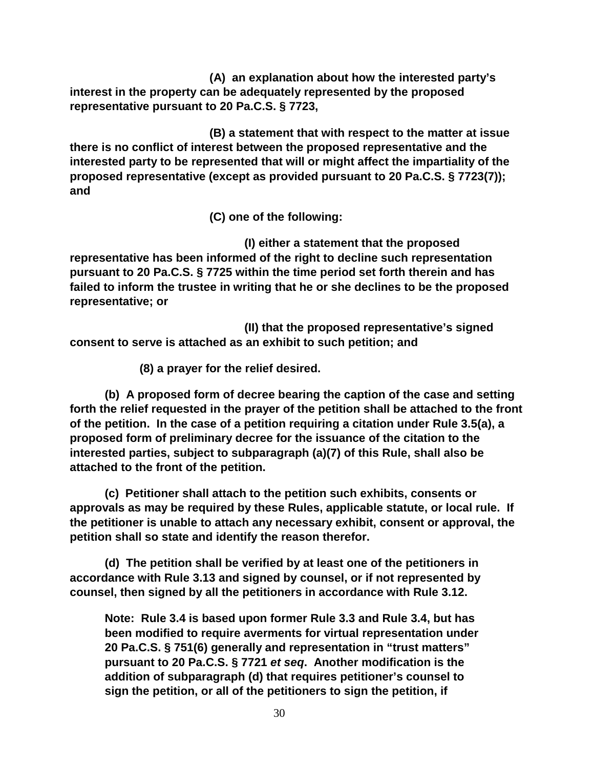**(A) an explanation about how the interested party's interest in the property can be adequately represented by the proposed representative pursuant to 20 Pa.C.S. § 7723,**

**(B) a statement that with respect to the matter at issue there is no conflict of interest between the proposed representative and the interested party to be represented that will or might affect the impartiality of the proposed representative (except as provided pursuant to 20 Pa.C.S. § 7723(7)); and** 

**(C) one of the following:**

**(I) either a statement that the proposed representative has been informed of the right to decline such representation pursuant to 20 Pa.C.S. § 7725 within the time period set forth therein and has failed to inform the trustee in writing that he or she declines to be the proposed representative; or** 

**(II) that the proposed representative's signed consent to serve is attached as an exhibit to such petition; and**

**(8) a prayer for the relief desired.** 

**(b) A proposed form of decree bearing the caption of the case and setting forth the relief requested in the prayer of the petition shall be attached to the front of the petition. In the case of a petition requiring a citation under Rule 3.5(a), a proposed form of preliminary decree for the issuance of the citation to the interested parties, subject to subparagraph (a)(7) of this Rule, shall also be attached to the front of the petition.**

**(c) Petitioner shall attach to the petition such exhibits, consents or approvals as may be required by these Rules, applicable statute, or local rule. If the petitioner is unable to attach any necessary exhibit, consent or approval, the petition shall so state and identify the reason therefor.**

**(d) The petition shall be verified by at least one of the petitioners in accordance with Rule 3.13 and signed by counsel, or if not represented by counsel, then signed by all the petitioners in accordance with Rule 3.12.** 

**Note: Rule 3.4 is based upon former Rule 3.3 and Rule 3.4, but has been modified to require averments for virtual representation under 20 Pa.C.S. § 751(6) generally and representation in "trust matters" pursuant to 20 Pa.C.S. § 7721** *et seq***. Another modification is the addition of subparagraph (d) that requires petitioner's counsel to sign the petition, or all of the petitioners to sign the petition, if**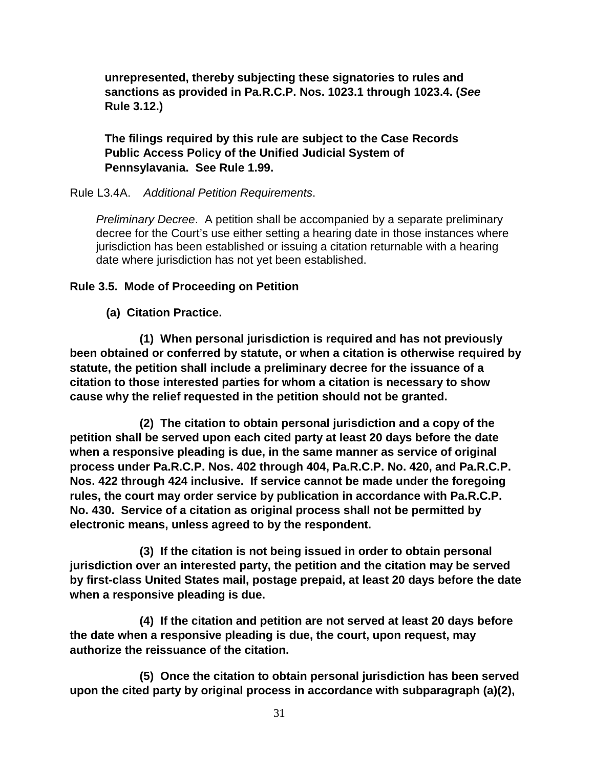**unrepresented, thereby subjecting these signatories to rules and sanctions as provided in Pa.R.C.P. Nos. 1023.1 through 1023.4. (***See*  **Rule 3.12.)**

**The filings required by this rule are subject to the Case Records Public Access Policy of the Unified Judicial System of Pennsylavania. See Rule 1.99.**

Rule L3.4A. *Additional Petition Requirements*.

*Preliminary Decree*. A petition shall be accompanied by a separate preliminary decree for the Court's use either setting a hearing date in those instances where jurisdiction has been established or issuing a citation returnable with a hearing date where jurisdiction has not yet been established.

# **Rule 3.5. Mode of Proceeding on Petition**

**(a) Citation Practice.** 

**(1) When personal jurisdiction is required and has not previously been obtained or conferred by statute, or when a citation is otherwise required by statute, the petition shall include a preliminary decree for the issuance of a citation to those interested parties for whom a citation is necessary to show cause why the relief requested in the petition should not be granted.** 

**(2) The citation to obtain personal jurisdiction and a copy of the petition shall be served upon each cited party at least 20 days before the date when a responsive pleading is due, in the same manner as service of original process under Pa.R.C.P. Nos. 402 through 404, Pa.R.C.P. No. 420, and Pa.R.C.P. Nos. 422 through 424 inclusive. If service cannot be made under the foregoing rules, the court may order service by publication in accordance with Pa.R.C.P. No. 430. Service of a citation as original process shall not be permitted by electronic means, unless agreed to by the respondent.**

**(3) If the citation is not being issued in order to obtain personal jurisdiction over an interested party, the petition and the citation may be served by first-class United States mail, postage prepaid, at least 20 days before the date when a responsive pleading is due.** 

**(4) If the citation and petition are not served at least 20 days before the date when a responsive pleading is due, the court, upon request, may authorize the reissuance of the citation.** 

**(5) Once the citation to obtain personal jurisdiction has been served upon the cited party by original process in accordance with subparagraph (a)(2),**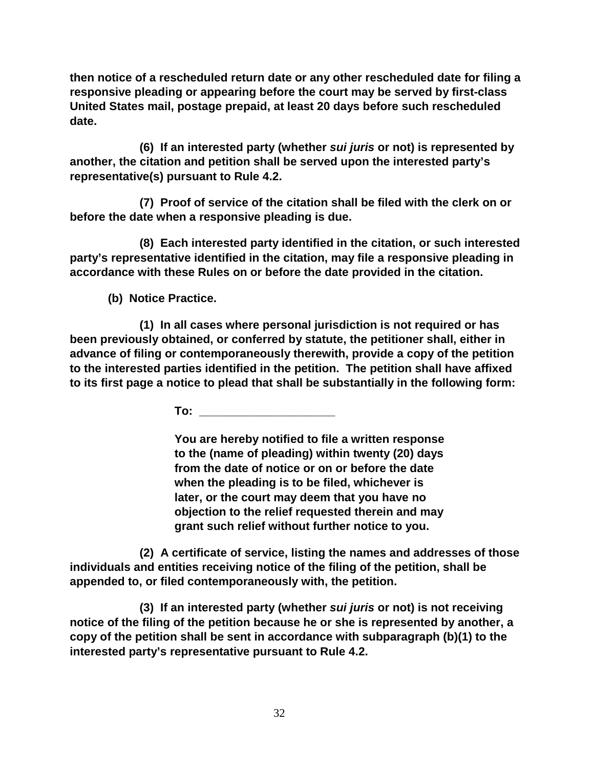**then notice of a rescheduled return date or any other rescheduled date for filing a responsive pleading or appearing before the court may be served by first-class United States mail, postage prepaid, at least 20 days before such rescheduled date.**

**(6) If an interested party (whether** *sui juris* **or not) is represented by another, the citation and petition shall be served upon the interested party's representative(s) pursuant to Rule 4.2.** 

**(7) Proof of service of the citation shall be filed with the clerk on or before the date when a responsive pleading is due.** 

**(8) Each interested party identified in the citation, or such interested party's representative identified in the citation, may file a responsive pleading in accordance with these Rules on or before the date provided in the citation.**

**(b) Notice Practice.**

**(1) In all cases where personal jurisdiction is not required or has been previously obtained, or conferred by statute, the petitioner shall, either in advance of filing or contemporaneously therewith, provide a copy of the petition to the interested parties identified in the petition. The petition shall have affixed to its first page a notice to plead that shall be substantially in the following form:** 

**To: \_\_\_\_\_\_\_\_\_\_\_\_\_\_\_\_\_\_\_\_\_**

**You are hereby notified to file a written response to the (name of pleading) within twenty (20) days from the date of notice or on or before the date when the pleading is to be filed, whichever is later, or the court may deem that you have no objection to the relief requested therein and may grant such relief without further notice to you.**

**(2) A certificate of service, listing the names and addresses of those individuals and entities receiving notice of the filing of the petition, shall be appended to, or filed contemporaneously with, the petition.** 

**(3) If an interested party (whether** *sui juris* **or not) is not receiving notice of the filing of the petition because he or she is represented by another, a copy of the petition shall be sent in accordance with subparagraph (b)(1) to the interested party's representative pursuant to Rule 4.2.**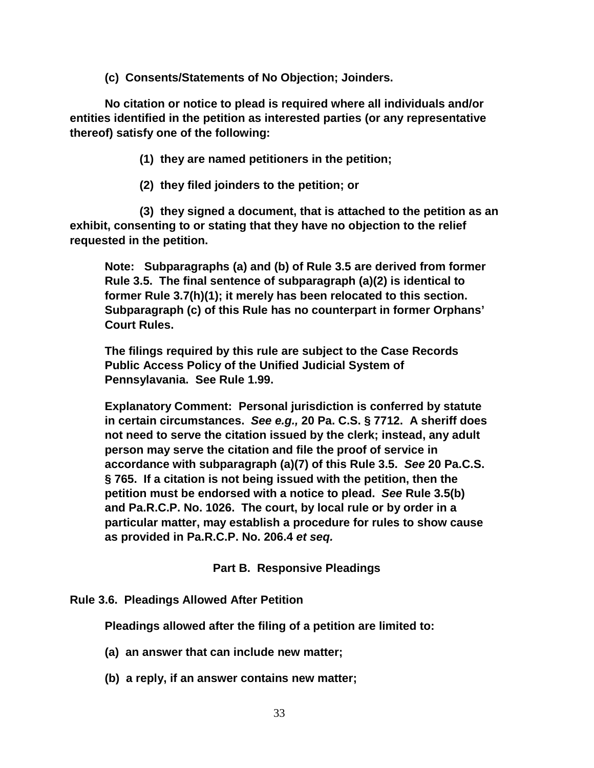**(c) Consents/Statements of No Objection; Joinders.**

**No citation or notice to plead is required where all individuals and/or entities identified in the petition as interested parties (or any representative thereof) satisfy one of the following:** 

- **(1) they are named petitioners in the petition;**
- **(2) they filed joinders to the petition; or**

**(3) they signed a document, that is attached to the petition as an exhibit, consenting to or stating that they have no objection to the relief requested in the petition.** 

**Note: Subparagraphs (a) and (b) of Rule 3.5 are derived from former Rule 3.5. The final sentence of subparagraph (a)(2) is identical to former Rule 3.7(h)(1); it merely has been relocated to this section. Subparagraph (c) of this Rule has no counterpart in former Orphans' Court Rules.** 

**The filings required by this rule are subject to the Case Records Public Access Policy of the Unified Judicial System of Pennsylavania. See Rule 1.99.**

**Explanatory Comment: Personal jurisdiction is conferred by statute in certain circumstances.** *See e.g.,* **20 Pa. C.S. § 7712. A sheriff does not need to serve the citation issued by the clerk; instead, any adult person may serve the citation and file the proof of service in accordance with subparagraph (a)(7) of this Rule 3.5.** *See* **20 Pa.C.S. § 765. If a citation is not being issued with the petition, then the petition must be endorsed with a notice to plead.** *See* **Rule 3.5(b) and Pa.R.C.P. No. 1026. The court, by local rule or by order in a particular matter, may establish a procedure for rules to show cause as provided in Pa.R.C.P. No. 206.4** *et seq.*

## **Part B. Responsive Pleadings**

**Rule 3.6. Pleadings Allowed After Petition** 

**Pleadings allowed after the filing of a petition are limited to:**

- **(a) an answer that can include new matter;**
- **(b) a reply, if an answer contains new matter;**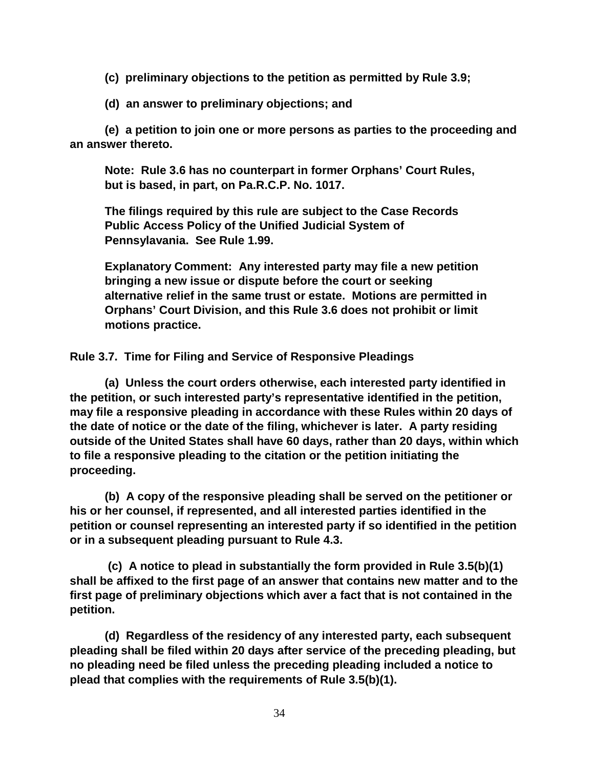**(c) preliminary objections to the petition as permitted by Rule 3.9;**

**(d) an answer to preliminary objections; and**

**(e) a petition to join one or more persons as parties to the proceeding and an answer thereto.** 

**Note: Rule 3.6 has no counterpart in former Orphans' Court Rules, but is based, in part, on Pa.R.C.P. No. 1017.**

**The filings required by this rule are subject to the Case Records Public Access Policy of the Unified Judicial System of Pennsylavania. See Rule 1.99.**

**Explanatory Comment: Any interested party may file a new petition bringing a new issue or dispute before the court or seeking alternative relief in the same trust or estate. Motions are permitted in Orphans' Court Division, and this Rule 3.6 does not prohibit or limit motions practice.**

**Rule 3.7. Time for Filing and Service of Responsive Pleadings** 

**(a) Unless the court orders otherwise, each interested party identified in the petition, or such interested party's representative identified in the petition, may file a responsive pleading in accordance with these Rules within 20 days of the date of notice or the date of the filing, whichever is later. A party residing outside of the United States shall have 60 days, rather than 20 days, within which to file a responsive pleading to the citation or the petition initiating the proceeding.**

**(b) A copy of the responsive pleading shall be served on the petitioner or his or her counsel, if represented, and all interested parties identified in the petition or counsel representing an interested party if so identified in the petition or in a subsequent pleading pursuant to Rule 4.3.**

**(c) A notice to plead in substantially the form provided in Rule 3.5(b)(1) shall be affixed to the first page of an answer that contains new matter and to the first page of preliminary objections which aver a fact that is not contained in the petition.** 

**(d) Regardless of the residency of any interested party, each subsequent pleading shall be filed within 20 days after service of the preceding pleading, but no pleading need be filed unless the preceding pleading included a notice to plead that complies with the requirements of Rule 3.5(b)(1).**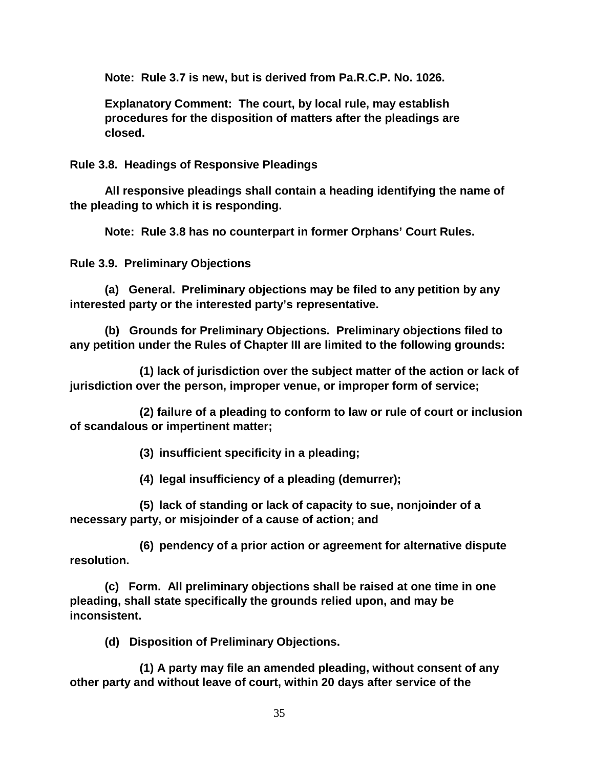**Note: Rule 3.7 is new, but is derived from Pa.R.C.P. No. 1026.**

**Explanatory Comment: The court, by local rule, may establish procedures for the disposition of matters after the pleadings are closed.** 

**Rule 3.8. Headings of Responsive Pleadings** 

**All responsive pleadings shall contain a heading identifying the name of the pleading to which it is responding.**

**Note: Rule 3.8 has no counterpart in former Orphans' Court Rules.**

**Rule 3.9. Preliminary Objections**

**(a) General. Preliminary objections may be filed to any petition by any interested party or the interested party's representative.** 

**(b) Grounds for Preliminary Objections. Preliminary objections filed to any petition under the Rules of Chapter III are limited to the following grounds:** 

**(1) lack of jurisdiction over the subject matter of the action or lack of jurisdiction over the person, improper venue, or improper form of service;**

**(2) failure of a pleading to conform to law or rule of court or inclusion of scandalous or impertinent matter;**

**(3) insufficient specificity in a pleading;**

**(4) legal insufficiency of a pleading (demurrer);**

**(5) lack of standing or lack of capacity to sue, nonjoinder of a necessary party, or misjoinder of a cause of action; and**

**(6) pendency of a prior action or agreement for alternative dispute resolution.**

**(c) Form. All preliminary objections shall be raised at one time in one pleading, shall state specifically the grounds relied upon, and may be inconsistent.** 

**(d) Disposition of Preliminary Objections.**

**(1) A party may file an amended pleading, without consent of any other party and without leave of court, within 20 days after service of the**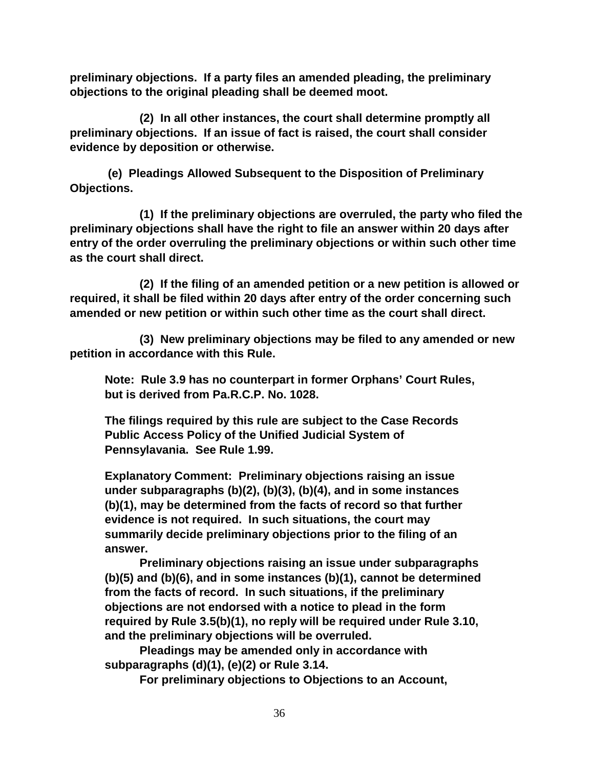**preliminary objections. If a party files an amended pleading, the preliminary objections to the original pleading shall be deemed moot.**

**(2) In all other instances, the court shall determine promptly all preliminary objections. If an issue of fact is raised, the court shall consider evidence by deposition or otherwise.** 

**(e) Pleadings Allowed Subsequent to the Disposition of Preliminary Objections.**

**(1) If the preliminary objections are overruled, the party who filed the preliminary objections shall have the right to file an answer within 20 days after entry of the order overruling the preliminary objections or within such other time as the court shall direct.**

**(2) If the filing of an amended petition or a new petition is allowed or required, it shall be filed within 20 days after entry of the order concerning such amended or new petition or within such other time as the court shall direct.**

**(3) New preliminary objections may be filed to any amended or new petition in accordance with this Rule.** 

**Note: Rule 3.9 has no counterpart in former Orphans' Court Rules, but is derived from Pa.R.C.P. No. 1028.**

**The filings required by this rule are subject to the Case Records Public Access Policy of the Unified Judicial System of Pennsylavania. See Rule 1.99.**

**Explanatory Comment: Preliminary objections raising an issue under subparagraphs (b)(2), (b)(3), (b)(4), and in some instances (b)(1), may be determined from the facts of record so that further evidence is not required. In such situations, the court may summarily decide preliminary objections prior to the filing of an answer.** 

**Preliminary objections raising an issue under subparagraphs (b)(5) and (b)(6), and in some instances (b)(1), cannot be determined from the facts of record. In such situations, if the preliminary objections are not endorsed with a notice to plead in the form required by Rule 3.5(b)(1), no reply will be required under Rule 3.10, and the preliminary objections will be overruled.** 

**Pleadings may be amended only in accordance with subparagraphs (d)(1), (e)(2) or Rule 3.14.** 

**For preliminary objections to Objections to an Account,**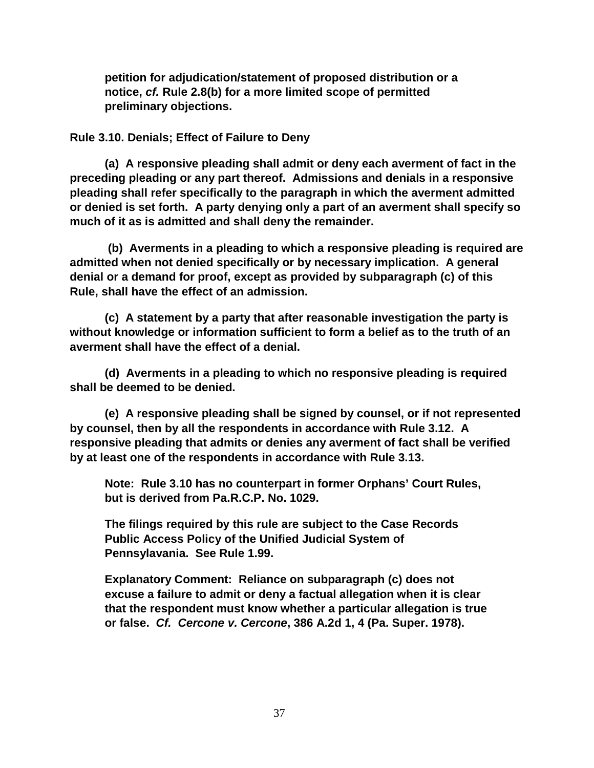**petition for adjudication/statement of proposed distribution or a notice,** *cf.* **Rule 2.8(b) for a more limited scope of permitted preliminary objections.**

## **Rule 3.10. Denials; Effect of Failure to Deny**

**(a) A responsive pleading shall admit or deny each averment of fact in the preceding pleading or any part thereof. Admissions and denials in a responsive pleading shall refer specifically to the paragraph in which the averment admitted or denied is set forth. A party denying only a part of an averment shall specify so much of it as is admitted and shall deny the remainder.** 

**(b) Averments in a pleading to which a responsive pleading is required are admitted when not denied specifically or by necessary implication. A general denial or a demand for proof, except as provided by subparagraph (c) of this Rule, shall have the effect of an admission.** 

**(c) A statement by a party that after reasonable investigation the party is without knowledge or information sufficient to form a belief as to the truth of an averment shall have the effect of a denial.**

**(d) Averments in a pleading to which no responsive pleading is required shall be deemed to be denied.**

**(e) A responsive pleading shall be signed by counsel, or if not represented by counsel, then by all the respondents in accordance with Rule 3.12. A responsive pleading that admits or denies any averment of fact shall be verified by at least one of the respondents in accordance with Rule 3.13.** 

**Note: Rule 3.10 has no counterpart in former Orphans' Court Rules, but is derived from Pa.R.C.P. No. 1029.** 

**The filings required by this rule are subject to the Case Records Public Access Policy of the Unified Judicial System of Pennsylavania. See Rule 1.99.**

**Explanatory Comment: Reliance on subparagraph (c) does not excuse a failure to admit or deny a factual allegation when it is clear that the respondent must know whether a particular allegation is true or false.** *Cf. Cercone v. Cercone***, 386 A.2d 1, 4 (Pa. Super. 1978).**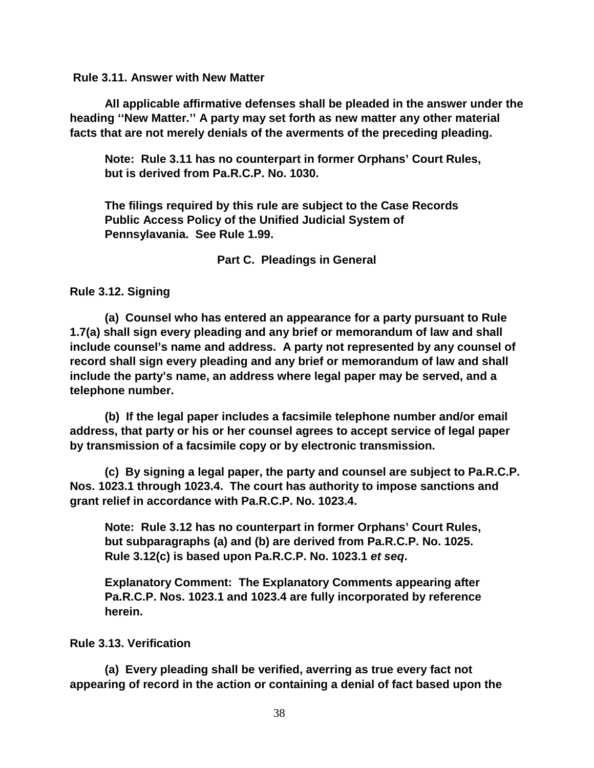**Rule 3.11. Answer with New Matter**

**All applicable affirmative defenses shall be pleaded in the answer under the heading ''New Matter.'' A party may set forth as new matter any other material facts that are not merely denials of the averments of the preceding pleading.** 

**Note: Rule 3.11 has no counterpart in former Orphans' Court Rules, but is derived from Pa.R.C.P. No. 1030.**

**The filings required by this rule are subject to the Case Records Public Access Policy of the Unified Judicial System of Pennsylavania. See Rule 1.99.**

**Part C. Pleadings in General**

## **Rule 3.12. Signing**

**(a) Counsel who has entered an appearance for a party pursuant to Rule 1.7(a) shall sign every pleading and any brief or memorandum of law and shall include counsel's name and address. A party not represented by any counsel of record shall sign every pleading and any brief or memorandum of law and shall include the party's name, an address where legal paper may be served, and a telephone number.** 

**(b) If the legal paper includes a facsimile telephone number and/or email address, that party or his or her counsel agrees to accept service of legal paper by transmission of a facsimile copy or by electronic transmission.**

**(c) By signing a legal paper, the party and counsel are subject to Pa.R.C.P. Nos. 1023.1 through 1023.4. The court has authority to impose sanctions and grant relief in accordance with Pa.R.C.P. No. 1023.4.**

**Note: Rule 3.12 has no counterpart in former Orphans' Court Rules, but subparagraphs (a) and (b) are derived from Pa.R.C.P. No. 1025. Rule 3.12(c) is based upon Pa.R.C.P. No. 1023.1** *et seq***.**

**Explanatory Comment: The Explanatory Comments appearing after Pa.R.C.P. Nos. 1023.1 and 1023.4 are fully incorporated by reference herein.**

# **Rule 3.13. Verification**

**(a) Every pleading shall be verified, averring as true every fact not appearing of record in the action or containing a denial of fact based upon the**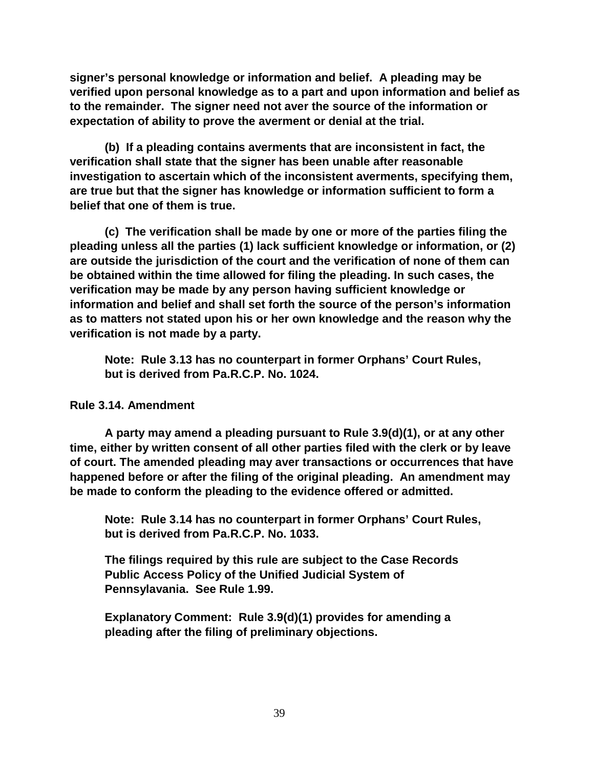**signer's personal knowledge or information and belief. A pleading may be verified upon personal knowledge as to a part and upon information and belief as to the remainder. The signer need not aver the source of the information or expectation of ability to prove the averment or denial at the trial.** 

**(b) If a pleading contains averments that are inconsistent in fact, the verification shall state that the signer has been unable after reasonable investigation to ascertain which of the inconsistent averments, specifying them, are true but that the signer has knowledge or information sufficient to form a belief that one of them is true.** 

**(c) The verification shall be made by one or more of the parties filing the pleading unless all the parties (1) lack sufficient knowledge or information, or (2) are outside the jurisdiction of the court and the verification of none of them can be obtained within the time allowed for filing the pleading. In such cases, the verification may be made by any person having sufficient knowledge or information and belief and shall set forth the source of the person's information as to matters not stated upon his or her own knowledge and the reason why the verification is not made by a party.**

**Note: Rule 3.13 has no counterpart in former Orphans' Court Rules, but is derived from Pa.R.C.P. No. 1024.**

### **Rule 3.14. Amendment**

**A party may amend a pleading pursuant to Rule 3.9(d)(1), or at any other time, either by written consent of all other parties filed with the clerk or by leave of court. The amended pleading may aver transactions or occurrences that have happened before or after the filing of the original pleading. An amendment may be made to conform the pleading to the evidence offered or admitted.**

**Note: Rule 3.14 has no counterpart in former Orphans' Court Rules, but is derived from Pa.R.C.P. No. 1033.**

**The filings required by this rule are subject to the Case Records Public Access Policy of the Unified Judicial System of Pennsylavania. See Rule 1.99.**

**Explanatory Comment: Rule 3.9(d)(1) provides for amending a pleading after the filing of preliminary objections.**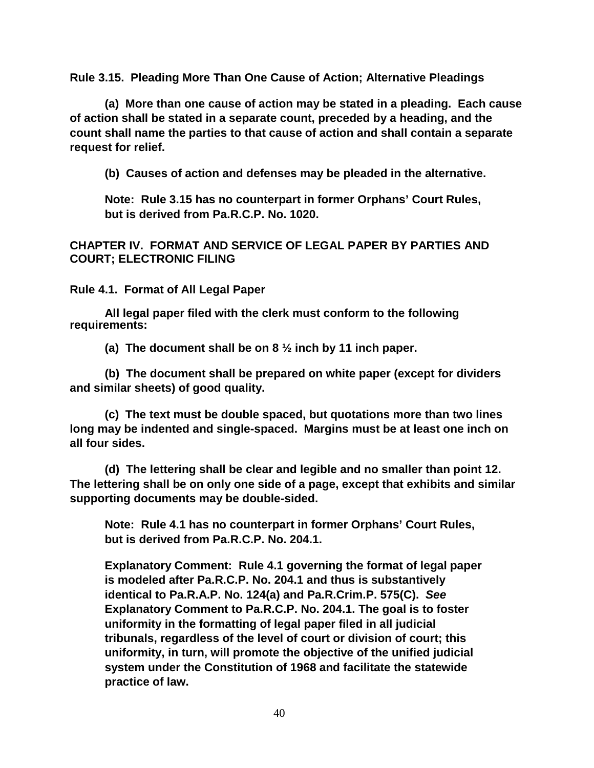**Rule 3.15. Pleading More Than One Cause of Action; Alternative Pleadings** 

**(a) More than one cause of action may be stated in a pleading. Each cause of action shall be stated in a separate count, preceded by a heading, and the count shall name the parties to that cause of action and shall contain a separate request for relief.**

**(b) Causes of action and defenses may be pleaded in the alternative.**

**Note: Rule 3.15 has no counterpart in former Orphans' Court Rules, but is derived from Pa.R.C.P. No. 1020.**

## **CHAPTER IV. FORMAT AND SERVICE OF LEGAL PAPER BY PARTIES AND COURT; ELECTRONIC FILING**

**Rule 4.1. Format of All Legal Paper**

**All legal paper filed with the clerk must conform to the following requirements:** 

**(a) The document shall be on 8 ½ inch by 11 inch paper.** 

**(b) The document shall be prepared on white paper (except for dividers and similar sheets) of good quality.** 

**(c) The text must be double spaced, but quotations more than two lines long may be indented and single-spaced. Margins must be at least one inch on all four sides.** 

**(d) The lettering shall be clear and legible and no smaller than point 12. The lettering shall be on only one side of a page, except that exhibits and similar supporting documents may be double-sided.** 

**Note: Rule 4.1 has no counterpart in former Orphans' Court Rules, but is derived from Pa.R.C.P. No. 204.1.**

**Explanatory Comment: Rule 4.1 governing the format of legal paper is modeled after Pa.R.C.P. No. 204.1 and thus is substantively identical to Pa.R.A.P. No. 124(a) and Pa.R.Crim.P. 575(C).** *See* **Explanatory Comment to Pa.R.C.P. No. 204.1. The goal is to foster uniformity in the formatting of legal paper filed in all judicial tribunals, regardless of the level of court or division of court; this uniformity, in turn, will promote the objective of the unified judicial system under the Constitution of 1968 and facilitate the statewide practice of law.**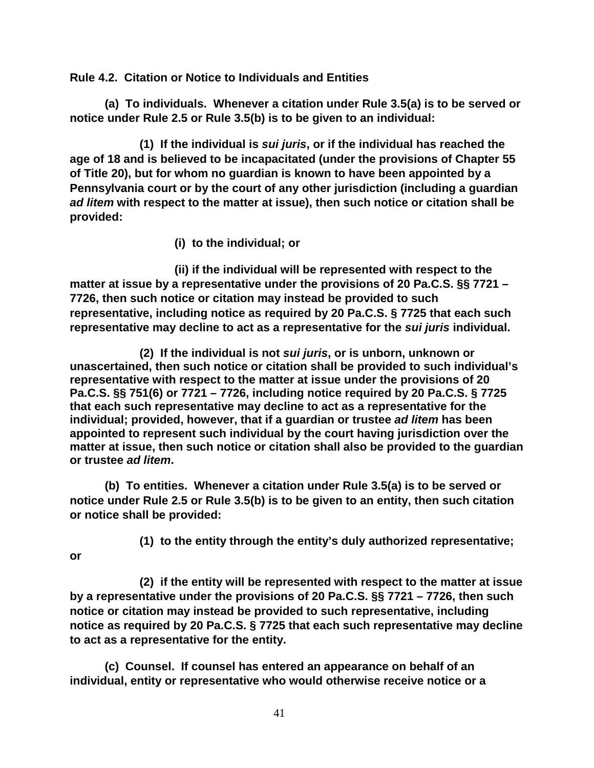**Rule 4.2. Citation or Notice to Individuals and Entities**

**(a) To individuals. Whenever a citation under Rule 3.5(a) is to be served or notice under Rule 2.5 or Rule 3.5(b) is to be given to an individual:**

**(1) If the individual is** *sui juris***, or if the individual has reached the age of 18 and is believed to be incapacitated (under the provisions of Chapter 55 of Title 20), but for whom no guardian is known to have been appointed by a Pennsylvania court or by the court of any other jurisdiction (including a guardian** *ad litem* **with respect to the matter at issue), then such notice or citation shall be provided:**

**(i) to the individual; or**

**(ii) if the individual will be represented with respect to the matter at issue by a representative under the provisions of 20 Pa.C.S. §§ 7721 – 7726, then such notice or citation may instead be provided to such representative, including notice as required by 20 Pa.C.S. § 7725 that each such representative may decline to act as a representative for the** *sui juris* **individual.** 

**(2) If the individual is not** *sui juris***, or is unborn, unknown or unascertained, then such notice or citation shall be provided to such individual's representative with respect to the matter at issue under the provisions of 20 Pa.C.S. §§ 751(6) or 7721 – 7726, including notice required by 20 Pa.C.S. § 7725 that each such representative may decline to act as a representative for the individual; provided, however, that if a guardian or trustee** *ad litem* **has been appointed to represent such individual by the court having jurisdiction over the matter at issue, then such notice or citation shall also be provided to the guardian or trustee** *ad litem***.** 

**(b) To entities. Whenever a citation under Rule 3.5(a) is to be served or notice under Rule 2.5 or Rule 3.5(b) is to be given to an entity, then such citation or notice shall be provided:**

**(1) to the entity through the entity's duly authorized representative;** 

**or**

**(2) if the entity will be represented with respect to the matter at issue by a representative under the provisions of 20 Pa.C.S. §§ 7721 – 7726, then such notice or citation may instead be provided to such representative, including notice as required by 20 Pa.C.S. § 7725 that each such representative may decline to act as a representative for the entity.** 

**(c) Counsel. If counsel has entered an appearance on behalf of an individual, entity or representative who would otherwise receive notice or a**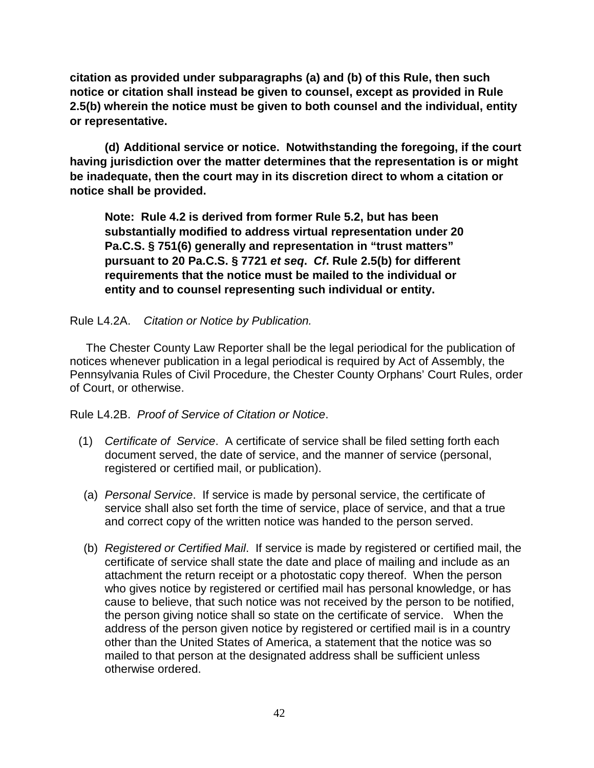**citation as provided under subparagraphs (a) and (b) of this Rule, then such notice or citation shall instead be given to counsel, except as provided in Rule 2.5(b) wherein the notice must be given to both counsel and the individual, entity or representative.**

**(d) Additional service or notice. Notwithstanding the foregoing, if the court having jurisdiction over the matter determines that the representation is or might be inadequate, then the court may in its discretion direct to whom a citation or notice shall be provided.**

**Note: Rule 4.2 is derived from former Rule 5.2, but has been substantially modified to address virtual representation under 20 Pa.C.S. § 751(6) generally and representation in "trust matters" pursuant to 20 Pa.C.S. § 7721** *et seq***.** *Cf***. Rule 2.5(b) for different requirements that the notice must be mailed to the individual or entity and to counsel representing such individual or entity.**

Rule L4.2A. *Citation or Notice by Publication.*

 The Chester County Law Reporter shall be the legal periodical for the publication of notices whenever publication in a legal periodical is required by Act of Assembly, the Pennsylvania Rules of Civil Procedure, the Chester County Orphans' Court Rules, order of Court, or otherwise.

Rule L4.2B. *Proof of Service of Citation or Notice*.

- (1) *Certificate of Service*. A certificate of service shall be filed setting forth each document served, the date of service, and the manner of service (personal, registered or certified mail, or publication).
- (a) *Personal Service*. If service is made by personal service, the certificate of service shall also set forth the time of service, place of service, and that a true and correct copy of the written notice was handed to the person served.
- (b) *Registered or Certified Mail*. If service is made by registered or certified mail, the certificate of service shall state the date and place of mailing and include as an attachment the return receipt or a photostatic copy thereof. When the person who gives notice by registered or certified mail has personal knowledge, or has cause to believe, that such notice was not received by the person to be notified, the person giving notice shall so state on the certificate of service. When the address of the person given notice by registered or certified mail is in a country other than the United States of America, a statement that the notice was so mailed to that person at the designated address shall be sufficient unless otherwise ordered.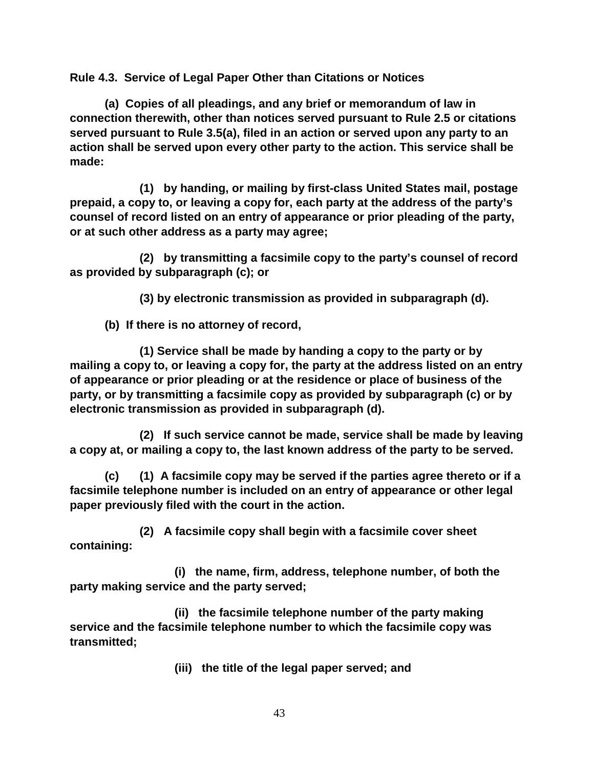**Rule 4.3. Service of Legal Paper Other than Citations or Notices** 

**(a) Copies of all pleadings, and any brief or memorandum of law in connection therewith, other than notices served pursuant to Rule 2.5 or citations served pursuant to Rule 3.5(a), filed in an action or served upon any party to an action shall be served upon every other party to the action. This service shall be made:** 

**(1) by handing, or mailing by first-class United States mail, postage prepaid, a copy to, or leaving a copy for, each party at the address of the party's counsel of record listed on an entry of appearance or prior pleading of the party, or at such other address as a party may agree;**

**(2) by transmitting a facsimile copy to the party's counsel of record as provided by subparagraph (c); or**

**(3) by electronic transmission as provided in subparagraph (d).** 

**(b) If there is no attorney of record,**

**(1) Service shall be made by handing a copy to the party or by mailing a copy to, or leaving a copy for, the party at the address listed on an entry of appearance or prior pleading or at the residence or place of business of the party, or by transmitting a facsimile copy as provided by subparagraph (c) or by electronic transmission as provided in subparagraph (d).** 

**(2) If such service cannot be made, service shall be made by leaving a copy at, or mailing a copy to, the last known address of the party to be served.** 

**(c) (1) A facsimile copy may be served if the parties agree thereto or if a facsimile telephone number is included on an entry of appearance or other legal paper previously filed with the court in the action.**

**(2) A facsimile copy shall begin with a facsimile cover sheet containing:** 

**(i) the name, firm, address, telephone number, of both the party making service and the party served;** 

**(ii) the facsimile telephone number of the party making service and the facsimile telephone number to which the facsimile copy was transmitted;** 

**(iii) the title of the legal paper served; and**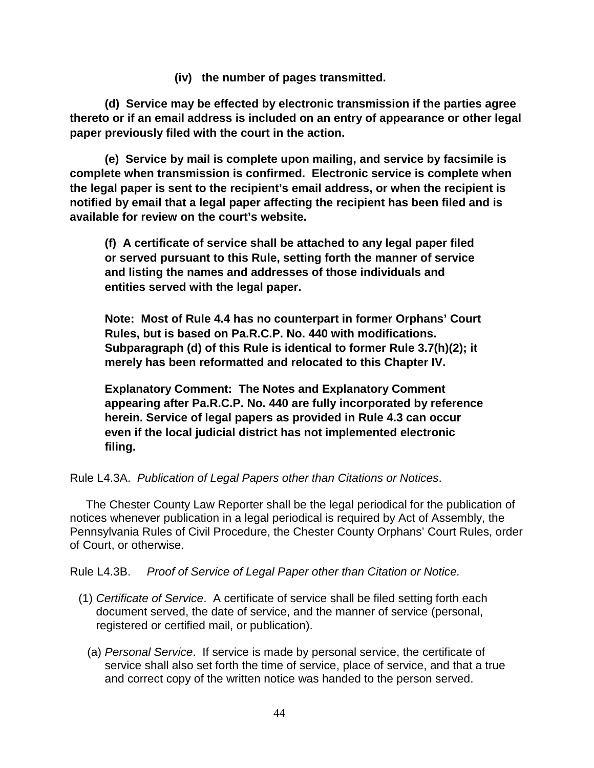**(iv) the number of pages transmitted.** 

**(d) Service may be effected by electronic transmission if the parties agree thereto or if an email address is included on an entry of appearance or other legal paper previously filed with the court in the action.**

**(e) Service by mail is complete upon mailing, and service by facsimile is complete when transmission is confirmed. Electronic service is complete when the legal paper is sent to the recipient's email address, or when the recipient is notified by email that a legal paper affecting the recipient has been filed and is available for review on the court's website.**

**(f) A certificate of service shall be attached to any legal paper filed or served pursuant to this Rule, setting forth the manner of service and listing the names and addresses of those individuals and entities served with the legal paper.**

**Note: Most of Rule 4.4 has no counterpart in former Orphans' Court Rules, but is based on Pa.R.C.P. No. 440 with modifications. Subparagraph (d) of this Rule is identical to former Rule 3.7(h)(2); it merely has been reformatted and relocated to this Chapter IV.**

**Explanatory Comment: The Notes and Explanatory Comment appearing after Pa.R.C.P. No. 440 are fully incorporated by reference herein. Service of legal papers as provided in Rule 4.3 can occur even if the local judicial district has not implemented electronic filing.** 

Rule L4.3A. *Publication of Legal Papers other than Citations or Notices*.

 The Chester County Law Reporter shall be the legal periodical for the publication of notices whenever publication in a legal periodical is required by Act of Assembly, the Pennsylvania Rules of Civil Procedure, the Chester County Orphans' Court Rules, order of Court, or otherwise.

Rule L4.3B. *Proof of Service of Legal Paper other than Citation or Notice.*

- (1) *Certificate of Service*. A certificate of service shall be filed setting forth each document served, the date of service, and the manner of service (personal, registered or certified mail, or publication).
	- (a) *Personal Service*. If service is made by personal service, the certificate of service shall also set forth the time of service, place of service, and that a true and correct copy of the written notice was handed to the person served.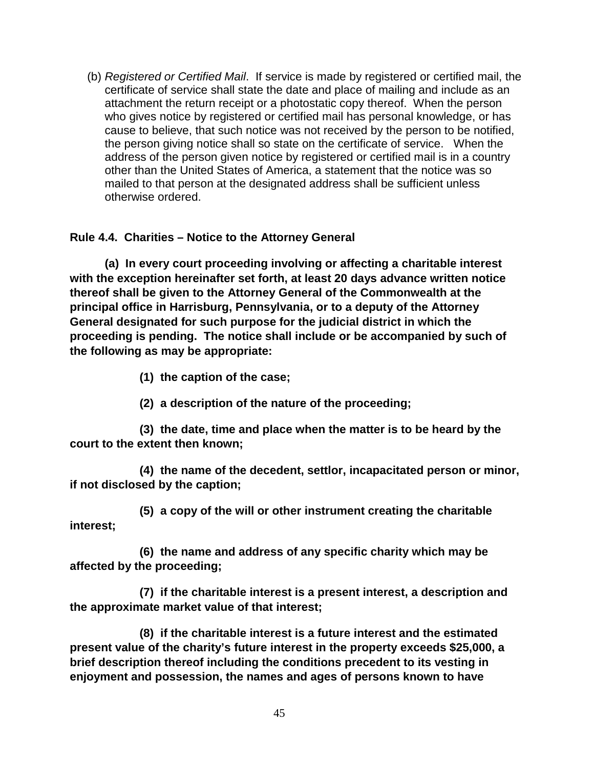(b) *Registered or Certified Mail*. If service is made by registered or certified mail, the certificate of service shall state the date and place of mailing and include as an attachment the return receipt or a photostatic copy thereof. When the person who gives notice by registered or certified mail has personal knowledge, or has cause to believe, that such notice was not received by the person to be notified, the person giving notice shall so state on the certificate of service. When the address of the person given notice by registered or certified mail is in a country other than the United States of America, a statement that the notice was so mailed to that person at the designated address shall be sufficient unless otherwise ordered.

# **Rule 4.4. Charities – Notice to the Attorney General**

**(a) In every court proceeding involving or affecting a charitable interest with the exception hereinafter set forth, at least 20 days advance written notice thereof shall be given to the Attorney General of the Commonwealth at the principal office in Harrisburg, Pennsylvania, or to a deputy of the Attorney General designated for such purpose for the judicial district in which the proceeding is pending. The notice shall include or be accompanied by such of the following as may be appropriate:**

**(1) the caption of the case;** 

**(2) a description of the nature of the proceeding;** 

**(3) the date, time and place when the matter is to be heard by the court to the extent then known;** 

**(4) the name of the decedent, settlor, incapacitated person or minor, if not disclosed by the caption;** 

**(5) a copy of the will or other instrument creating the charitable interest;** 

**(6) the name and address of any specific charity which may be affected by the proceeding;** 

**(7) if the charitable interest is a present interest, a description and the approximate market value of that interest;** 

**(8) if the charitable interest is a future interest and the estimated present value of the charity's future interest in the property exceeds \$25,000, a brief description thereof including the conditions precedent to its vesting in enjoyment and possession, the names and ages of persons known to have**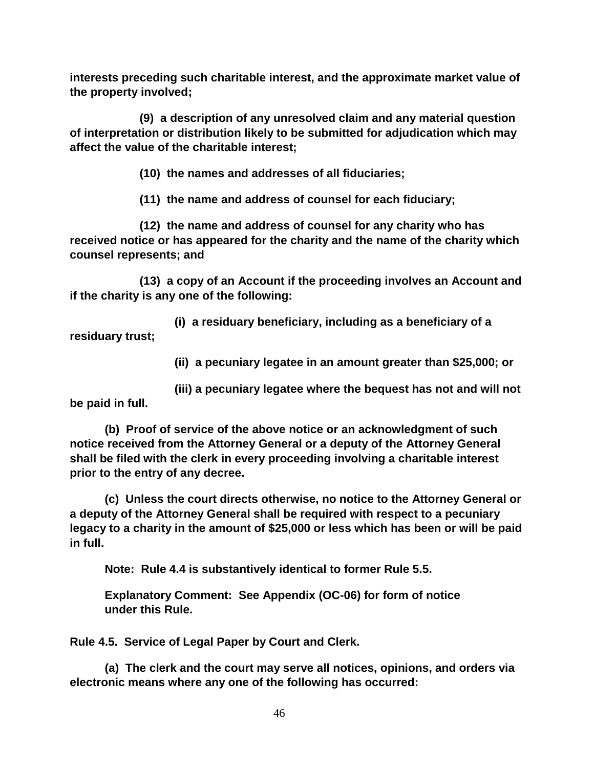**interests preceding such charitable interest, and the approximate market value of the property involved;** 

**(9) a description of any unresolved claim and any material question of interpretation or distribution likely to be submitted for adjudication which may affect the value of the charitable interest;** 

**(10) the names and addresses of all fiduciaries;** 

**(11) the name and address of counsel for each fiduciary;** 

**(12) the name and address of counsel for any charity who has received notice or has appeared for the charity and the name of the charity which counsel represents; and**

**(13) a copy of an Account if the proceeding involves an Account and if the charity is any one of the following:**

**(i) a residuary beneficiary, including as a beneficiary of a residuary trust;**

**(ii) a pecuniary legatee in an amount greater than \$25,000; or** 

**(iii) a pecuniary legatee where the bequest has not and will not be paid in full.**

**(b) Proof of service of the above notice or an acknowledgment of such notice received from the Attorney General or a deputy of the Attorney General shall be filed with the clerk in every proceeding involving a charitable interest prior to the entry of any decree.** 

**(c) Unless the court directs otherwise, no notice to the Attorney General or a deputy of the Attorney General shall be required with respect to a pecuniary legacy to a charity in the amount of \$25,000 or less which has been or will be paid in full.**

**Note: Rule 4.4 is substantively identical to former Rule 5.5.** 

**Explanatory Comment: See Appendix (OC-06) for form of notice under this Rule.**

**Rule 4.5. Service of Legal Paper by Court and Clerk.** 

**(a) The clerk and the court may serve all notices, opinions, and orders via electronic means where any one of the following has occurred:**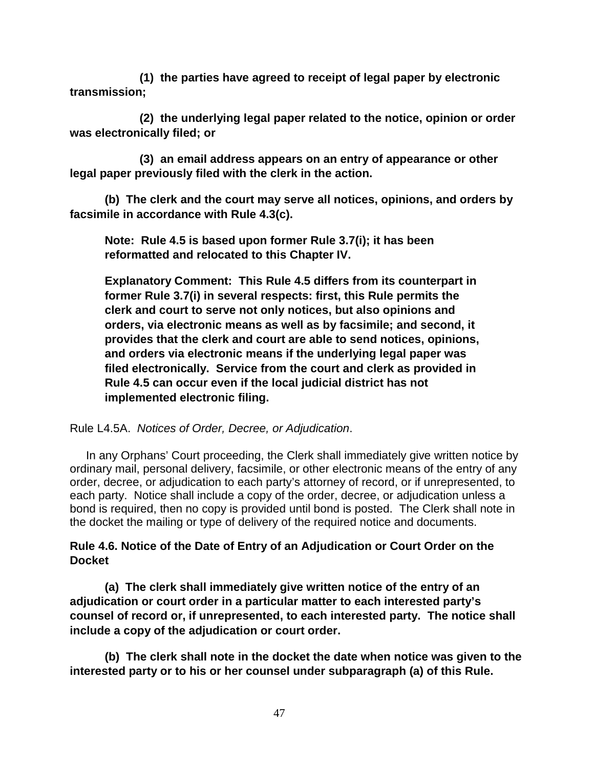**(1) the parties have agreed to receipt of legal paper by electronic transmission;**

**(2) the underlying legal paper related to the notice, opinion or order was electronically filed; or** 

**(3) an email address appears on an entry of appearance or other legal paper previously filed with the clerk in the action.** 

**(b) The clerk and the court may serve all notices, opinions, and orders by facsimile in accordance with Rule 4.3(c).**

**Note: Rule 4.5 is based upon former Rule 3.7(i); it has been reformatted and relocated to this Chapter IV.**

**Explanatory Comment: This Rule 4.5 differs from its counterpart in former Rule 3.7(i) in several respects: first, this Rule permits the clerk and court to serve not only notices, but also opinions and orders, via electronic means as well as by facsimile; and second, it provides that the clerk and court are able to send notices, opinions, and orders via electronic means if the underlying legal paper was filed electronically. Service from the court and clerk as provided in Rule 4.5 can occur even if the local judicial district has not implemented electronic filing.** 

Rule L4.5A. *Notices of Order, Decree, or Adjudication*.

 In any Orphans' Court proceeding, the Clerk shall immediately give written notice by ordinary mail, personal delivery, facsimile, or other electronic means of the entry of any order, decree, or adjudication to each party's attorney of record, or if unrepresented, to each party. Notice shall include a copy of the order, decree, or adjudication unless a bond is required, then no copy is provided until bond is posted. The Clerk shall note in the docket the mailing or type of delivery of the required notice and documents.

# **Rule 4.6. Notice of the Date of Entry of an Adjudication or Court Order on the Docket**

**(a) The clerk shall immediately give written notice of the entry of an adjudication or court order in a particular matter to each interested party's counsel of record or, if unrepresented, to each interested party. The notice shall include a copy of the adjudication or court order.**

**(b) The clerk shall note in the docket the date when notice was given to the interested party or to his or her counsel under subparagraph (a) of this Rule.**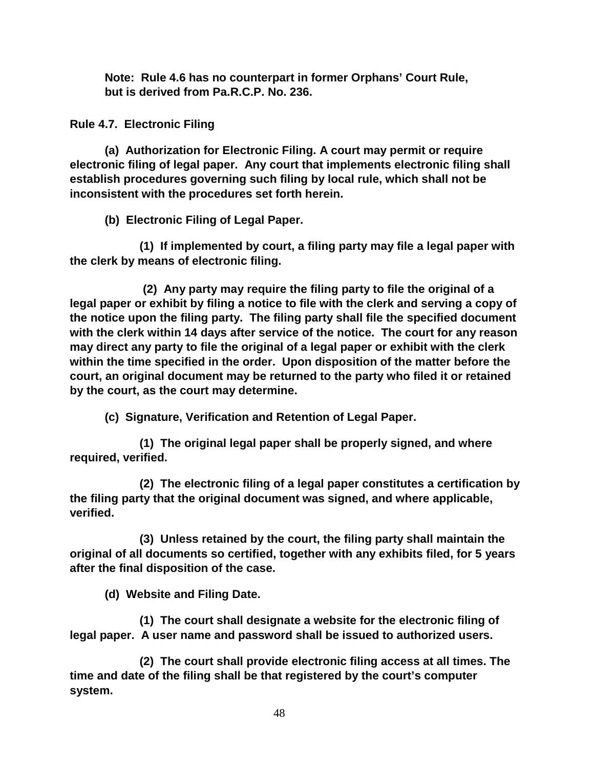**Note: Rule 4.6 has no counterpart in former Orphans' Court Rule, but is derived from Pa.R.C.P. No. 236.**

**Rule 4.7. Electronic Filing** 

**(a) Authorization for Electronic Filing. A court may permit or require electronic filing of legal paper. Any court that implements electronic filing shall establish procedures governing such filing by local rule, which shall not be inconsistent with the procedures set forth herein.**

**(b) Electronic Filing of Legal Paper.** 

**(1) If implemented by court, a filing party may file a legal paper with the clerk by means of electronic filing.** 

**(2) Any party may require the filing party to file the original of a legal paper or exhibit by filing a notice to file with the clerk and serving a copy of the notice upon the filing party. The filing party shall file the specified document with the clerk within 14 days after service of the notice. The court for any reason may direct any party to file the original of a legal paper or exhibit with the clerk within the time specified in the order. Upon disposition of the matter before the court, an original document may be returned to the party who filed it or retained by the court, as the court may determine.** 

**(c) Signature, Verification and Retention of Legal Paper.** 

**(1) The original legal paper shall be properly signed, and where required, verified.** 

**(2) The electronic filing of a legal paper constitutes a certification by the filing party that the original document was signed, and where applicable, verified.** 

**(3) Unless retained by the court, the filing party shall maintain the original of all documents so certified, together with any exhibits filed, for 5 years after the final disposition of the case.** 

**(d) Website and Filing Date.** 

**(1) The court shall designate a website for the electronic filing of legal paper. A user name and password shall be issued to authorized users.** 

**(2) The court shall provide electronic filing access at all times. The time and date of the filing shall be that registered by the court's computer system.**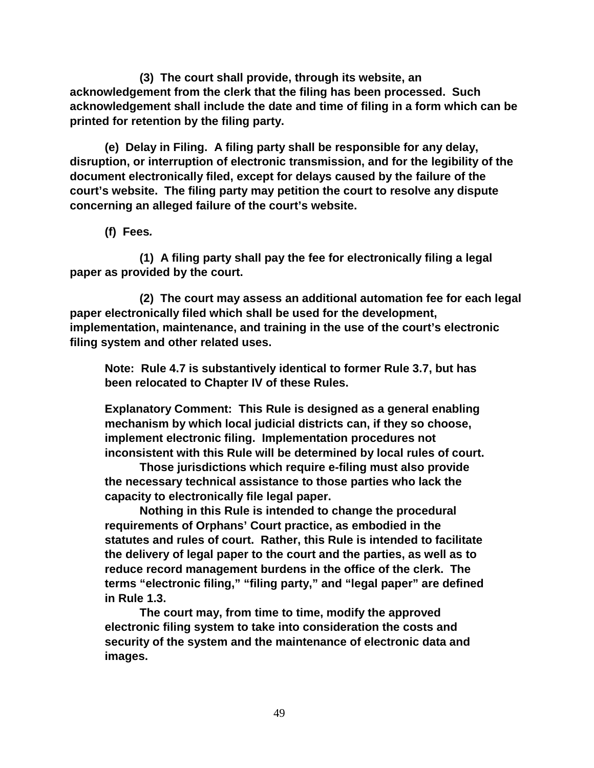**(3) The court shall provide, through its website, an acknowledgement from the clerk that the filing has been processed. Such acknowledgement shall include the date and time of filing in a form which can be printed for retention by the filing party.** 

**(e) Delay in Filing. A filing party shall be responsible for any delay, disruption, or interruption of electronic transmission, and for the legibility of the document electronically filed, except for delays caused by the failure of the court's website. The filing party may petition the court to resolve any dispute concerning an alleged failure of the court's website.** 

**(f) Fees***.*

**(1) A filing party shall pay the fee for electronically filing a legal paper as provided by the court.** 

**(2) The court may assess an additional automation fee for each legal paper electronically filed which shall be used for the development, implementation, maintenance, and training in the use of the court's electronic filing system and other related uses.** 

**Note: Rule 4.7 is substantively identical to former Rule 3.7, but has been relocated to Chapter IV of these Rules.** 

**Explanatory Comment: This Rule is designed as a general enabling mechanism by which local judicial districts can, if they so choose, implement electronic filing. Implementation procedures not inconsistent with this Rule will be determined by local rules of court.**

**Those jurisdictions which require e-filing must also provide the necessary technical assistance to those parties who lack the capacity to electronically file legal paper.**

**Nothing in this Rule is intended to change the procedural requirements of Orphans' Court practice, as embodied in the statutes and rules of court. Rather, this Rule is intended to facilitate the delivery of legal paper to the court and the parties, as well as to reduce record management burdens in the office of the clerk. The terms "electronic filing," "filing party," and "legal paper" are defined in Rule 1.3.** 

**The court may, from time to time, modify the approved electronic filing system to take into consideration the costs and security of the system and the maintenance of electronic data and images.**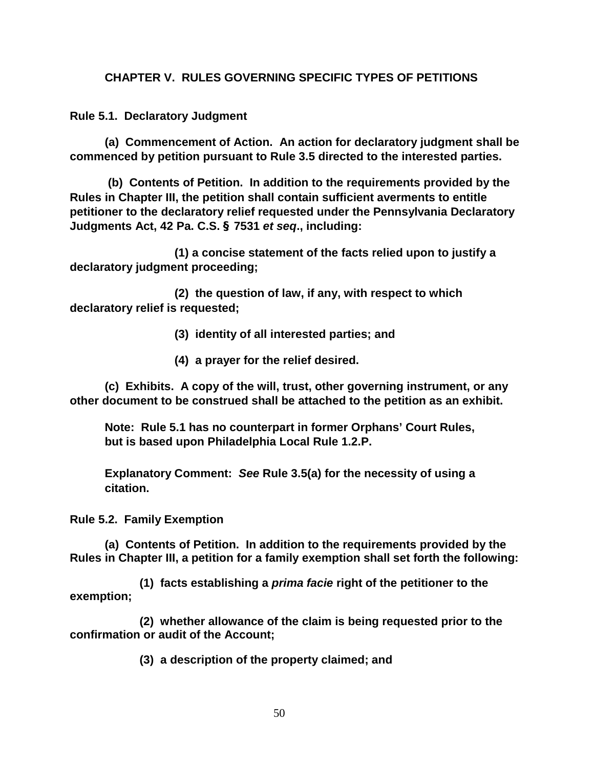## **CHAPTER V. RULES GOVERNING SPECIFIC TYPES OF PETITIONS**

**Rule 5.1. Declaratory Judgment** 

**(a) Commencement of Action. An action for declaratory judgment shall be commenced by petition pursuant to Rule 3.5 directed to the interested parties.**

**(b) Contents of Petition. In addition to the requirements provided by the Rules in Chapter III, the petition shall contain sufficient averments to entitle petitioner to the declaratory relief requested under the Pennsylvania Declaratory Judgments Act, 42 Pa. C.S. § 7531** *et seq***., including:**

**(1) a concise statement of the facts relied upon to justify a declaratory judgment proceeding;**

**(2) the question of law, if any, with respect to which declaratory relief is requested;**

- **(3) identity of all interested parties; and**
- **(4) a prayer for the relief desired.**

**(c) Exhibits. A copy of the will, trust, other governing instrument, or any other document to be construed shall be attached to the petition as an exhibit.**

**Note: Rule 5.1 has no counterpart in former Orphans' Court Rules, but is based upon Philadelphia Local Rule 1.2.P.** 

**Explanatory Comment:** *See* **Rule 3.5(a) for the necessity of using a citation.**

**Rule 5.2. Family Exemption** 

**(a) Contents of Petition. In addition to the requirements provided by the Rules in Chapter III, a petition for a family exemption shall set forth the following:**

**(1) facts establishing a** *prima facie* **right of the petitioner to the exemption;** 

**(2) whether allowance of the claim is being requested prior to the confirmation or audit of the Account;** 

**(3) a description of the property claimed; and**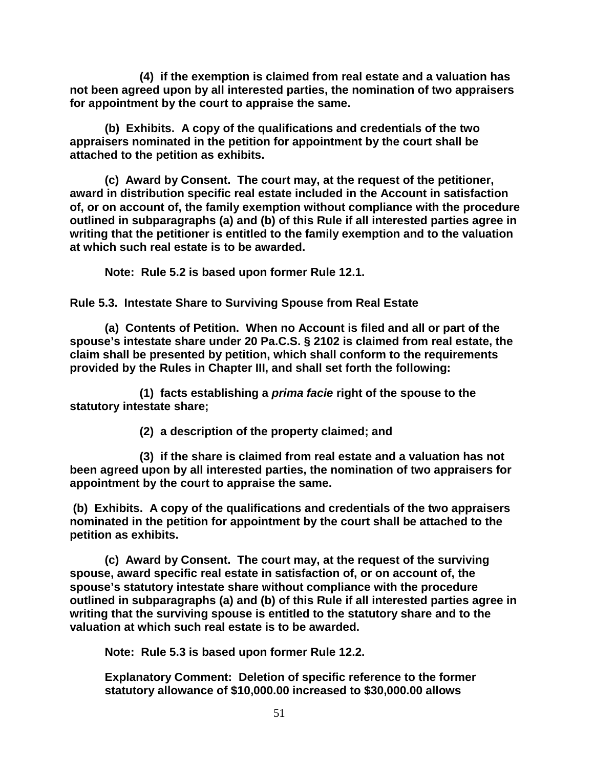**(4) if the exemption is claimed from real estate and a valuation has not been agreed upon by all interested parties, the nomination of two appraisers for appointment by the court to appraise the same.** 

**(b) Exhibits. A copy of the qualifications and credentials of the two appraisers nominated in the petition for appointment by the court shall be attached to the petition as exhibits.**

**(c) Award by Consent. The court may, at the request of the petitioner, award in distribution specific real estate included in the Account in satisfaction of, or on account of, the family exemption without compliance with the procedure outlined in subparagraphs (a) and (b) of this Rule if all interested parties agree in writing that the petitioner is entitled to the family exemption and to the valuation at which such real estate is to be awarded.**

**Note: Rule 5.2 is based upon former Rule 12.1.**

**Rule 5.3. Intestate Share to Surviving Spouse from Real Estate** 

**(a) Contents of Petition. When no Account is filed and all or part of the spouse's intestate share under 20 Pa.C.S. § 2102 is claimed from real estate, the claim shall be presented by petition, which shall conform to the requirements provided by the Rules in Chapter III, and shall set forth the following:**

**(1) facts establishing a** *prima facie* **right of the spouse to the statutory intestate share;** 

**(2) a description of the property claimed; and** 

**(3) if the share is claimed from real estate and a valuation has not been agreed upon by all interested parties, the nomination of two appraisers for appointment by the court to appraise the same.** 

**(b) Exhibits. A copy of the qualifications and credentials of the two appraisers nominated in the petition for appointment by the court shall be attached to the petition as exhibits.**

**(c) Award by Consent. The court may, at the request of the surviving spouse, award specific real estate in satisfaction of, or on account of, the spouse's statutory intestate share without compliance with the procedure outlined in subparagraphs (a) and (b) of this Rule if all interested parties agree in writing that the surviving spouse is entitled to the statutory share and to the valuation at which such real estate is to be awarded.**

**Note: Rule 5.3 is based upon former Rule 12.2.**

**Explanatory Comment: Deletion of specific reference to the former statutory allowance of \$10,000.00 increased to \$30,000.00 allows**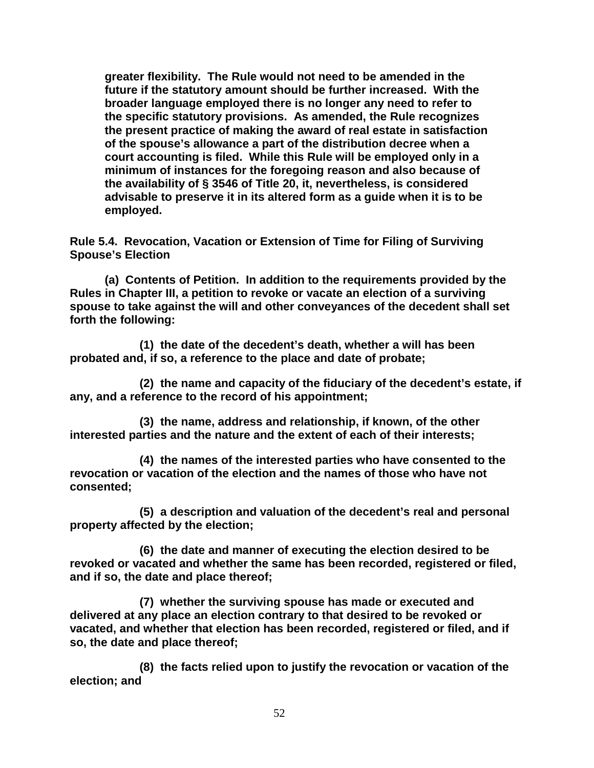**greater flexibility. The Rule would not need to be amended in the future if the statutory amount should be further increased. With the broader language employed there is no longer any need to refer to the specific statutory provisions. As amended, the Rule recognizes the present practice of making the award of real estate in satisfaction of the spouse's allowance a part of the distribution decree when a court accounting is filed. While this Rule will be employed only in a minimum of instances for the foregoing reason and also because of the availability of § 3546 of Title 20, it, nevertheless, is considered advisable to preserve it in its altered form as a guide when it is to be employed.**

**Rule 5.4. Revocation, Vacation or Extension of Time for Filing of Surviving Spouse's Election** 

**(a) Contents of Petition. In addition to the requirements provided by the Rules in Chapter III, a petition to revoke or vacate an election of a surviving spouse to take against the will and other conveyances of the decedent shall set forth the following:**

**(1) the date of the decedent's death, whether a will has been probated and, if so, a reference to the place and date of probate;** 

**(2) the name and capacity of the fiduciary of the decedent's estate, if any, and a reference to the record of his appointment;** 

**(3) the name, address and relationship, if known, of the other interested parties and the nature and the extent of each of their interests;**

**(4) the names of the interested parties who have consented to the revocation or vacation of the election and the names of those who have not consented;** 

**(5) a description and valuation of the decedent's real and personal property affected by the election;** 

**(6) the date and manner of executing the election desired to be revoked or vacated and whether the same has been recorded, registered or filed, and if so, the date and place thereof;** 

**(7) whether the surviving spouse has made or executed and delivered at any place an election contrary to that desired to be revoked or vacated, and whether that election has been recorded, registered or filed, and if so, the date and place thereof;** 

**(8) the facts relied upon to justify the revocation or vacation of the election; and**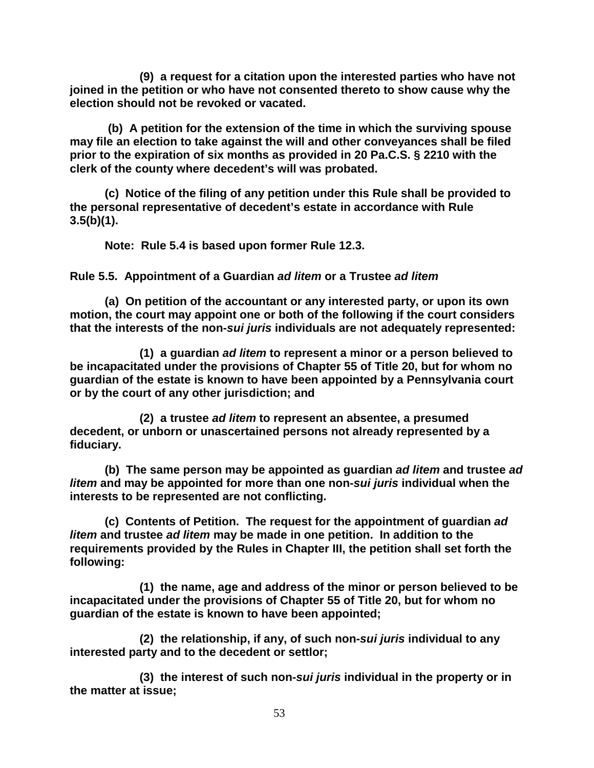**(9) a request for a citation upon the interested parties who have not joined in the petition or who have not consented thereto to show cause why the election should not be revoked or vacated.** 

**(b) A petition for the extension of the time in which the surviving spouse may file an election to take against the will and other conveyances shall be filed prior to the expiration of six months as provided in 20 Pa.C.S. § 2210 with the clerk of the county where decedent's will was probated.**

**(c) Notice of the filing of any petition under this Rule shall be provided to the personal representative of decedent's estate in accordance with Rule 3.5(b)(1).** 

**Note: Rule 5.4 is based upon former Rule 12.3.**

**Rule 5.5. Appointment of a Guardian** *ad litem* **or a Trustee** *ad litem*

**(a) On petition of the accountant or any interested party, or upon its own motion, the court may appoint one or both of the following if the court considers that the interests of the non-***sui juris* **individuals are not adequately represented:** 

**(1) a guardian** *ad litem* **to represent a minor or a person believed to be incapacitated under the provisions of Chapter 55 of Title 20, but for whom no guardian of the estate is known to have been appointed by a Pennsylvania court or by the court of any other jurisdiction; and**

**(2) a trustee** *ad litem* **to represent an absentee, a presumed decedent, or unborn or unascertained persons not already represented by a fiduciary.**

**(b) The same person may be appointed as guardian** *ad litem* **and trustee** *ad litem* **and may be appointed for more than one non-***sui juris* **individual when the interests to be represented are not conflicting.** 

**(c) Contents of Petition. The request for the appointment of guardian** *ad litem* **and trustee** *ad litem* **may be made in one petition. In addition to the requirements provided by the Rules in Chapter III, the petition shall set forth the following:** 

**(1) the name, age and address of the minor or person believed to be incapacitated under the provisions of Chapter 55 of Title 20, but for whom no guardian of the estate is known to have been appointed;**

**(2) the relationship, if any, of such non-***sui juris* **individual to any interested party and to the decedent or settlor;** 

**(3) the interest of such non-***sui juris* **individual in the property or in the matter at issue;**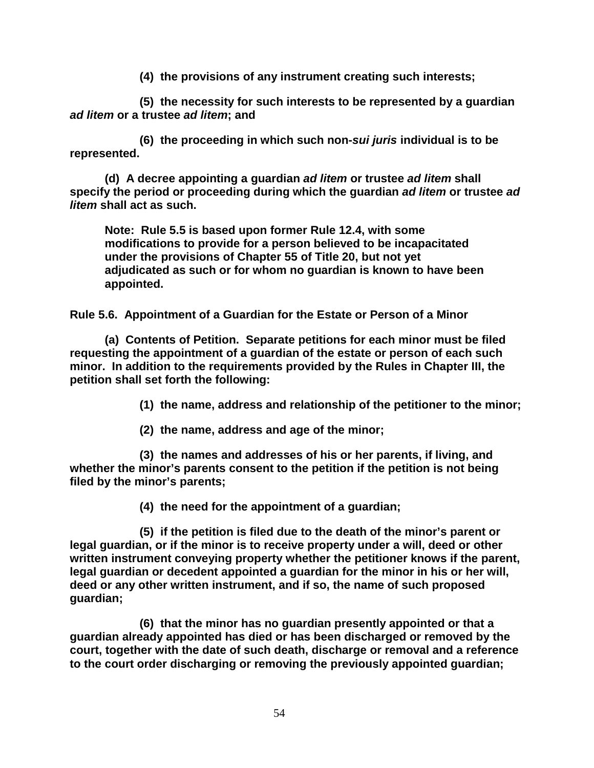**(4) the provisions of any instrument creating such interests;**

**(5) the necessity for such interests to be represented by a guardian**  *ad litem* **or a trustee** *ad litem***; and** 

**(6) the proceeding in which such non-***sui juris* **individual is to be represented.** 

**(d) A decree appointing a guardian** *ad litem* **or trustee** *ad litem* **shall specify the period or proceeding during which the guardian** *ad litem* **or trustee** *ad litem* **shall act as such.** 

**Note: Rule 5.5 is based upon former Rule 12.4, with some modifications to provide for a person believed to be incapacitated under the provisions of Chapter 55 of Title 20, but not yet adjudicated as such or for whom no guardian is known to have been appointed.** 

**Rule 5.6. Appointment of a Guardian for the Estate or Person of a Minor** 

**(a) Contents of Petition. Separate petitions for each minor must be filed requesting the appointment of a guardian of the estate or person of each such minor. In addition to the requirements provided by the Rules in Chapter III, the petition shall set forth the following:**

**(1) the name, address and relationship of the petitioner to the minor;**

**(2) the name, address and age of the minor;** 

**(3) the names and addresses of his or her parents, if living, and whether the minor's parents consent to the petition if the petition is not being filed by the minor's parents;**

**(4) the need for the appointment of a guardian;** 

**(5) if the petition is filed due to the death of the minor's parent or legal guardian, or if the minor is to receive property under a will, deed or other written instrument conveying property whether the petitioner knows if the parent, legal guardian or decedent appointed a guardian for the minor in his or her will, deed or any other written instrument, and if so, the name of such proposed guardian;**

**(6) that the minor has no guardian presently appointed or that a guardian already appointed has died or has been discharged or removed by the court, together with the date of such death, discharge or removal and a reference to the court order discharging or removing the previously appointed guardian;**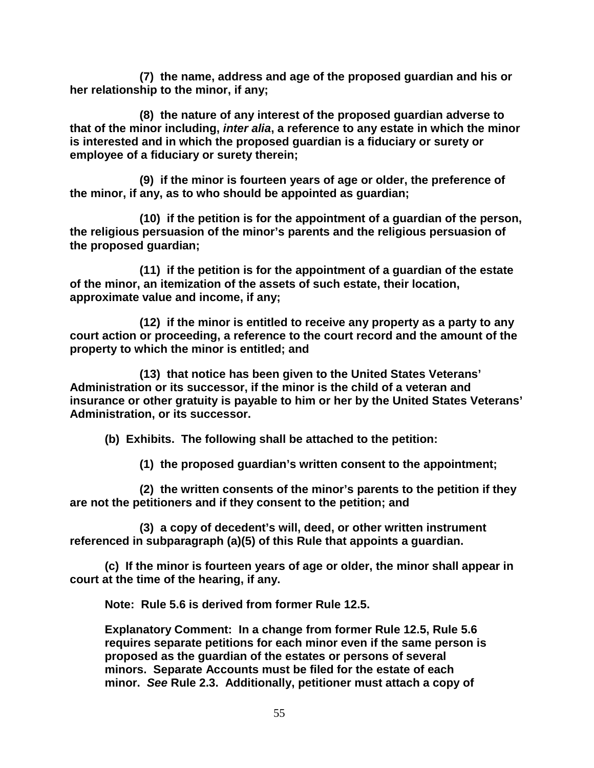**(7) the name, address and age of the proposed guardian and his or her relationship to the minor, if any;**

**(8) the nature of any interest of the proposed guardian adverse to that of the minor including,** *inter alia***, a reference to any estate in which the minor is interested and in which the proposed guardian is a fiduciary or surety or employee of a fiduciary or surety therein;**

**(9) if the minor is fourteen years of age or older, the preference of the minor, if any, as to who should be appointed as guardian;**

**(10) if the petition is for the appointment of a guardian of the person, the religious persuasion of the minor's parents and the religious persuasion of the proposed guardian;**

**(11) if the petition is for the appointment of a guardian of the estate of the minor, an itemization of the assets of such estate, their location, approximate value and income, if any;** 

**(12) if the minor is entitled to receive any property as a party to any court action or proceeding, a reference to the court record and the amount of the property to which the minor is entitled; and**

**(13) that notice has been given to the United States Veterans' Administration or its successor, if the minor is the child of a veteran and insurance or other gratuity is payable to him or her by the United States Veterans' Administration, or its successor.**

**(b) Exhibits. The following shall be attached to the petition:**

**(1) the proposed guardian's written consent to the appointment;**

**(2) the written consents of the minor's parents to the petition if they are not the petitioners and if they consent to the petition; and** 

**(3) a copy of decedent's will, deed, or other written instrument referenced in subparagraph (a)(5) of this Rule that appoints a guardian.**

**(c) If the minor is fourteen years of age or older, the minor shall appear in court at the time of the hearing, if any.** 

**Note: Rule 5.6 is derived from former Rule 12.5.** 

**Explanatory Comment: In a change from former Rule 12.5, Rule 5.6 requires separate petitions for each minor even if the same person is proposed as the guardian of the estates or persons of several minors. Separate Accounts must be filed for the estate of each minor.** *See* **Rule 2.3. Additionally, petitioner must attach a copy of**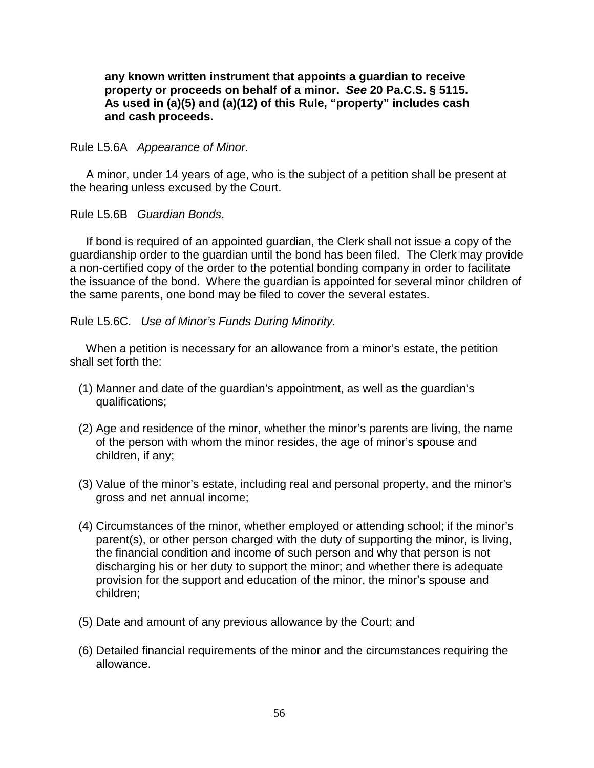**any known written instrument that appoints a guardian to receive property or proceeds on behalf of a minor.** *See* **20 Pa.C.S. § 5115. As used in (a)(5) and (a)(12) of this Rule, "property" includes cash and cash proceeds.**

Rule L5.6A *Appearance of Minor*.

 A minor, under 14 years of age, who is the subject of a petition shall be present at the hearing unless excused by the Court.

Rule L5.6B *Guardian Bonds*.

 If bond is required of an appointed guardian, the Clerk shall not issue a copy of the guardianship order to the guardian until the bond has been filed. The Clerk may provide a non-certified copy of the order to the potential bonding company in order to facilitate the issuance of the bond. Where the guardian is appointed for several minor children of the same parents, one bond may be filed to cover the several estates.

Rule L5.6C. *Use of Minor's Funds During Minority.*

 When a petition is necessary for an allowance from a minor's estate, the petition shall set forth the:

- (1) Manner and date of the guardian's appointment, as well as the guardian's qualifications;
- (2) Age and residence of the minor, whether the minor's parents are living, the name of the person with whom the minor resides, the age of minor's spouse and children, if any;
- (3) Value of the minor's estate, including real and personal property, and the minor's gross and net annual income;
- (4) Circumstances of the minor, whether employed or attending school; if the minor's parent(s), or other person charged with the duty of supporting the minor, is living, the financial condition and income of such person and why that person is not discharging his or her duty to support the minor; and whether there is adequate provision for the support and education of the minor, the minor's spouse and children;
- (5) Date and amount of any previous allowance by the Court; and
- (6) Detailed financial requirements of the minor and the circumstances requiring the allowance.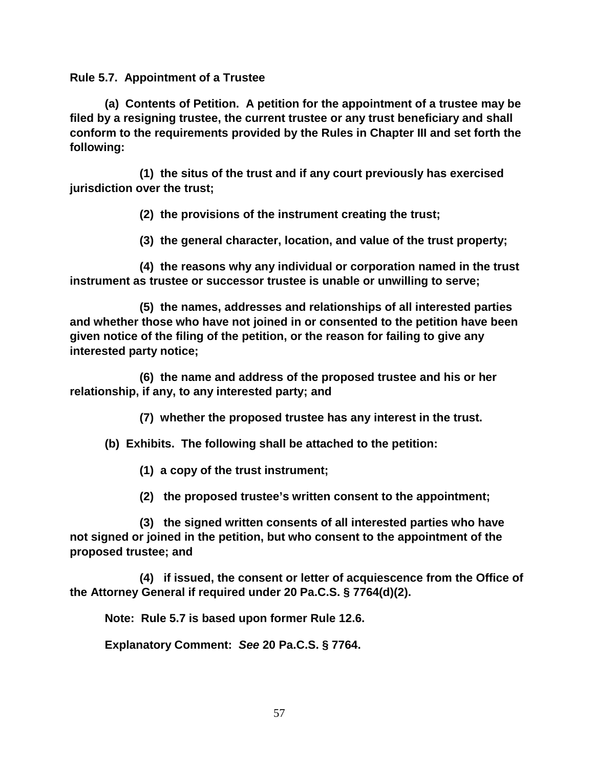**Rule 5.7. Appointment of a Trustee**

**(a) Contents of Petition. A petition for the appointment of a trustee may be filed by a resigning trustee, the current trustee or any trust beneficiary and shall conform to the requirements provided by the Rules in Chapter III and set forth the following:**

**(1) the situs of the trust and if any court previously has exercised jurisdiction over the trust;** 

**(2) the provisions of the instrument creating the trust;**

**(3) the general character, location, and value of the trust property;**

**(4) the reasons why any individual or corporation named in the trust instrument as trustee or successor trustee is unable or unwilling to serve;**

**(5) the names, addresses and relationships of all interested parties and whether those who have not joined in or consented to the petition have been given notice of the filing of the petition, or the reason for failing to give any interested party notice;** 

**(6) the name and address of the proposed trustee and his or her relationship, if any, to any interested party; and** 

**(7) whether the proposed trustee has any interest in the trust.** 

**(b) Exhibits. The following shall be attached to the petition:** 

**(1) a copy of the trust instrument;** 

**(2) the proposed trustee's written consent to the appointment;**

**(3) the signed written consents of all interested parties who have not signed or joined in the petition, but who consent to the appointment of the proposed trustee; and**

**(4) if issued, the consent or letter of acquiescence from the Office of the Attorney General if required under 20 Pa.C.S. § 7764(d)(2).**

**Note: Rule 5.7 is based upon former Rule 12.6.** 

**Explanatory Comment:** *See* **20 Pa.C.S. § 7764.**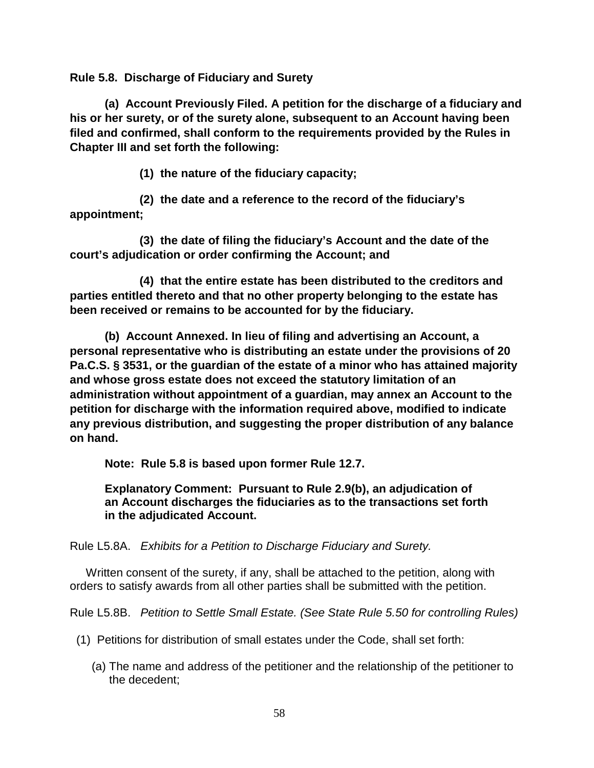**Rule 5.8. Discharge of Fiduciary and Surety** 

**(a) Account Previously Filed. A petition for the discharge of a fiduciary and his or her surety, or of the surety alone, subsequent to an Account having been filed and confirmed, shall conform to the requirements provided by the Rules in Chapter III and set forth the following:**

**(1) the nature of the fiduciary capacity;** 

**(2) the date and a reference to the record of the fiduciary's appointment;** 

**(3) the date of filing the fiduciary's Account and the date of the court's adjudication or order confirming the Account; and** 

**(4) that the entire estate has been distributed to the creditors and parties entitled thereto and that no other property belonging to the estate has been received or remains to be accounted for by the fiduciary.** 

**(b) Account Annexed. In lieu of filing and advertising an Account, a personal representative who is distributing an estate under the provisions of 20 Pa.C.S. § 3531, or the guardian of the estate of a minor who has attained majority and whose gross estate does not exceed the statutory limitation of an administration without appointment of a guardian, may annex an Account to the petition for discharge with the information required above, modified to indicate any previous distribution, and suggesting the proper distribution of any balance on hand.** 

**Note: Rule 5.8 is based upon former Rule 12.7.** 

**Explanatory Comment: Pursuant to Rule 2.9(b), an adjudication of an Account discharges the fiduciaries as to the transactions set forth in the adjudicated Account.**

Rule L5.8A. *Exhibits for a Petition to Discharge Fiduciary and Surety.*

 Written consent of the surety, if any, shall be attached to the petition, along with orders to satisfy awards from all other parties shall be submitted with the petition.

Rule L5.8B. *Petition to Settle Small Estate. (See State Rule 5.50 for controlling Rules)*

- (1) Petitions for distribution of small estates under the Code, shall set forth:
	- (a) The name and address of the petitioner and the relationship of the petitioner to the decedent;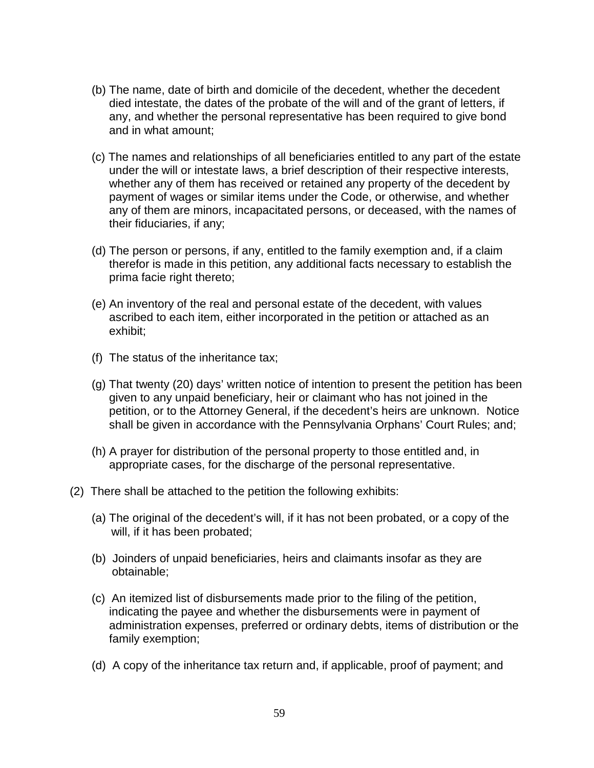- (b) The name, date of birth and domicile of the decedent, whether the decedent died intestate, the dates of the probate of the will and of the grant of letters, if any, and whether the personal representative has been required to give bond and in what amount;
- (c) The names and relationships of all beneficiaries entitled to any part of the estate under the will or intestate laws, a brief description of their respective interests, whether any of them has received or retained any property of the decedent by payment of wages or similar items under the Code, or otherwise, and whether any of them are minors, incapacitated persons, or deceased, with the names of their fiduciaries, if any;
- (d) The person or persons, if any, entitled to the family exemption and, if a claim therefor is made in this petition, any additional facts necessary to establish the prima facie right thereto;
- (e) An inventory of the real and personal estate of the decedent, with values ascribed to each item, either incorporated in the petition or attached as an exhibit;
- (f) The status of the inheritance tax;
- (g) That twenty (20) days' written notice of intention to present the petition has been given to any unpaid beneficiary, heir or claimant who has not joined in the petition, or to the Attorney General, if the decedent's heirs are unknown. Notice shall be given in accordance with the Pennsylvania Orphans' Court Rules; and;
- (h) A prayer for distribution of the personal property to those entitled and, in appropriate cases, for the discharge of the personal representative.
- (2) There shall be attached to the petition the following exhibits:
	- (a) The original of the decedent's will, if it has not been probated, or a copy of the will, if it has been probated;
	- (b) Joinders of unpaid beneficiaries, heirs and claimants insofar as they are obtainable;
	- (c) An itemized list of disbursements made prior to the filing of the petition, indicating the payee and whether the disbursements were in payment of administration expenses, preferred or ordinary debts, items of distribution or the family exemption;
	- (d) A copy of the inheritance tax return and, if applicable, proof of payment; and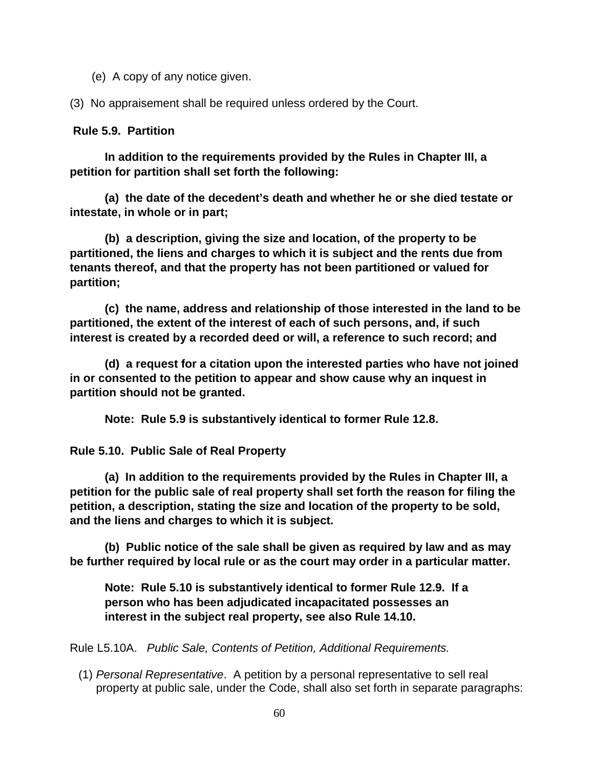- (e) A copy of any notice given.
- (3) No appraisement shall be required unless ordered by the Court.

### **Rule 5.9. Partition**

**In addition to the requirements provided by the Rules in Chapter III, a petition for partition shall set forth the following:**

**(a) the date of the decedent's death and whether he or she died testate or intestate, in whole or in part;** 

**(b) a description, giving the size and location, of the property to be partitioned, the liens and charges to which it is subject and the rents due from tenants thereof, and that the property has not been partitioned or valued for partition;** 

**(c) the name, address and relationship of those interested in the land to be partitioned, the extent of the interest of each of such persons, and, if such interest is created by a recorded deed or will, a reference to such record; and** 

**(d) a request for a citation upon the interested parties who have not joined in or consented to the petition to appear and show cause why an inquest in partition should not be granted.** 

**Note: Rule 5.9 is substantively identical to former Rule 12.8.**

#### **Rule 5.10. Public Sale of Real Property**

**(a) In addition to the requirements provided by the Rules in Chapter III, a petition for the public sale of real property shall set forth the reason for filing the petition, a description, stating the size and location of the property to be sold, and the liens and charges to which it is subject.** 

**(b) Public notice of the sale shall be given as required by law and as may be further required by local rule or as the court may order in a particular matter.**

**Note: Rule 5.10 is substantively identical to former Rule 12.9. If a person who has been adjudicated incapacitated possesses an interest in the subject real property, see also Rule 14.10.**

Rule L5.10A. *Public Sale, Contents of Petition, Additional Requirements.*

(1) *Personal Representative*. A petition by a personal representative to sell real property at public sale, under the Code, shall also set forth in separate paragraphs: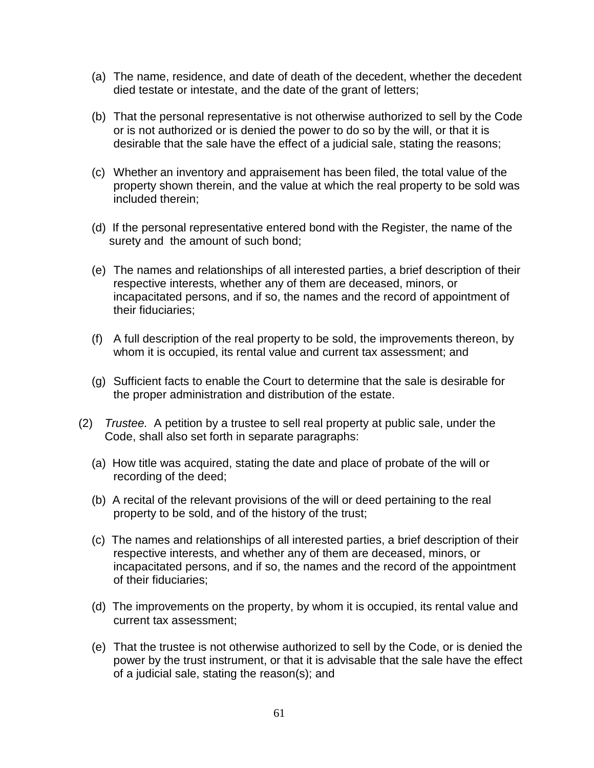- (a) The name, residence, and date of death of the decedent, whether the decedent died testate or intestate, and the date of the grant of letters;
- (b) That the personal representative is not otherwise authorized to sell by the Code or is not authorized or is denied the power to do so by the will, or that it is desirable that the sale have the effect of a judicial sale, stating the reasons;
- (c) Whether an inventory and appraisement has been filed, the total value of the property shown therein, and the value at which the real property to be sold was included therein;
- (d) If the personal representative entered bond with the Register, the name of the surety and the amount of such bond;
- (e) The names and relationships of all interested parties, a brief description of their respective interests, whether any of them are deceased, minors, or incapacitated persons, and if so, the names and the record of appointment of their fiduciaries;
- (f) A full description of the real property to be sold, the improvements thereon, by whom it is occupied, its rental value and current tax assessment; and
- (g) Sufficient facts to enable the Court to determine that the sale is desirable for the proper administration and distribution of the estate.
- (2) *Trustee.* A petition by a trustee to sell real property at public sale, under the Code, shall also set forth in separate paragraphs:
	- (a) How title was acquired, stating the date and place of probate of the will or recording of the deed;
	- (b) A recital of the relevant provisions of the will or deed pertaining to the real property to be sold, and of the history of the trust;
	- (c) The names and relationships of all interested parties, a brief description of their respective interests, and whether any of them are deceased, minors, or incapacitated persons, and if so, the names and the record of the appointment of their fiduciaries;
	- (d) The improvements on the property, by whom it is occupied, its rental value and current tax assessment;
	- (e) That the trustee is not otherwise authorized to sell by the Code, or is denied the power by the trust instrument, or that it is advisable that the sale have the effect of a judicial sale, stating the reason(s); and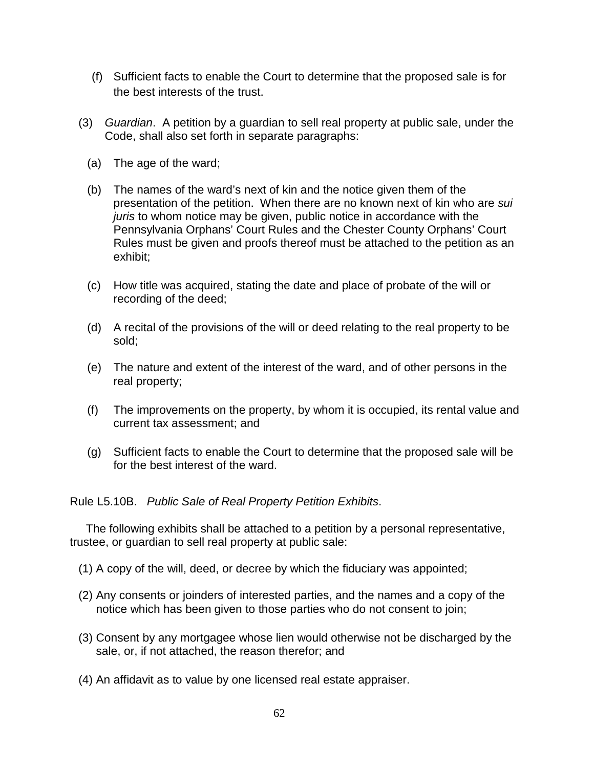- (f) Sufficient facts to enable the Court to determine that the proposed sale is for the best interests of the trust.
- (3) *Guardian*. A petition by a guardian to sell real property at public sale, under the Code, shall also set forth in separate paragraphs:
	- (a) The age of the ward;
	- (b) The names of the ward's next of kin and the notice given them of the presentation of the petition. When there are no known next of kin who are *sui juris* to whom notice may be given, public notice in accordance with the Pennsylvania Orphans' Court Rules and the Chester County Orphans' Court Rules must be given and proofs thereof must be attached to the petition as an exhibit;
	- (c) How title was acquired, stating the date and place of probate of the will or recording of the deed;
	- (d) A recital of the provisions of the will or deed relating to the real property to be sold;
	- (e) The nature and extent of the interest of the ward, and of other persons in the real property;
	- (f) The improvements on the property, by whom it is occupied, its rental value and current tax assessment; and
	- (g) Sufficient facts to enable the Court to determine that the proposed sale will be for the best interest of the ward.

Rule L5.10B. *Public Sale of Real Property Petition Exhibits*.

 The following exhibits shall be attached to a petition by a personal representative, trustee, or guardian to sell real property at public sale:

- (1) A copy of the will, deed, or decree by which the fiduciary was appointed;
- (2) Any consents or joinders of interested parties, and the names and a copy of the notice which has been given to those parties who do not consent to join;
- (3) Consent by any mortgagee whose lien would otherwise not be discharged by the sale, or, if not attached, the reason therefor; and
- (4) An affidavit as to value by one licensed real estate appraiser.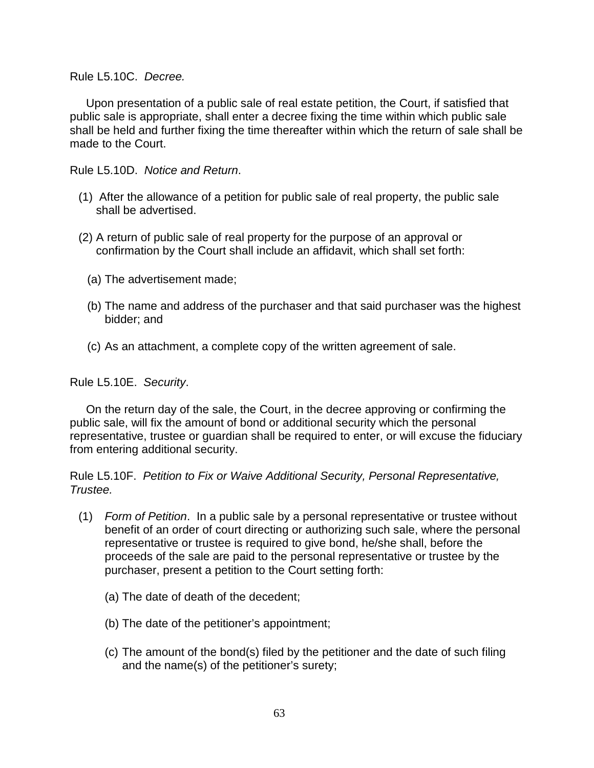#### Rule L5.10C. *Decree.*

 Upon presentation of a public sale of real estate petition, the Court, if satisfied that public sale is appropriate, shall enter a decree fixing the time within which public sale shall be held and further fixing the time thereafter within which the return of sale shall be made to the Court.

Rule L5.10D. *Notice and Return*.

- (1) After the allowance of a petition for public sale of real property, the public sale shall be advertised.
- (2) A return of public sale of real property for the purpose of an approval or confirmation by the Court shall include an affidavit, which shall set forth:
	- (a) The advertisement made;
	- (b) The name and address of the purchaser and that said purchaser was the highest bidder; and
	- (c) As an attachment, a complete copy of the written agreement of sale.

Rule L5.10E. *Security*.

 On the return day of the sale, the Court, in the decree approving or confirming the public sale, will fix the amount of bond or additional security which the personal representative, trustee or guardian shall be required to enter, or will excuse the fiduciary from entering additional security.

Rule L5.10F. *Petition to Fix or Waive Additional Security, Personal Representative, Trustee.*

- (1) *Form of Petition*. In a public sale by a personal representative or trustee without benefit of an order of court directing or authorizing such sale, where the personal representative or trustee is required to give bond, he/she shall, before the proceeds of the sale are paid to the personal representative or trustee by the purchaser, present a petition to the Court setting forth:
	- (a) The date of death of the decedent;
	- (b) The date of the petitioner's appointment;
	- (c) The amount of the bond(s) filed by the petitioner and the date of such filing and the name(s) of the petitioner's surety;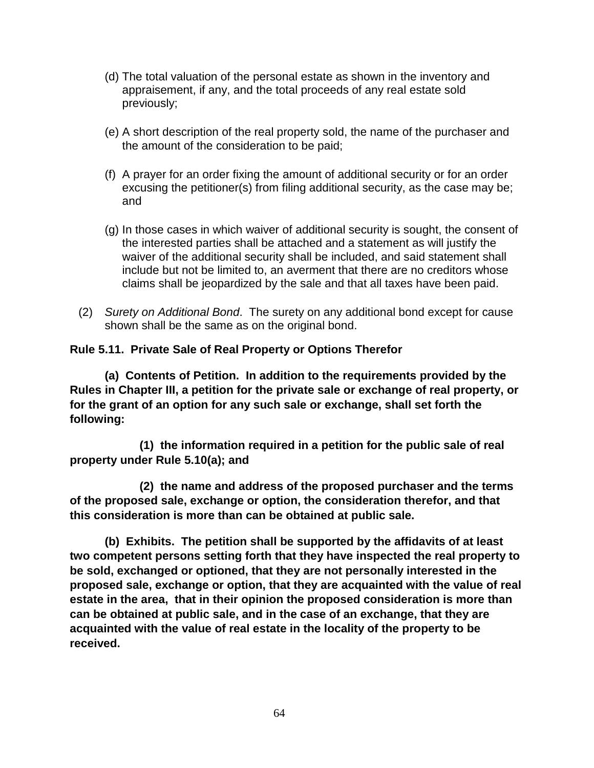- (d) The total valuation of the personal estate as shown in the inventory and appraisement, if any, and the total proceeds of any real estate sold previously;
- (e) A short description of the real property sold, the name of the purchaser and the amount of the consideration to be paid;
- (f) A prayer for an order fixing the amount of additional security or for an order excusing the petitioner(s) from filing additional security, as the case may be; and
- (g) In those cases in which waiver of additional security is sought, the consent of the interested parties shall be attached and a statement as will justify the waiver of the additional security shall be included, and said statement shall include but not be limited to, an averment that there are no creditors whose claims shall be jeopardized by the sale and that all taxes have been paid.
- (2) *Surety on Additional Bond*. The surety on any additional bond except for cause shown shall be the same as on the original bond.

### **Rule 5.11. Private Sale of Real Property or Options Therefor**

**(a) Contents of Petition. In addition to the requirements provided by the Rules in Chapter III, a petition for the private sale or exchange of real property, or for the grant of an option for any such sale or exchange, shall set forth the following:**

**(1) the information required in a petition for the public sale of real property under Rule 5.10(a); and**

**(2) the name and address of the proposed purchaser and the terms of the proposed sale, exchange or option, the consideration therefor, and that this consideration is more than can be obtained at public sale.** 

**(b) Exhibits. The petition shall be supported by the affidavits of at least two competent persons setting forth that they have inspected the real property to be sold, exchanged or optioned, that they are not personally interested in the proposed sale, exchange or option, that they are acquainted with the value of real estate in the area, that in their opinion the proposed consideration is more than can be obtained at public sale, and in the case of an exchange, that they are acquainted with the value of real estate in the locality of the property to be received.**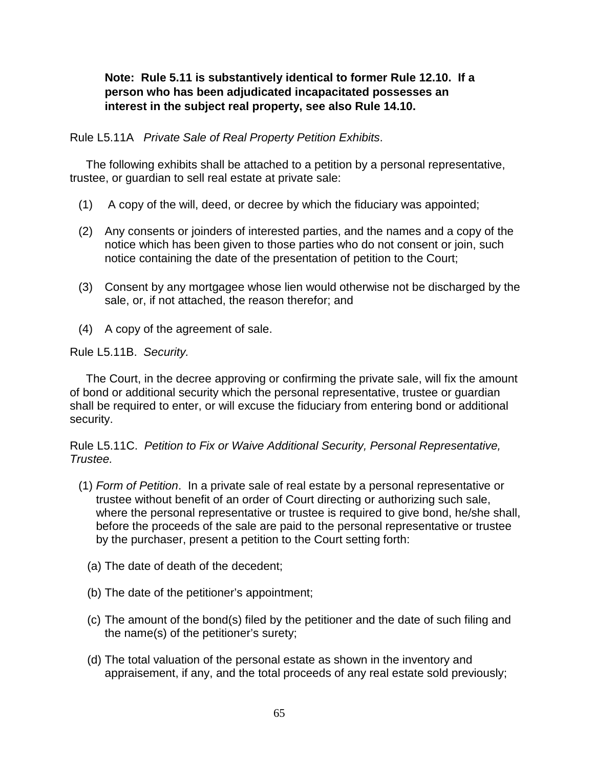## **Note: Rule 5.11 is substantively identical to former Rule 12.10. If a person who has been adjudicated incapacitated possesses an interest in the subject real property, see also Rule 14.10.**

Rule L5.11A *Private Sale of Real Property Petition Exhibits*.

 The following exhibits shall be attached to a petition by a personal representative, trustee, or guardian to sell real estate at private sale:

- (1) A copy of the will, deed, or decree by which the fiduciary was appointed;
- (2) Any consents or joinders of interested parties, and the names and a copy of the notice which has been given to those parties who do not consent or join, such notice containing the date of the presentation of petition to the Court;
- (3) Consent by any mortgagee whose lien would otherwise not be discharged by the sale, or, if not attached, the reason therefor; and
- (4) A copy of the agreement of sale.

Rule L5.11B. *Security.*

 The Court, in the decree approving or confirming the private sale, will fix the amount of bond or additional security which the personal representative, trustee or guardian shall be required to enter, or will excuse the fiduciary from entering bond or additional security.

Rule L5.11C. *Petition to Fix or Waive Additional Security, Personal Representative, Trustee.*

- (1) *Form of Petition*. In a private sale of real estate by a personal representative or trustee without benefit of an order of Court directing or authorizing such sale, where the personal representative or trustee is required to give bond, he/she shall, before the proceeds of the sale are paid to the personal representative or trustee by the purchaser, present a petition to the Court setting forth:
	- (a) The date of death of the decedent;
	- (b) The date of the petitioner's appointment;
	- (c) The amount of the bond(s) filed by the petitioner and the date of such filing and the name(s) of the petitioner's surety;
	- (d) The total valuation of the personal estate as shown in the inventory and appraisement, if any, and the total proceeds of any real estate sold previously;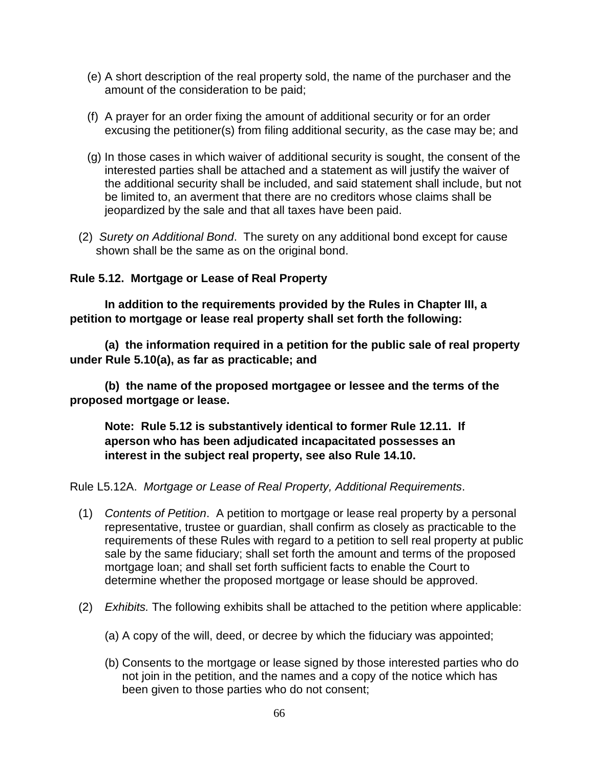- (e) A short description of the real property sold, the name of the purchaser and the amount of the consideration to be paid;
- (f) A prayer for an order fixing the amount of additional security or for an order excusing the petitioner(s) from filing additional security, as the case may be; and
- (g) In those cases in which waiver of additional security is sought, the consent of the interested parties shall be attached and a statement as will justify the waiver of the additional security shall be included, and said statement shall include, but not be limited to, an averment that there are no creditors whose claims shall be jeopardized by the sale and that all taxes have been paid.
- (2) *Surety on Additional Bond*. The surety on any additional bond except for cause shown shall be the same as on the original bond.

### **Rule 5.12. Mortgage or Lease of Real Property**

**In addition to the requirements provided by the Rules in Chapter III, a petition to mortgage or lease real property shall set forth the following:**

**(a) the information required in a petition for the public sale of real property under Rule 5.10(a), as far as practicable; and** 

**(b) the name of the proposed mortgagee or lessee and the terms of the proposed mortgage or lease.** 

**Note: Rule 5.12 is substantively identical to former Rule 12.11. If aperson who has been adjudicated incapacitated possesses an interest in the subject real property, see also Rule 14.10.** 

Rule L5.12A. *Mortgage or Lease of Real Property, Additional Requirements*.

- (1) *Contents of Petition*. A petition to mortgage or lease real property by a personal representative, trustee or guardian, shall confirm as closely as practicable to the requirements of these Rules with regard to a petition to sell real property at public sale by the same fiduciary; shall set forth the amount and terms of the proposed mortgage loan; and shall set forth sufficient facts to enable the Court to determine whether the proposed mortgage or lease should be approved.
- (2) *Exhibits.* The following exhibits shall be attached to the petition where applicable:
	- (a) A copy of the will, deed, or decree by which the fiduciary was appointed;
	- (b) Consents to the mortgage or lease signed by those interested parties who do not join in the petition, and the names and a copy of the notice which has been given to those parties who do not consent;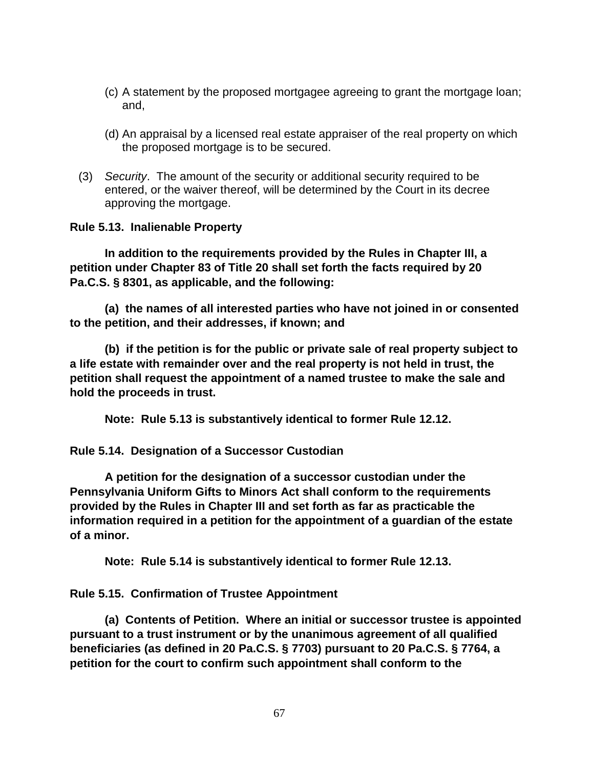- (c) A statement by the proposed mortgagee agreeing to grant the mortgage loan; and,
- (d) An appraisal by a licensed real estate appraiser of the real property on which the proposed mortgage is to be secured.
- (3) *Security*. The amount of the security or additional security required to be entered, or the waiver thereof, will be determined by the Court in its decree approving the mortgage.

### **Rule 5.13. Inalienable Property**

**In addition to the requirements provided by the Rules in Chapter III, a petition under Chapter 83 of Title 20 shall set forth the facts required by 20 Pa.C.S. § 8301, as applicable, and the following:**

**(a) the names of all interested parties who have not joined in or consented to the petition, and their addresses, if known; and** 

**(b) if the petition is for the public or private sale of real property subject to a life estate with remainder over and the real property is not held in trust, the petition shall request the appointment of a named trustee to make the sale and hold the proceeds in trust.**

**Note: Rule 5.13 is substantively identical to former Rule 12.12.**

**Rule 5.14. Designation of a Successor Custodian** 

**A petition for the designation of a successor custodian under the Pennsylvania Uniform Gifts to Minors Act shall conform to the requirements provided by the Rules in Chapter III and set forth as far as practicable the information required in a petition for the appointment of a guardian of the estate of a minor.**

**Note: Rule 5.14 is substantively identical to former Rule 12.13.**

**Rule 5.15. Confirmation of Trustee Appointment**

**(a) Contents of Petition. Where an initial or successor trustee is appointed pursuant to a trust instrument or by the unanimous agreement of all qualified beneficiaries (as defined in 20 Pa.C.S. § 7703) pursuant to 20 Pa.C.S. § 7764, a petition for the court to confirm such appointment shall conform to the**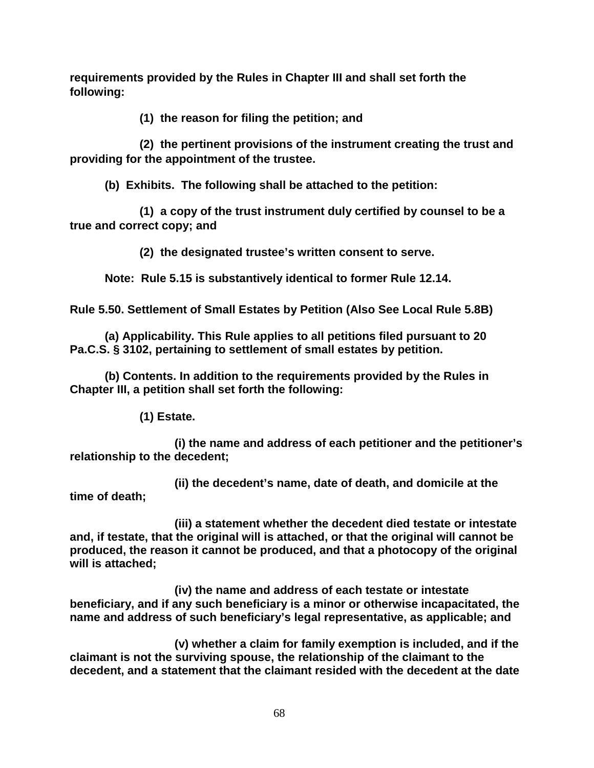**requirements provided by the Rules in Chapter III and shall set forth the following:**

**(1) the reason for filing the petition; and** 

**(2) the pertinent provisions of the instrument creating the trust and providing for the appointment of the trustee.**

**(b) Exhibits. The following shall be attached to the petition:**

**(1) a copy of the trust instrument duly certified by counsel to be a true and correct copy; and** 

**(2) the designated trustee's written consent to serve.** 

**Note: Rule 5.15 is substantively identical to former Rule 12.14.** 

**Rule 5.50. Settlement of Small Estates by Petition (Also See Local Rule 5.8B)**

**(a) Applicability. This Rule applies to all petitions filed pursuant to 20 Pa.C.S. § 3102, pertaining to settlement of small estates by petition.**

**(b) Contents. In addition to the requirements provided by the Rules in Chapter III, a petition shall set forth the following:**

**(1) Estate.**

**(i) the name and address of each petitioner and the petitioner's relationship to the decedent;**

**(ii) the decedent's name, date of death, and domicile at the time of death;**

**(iii) a statement whether the decedent died testate or intestate and, if testate, that the original will is attached, or that the original will cannot be produced, the reason it cannot be produced, and that a photocopy of the original will is attached;**

**(iv) the name and address of each testate or intestate beneficiary, and if any such beneficiary is a minor or otherwise incapacitated, the name and address of such beneficiary's legal representative, as applicable; and**

**(v) whether a claim for family exemption is included, and if the claimant is not the surviving spouse, the relationship of the claimant to the decedent, and a statement that the claimant resided with the decedent at the date**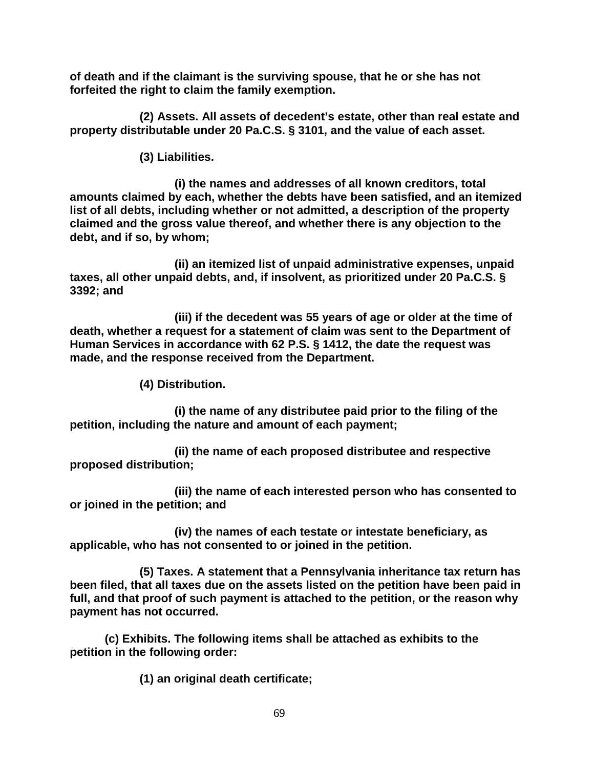**of death and if the claimant is the surviving spouse, that he or she has not forfeited the right to claim the family exemption.**

**(2) Assets. All assets of decedent's estate, other than real estate and property distributable under 20 Pa.C.S. § 3101, and the value of each asset.**

**(3) Liabilities.**

**(i) the names and addresses of all known creditors, total amounts claimed by each, whether the debts have been satisfied, and an itemized list of all debts, including whether or not admitted, a description of the property claimed and the gross value thereof, and whether there is any objection to the debt, and if so, by whom;**

**(ii) an itemized list of unpaid administrative expenses, unpaid taxes, all other unpaid debts, and, if insolvent, as prioritized under 20 Pa.C.S. § 3392; and**

**(iii) if the decedent was 55 years of age or older at the time of death, whether a request for a statement of claim was sent to the Department of Human Services in accordance with 62 P.S. § 1412, the date the request was made, and the response received from the Department.**

**(4) Distribution.**

**(i) the name of any distributee paid prior to the filing of the petition, including the nature and amount of each payment;**

**(ii) the name of each proposed distributee and respective proposed distribution;**

**(iii) the name of each interested person who has consented to or joined in the petition; and**

**(iv) the names of each testate or intestate beneficiary, as applicable, who has not consented to or joined in the petition.**

**(5) Taxes. A statement that a Pennsylvania inheritance tax return has been filed, that all taxes due on the assets listed on the petition have been paid in full, and that proof of such payment is attached to the petition, or the reason why payment has not occurred.**

**(c) Exhibits. The following items shall be attached as exhibits to the petition in the following order:**

**(1) an original death certificate;**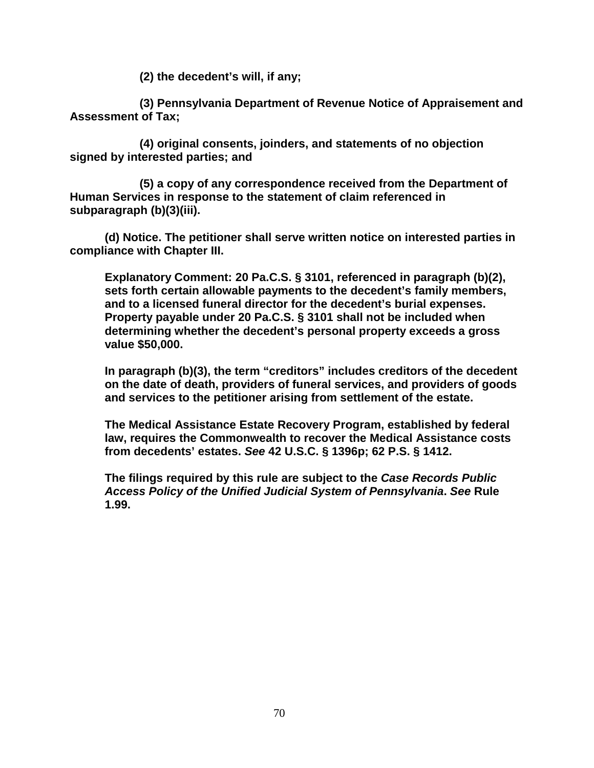**(2) the decedent's will, if any;**

**(3) Pennsylvania Department of Revenue Notice of Appraisement and Assessment of Tax;**

**(4) original consents, joinders, and statements of no objection signed by interested parties; and**

**(5) a copy of any correspondence received from the Department of Human Services in response to the statement of claim referenced in subparagraph (b)(3)(iii).**

**(d) Notice. The petitioner shall serve written notice on interested parties in compliance with Chapter III.**

**Explanatory Comment: 20 Pa.C.S. § 3101, referenced in paragraph (b)(2), sets forth certain allowable payments to the decedent's family members, and to a licensed funeral director for the decedent's burial expenses. Property payable under 20 Pa.C.S. § 3101 shall not be included when determining whether the decedent's personal property exceeds a gross value \$50,000.**

**In paragraph (b)(3), the term "creditors" includes creditors of the decedent on the date of death, providers of funeral services, and providers of goods and services to the petitioner arising from settlement of the estate.**

**The Medical Assistance Estate Recovery Program, established by federal law, requires the Commonwealth to recover the Medical Assistance costs from decedents' estates.** *See* **42 U.S.C. § 1396p; 62 P.S. § 1412.**

**The filings required by this rule are subject to the** *Case Records Public Access Policy of the Unified Judicial System of Pennsylvania***.** *See* **Rule 1.99.**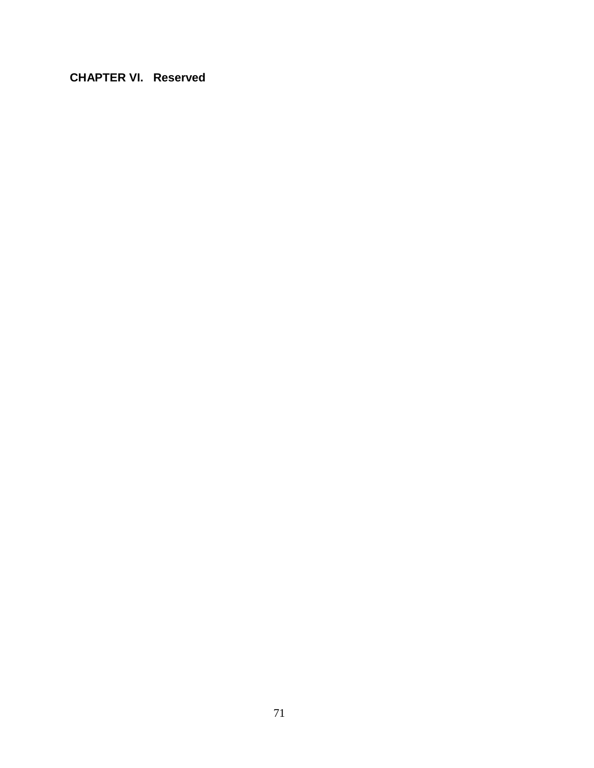**CHAPTER VI. Reserved**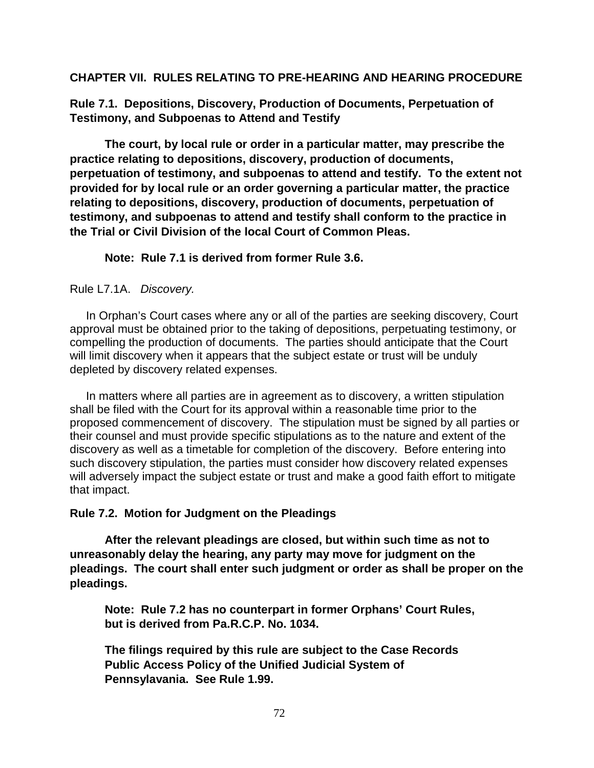### **CHAPTER VII. RULES RELATING TO PRE-HEARING AND HEARING PROCEDURE**

**Rule 7.1. Depositions, Discovery, Production of Documents, Perpetuation of Testimony, and Subpoenas to Attend and Testify**

**The court, by local rule or order in a particular matter, may prescribe the practice relating to depositions, discovery, production of documents, perpetuation of testimony, and subpoenas to attend and testify. To the extent not provided for by local rule or an order governing a particular matter, the practice relating to depositions, discovery, production of documents, perpetuation of testimony, and subpoenas to attend and testify shall conform to the practice in the Trial or Civil Division of the local Court of Common Pleas.**

**Note: Rule 7.1 is derived from former Rule 3.6.**

Rule L7.1A. *Discovery.*

In Orphan's Court cases where any or all of the parties are seeking discovery, Court approval must be obtained prior to the taking of depositions, perpetuating testimony, or compelling the production of documents. The parties should anticipate that the Court will limit discovery when it appears that the subject estate or trust will be unduly depleted by discovery related expenses.

 In matters where all parties are in agreement as to discovery, a written stipulation shall be filed with the Court for its approval within a reasonable time prior to the proposed commencement of discovery. The stipulation must be signed by all parties or their counsel and must provide specific stipulations as to the nature and extent of the discovery as well as a timetable for completion of the discovery. Before entering into such discovery stipulation, the parties must consider how discovery related expenses will adversely impact the subject estate or trust and make a good faith effort to mitigate that impact.

### **Rule 7.2. Motion for Judgment on the Pleadings**

**After the relevant pleadings are closed, but within such time as not to unreasonably delay the hearing, any party may move for judgment on the pleadings. The court shall enter such judgment or order as shall be proper on the pleadings.**

**Note: Rule 7.2 has no counterpart in former Orphans' Court Rules, but is derived from Pa.R.C.P. No. 1034.**

**The filings required by this rule are subject to the Case Records Public Access Policy of the Unified Judicial System of Pennsylavania. See Rule 1.99.**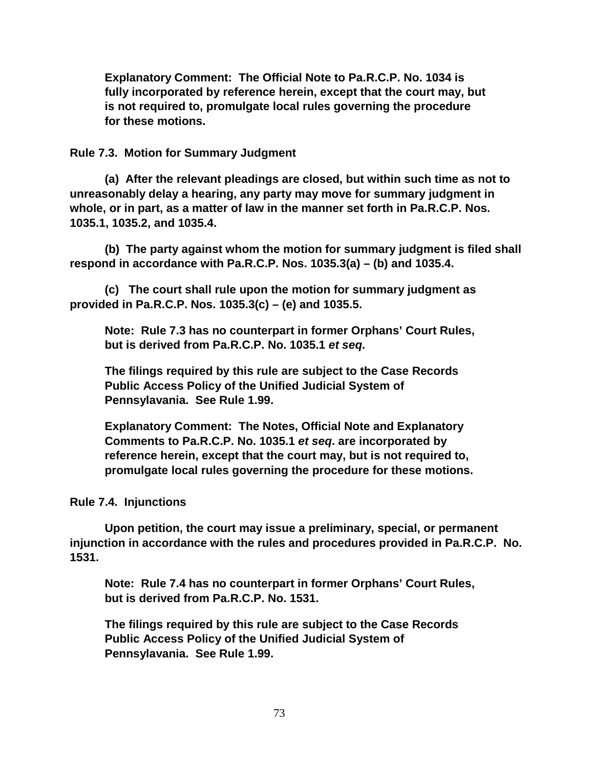**Explanatory Comment: The Official Note to Pa.R.C.P. No. 1034 is fully incorporated by reference herein, except that the court may, but is not required to, promulgate local rules governing the procedure for these motions.**

#### **Rule 7.3. Motion for Summary Judgment**

**(a) After the relevant pleadings are closed, but within such time as not to unreasonably delay a hearing, any party may move for summary judgment in whole, or in part, as a matter of law in the manner set forth in Pa.R.C.P. Nos. 1035.1, 1035.2, and 1035.4.**

**(b) The party against whom the motion for summary judgment is filed shall respond in accordance with Pa.R.C.P. Nos. 1035.3(a) – (b) and 1035.4.**

**(c) The court shall rule upon the motion for summary judgment as provided in Pa.R.C.P. Nos. 1035.3(c) – (e) and 1035.5.**

**Note: Rule 7.3 has no counterpart in former Orphans' Court Rules, but is derived from Pa.R.C.P. No. 1035.1** *et seq.*

**The filings required by this rule are subject to the Case Records Public Access Policy of the Unified Judicial System of Pennsylavania. See Rule 1.99.**

**Explanatory Comment: The Notes, Official Note and Explanatory Comments to Pa.R.C.P. No. 1035.1** *et seq***. are incorporated by reference herein, except that the court may, but is not required to, promulgate local rules governing the procedure for these motions.**

#### **Rule 7.4. Injunctions**

**Upon petition, the court may issue a preliminary, special, or permanent injunction in accordance with the rules and procedures provided in Pa.R.C.P. No. 1531.**

**Note: Rule 7.4 has no counterpart in former Orphans' Court Rules, but is derived from Pa.R.C.P. No. 1531.**

**The filings required by this rule are subject to the Case Records Public Access Policy of the Unified Judicial System of Pennsylavania. See Rule 1.99.**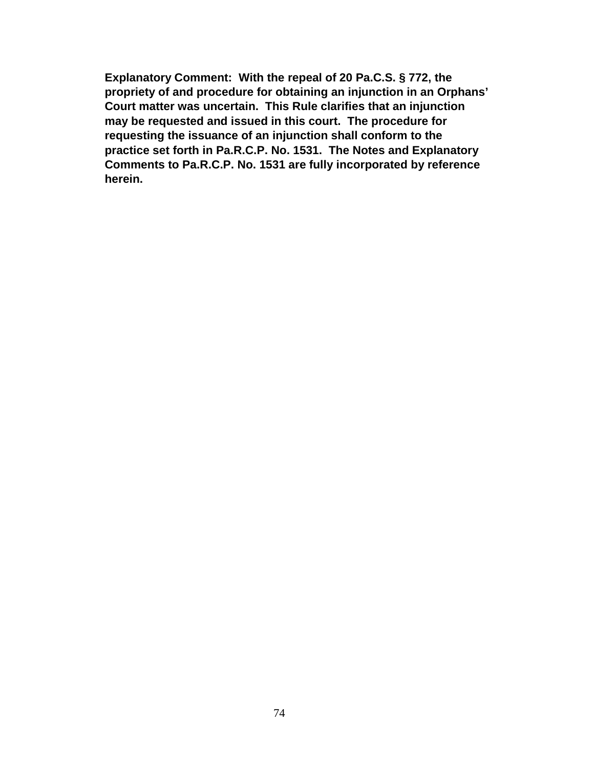**Explanatory Comment: With the repeal of 20 Pa.C.S. § 772, the propriety of and procedure for obtaining an injunction in an Orphans' Court matter was uncertain. This Rule clarifies that an injunction may be requested and issued in this court. The procedure for requesting the issuance of an injunction shall conform to the practice set forth in Pa.R.C.P. No. 1531. The Notes and Explanatory Comments to Pa.R.C.P. No. 1531 are fully incorporated by reference herein.**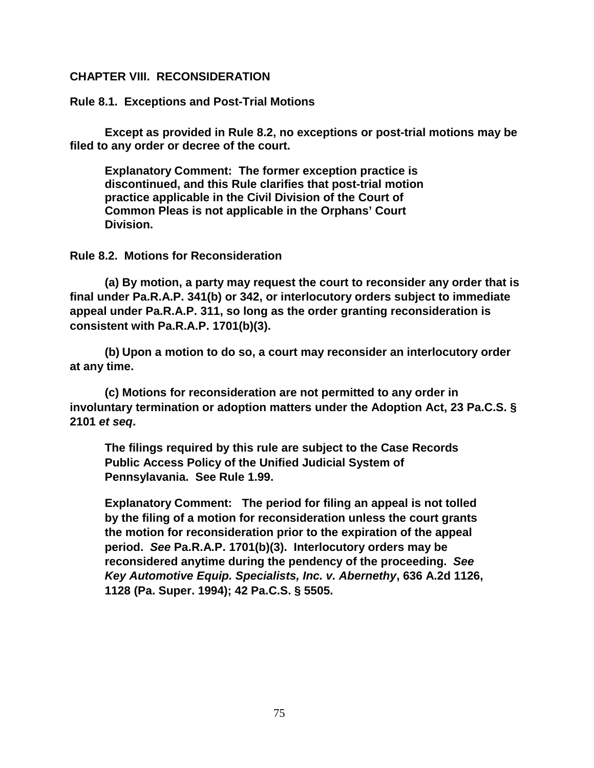### **CHAPTER VIII. RECONSIDERATION**

**Rule 8.1. Exceptions and Post-Trial Motions**

**Except as provided in Rule 8.2, no exceptions or post-trial motions may be filed to any order or decree of the court.**

**Explanatory Comment: The former exception practice is discontinued, and this Rule clarifies that post-trial motion practice applicable in the Civil Division of the Court of Common Pleas is not applicable in the Orphans' Court Division.**

#### **Rule 8.2. Motions for Reconsideration**

**(a) By motion, a party may request the court to reconsider any order that is final under Pa.R.A.P. 341(b) or 342, or interlocutory orders subject to immediate appeal under Pa.R.A.P. 311, so long as the order granting reconsideration is consistent with Pa.R.A.P. 1701(b)(3).** 

**(b) Upon a motion to do so, a court may reconsider an interlocutory order at any time.** 

**(c) Motions for reconsideration are not permitted to any order in involuntary termination or adoption matters under the Adoption Act, 23 Pa.C.S. § 2101** *et seq***.** 

**The filings required by this rule are subject to the Case Records Public Access Policy of the Unified Judicial System of Pennsylavania. See Rule 1.99.**

**Explanatory Comment: The period for filing an appeal is not tolled by the filing of a motion for reconsideration unless the court grants the motion for reconsideration prior to the expiration of the appeal period.** *See* **Pa.R.A.P. 1701(b)(3). Interlocutory orders may be reconsidered anytime during the pendency of the proceeding.** *See Key Automotive Equip. Specialists, Inc. v. Abernethy***, 636 A.2d 1126, 1128 (Pa. Super. 1994); 42 Pa.C.S. § 5505.**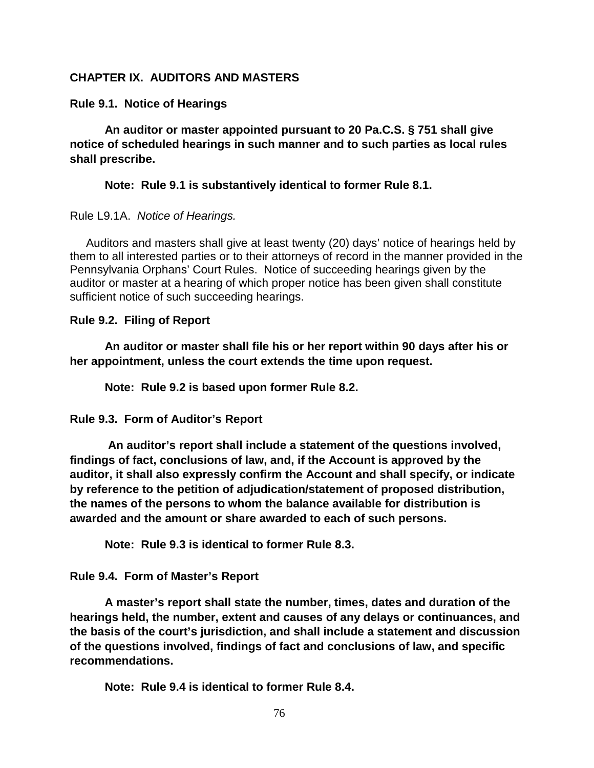### **CHAPTER IX. AUDITORS AND MASTERS**

**Rule 9.1. Notice of Hearings**

**An auditor or master appointed pursuant to 20 Pa.C.S. § 751 shall give notice of scheduled hearings in such manner and to such parties as local rules shall prescribe.** 

#### **Note: Rule 9.1 is substantively identical to former Rule 8.1.**

#### Rule L9.1A. *Notice of Hearings.*

 Auditors and masters shall give at least twenty (20) days' notice of hearings held by them to all interested parties or to their attorneys of record in the manner provided in the Pennsylvania Orphans' Court Rules. Notice of succeeding hearings given by the auditor or master at a hearing of which proper notice has been given shall constitute sufficient notice of such succeeding hearings.

### **Rule 9.2. Filing of Report**

**An auditor or master shall file his or her report within 90 days after his or her appointment, unless the court extends the time upon request.** 

**Note: Rule 9.2 is based upon former Rule 8.2.**

### **Rule 9.3. Form of Auditor's Report**

**An auditor's report shall include a statement of the questions involved, findings of fact, conclusions of law, and, if the Account is approved by the auditor, it shall also expressly confirm the Account and shall specify, or indicate by reference to the petition of adjudication/statement of proposed distribution, the names of the persons to whom the balance available for distribution is awarded and the amount or share awarded to each of such persons.** 

**Note: Rule 9.3 is identical to former Rule 8.3.**

### **Rule 9.4. Form of Master's Report**

**A master's report shall state the number, times, dates and duration of the hearings held, the number, extent and causes of any delays or continuances, and the basis of the court's jurisdiction, and shall include a statement and discussion of the questions involved, findings of fact and conclusions of law, and specific recommendations.** 

**Note: Rule 9.4 is identical to former Rule 8.4.**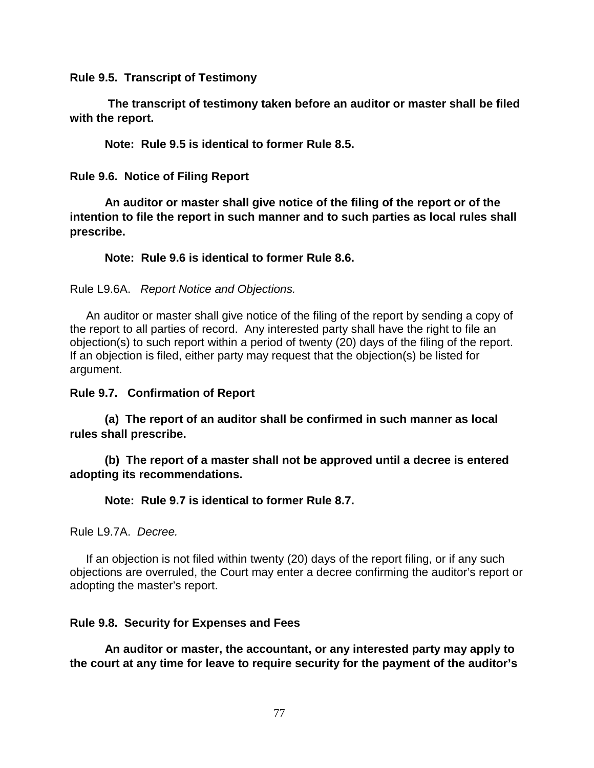**Rule 9.5. Transcript of Testimony**

**The transcript of testimony taken before an auditor or master shall be filed with the report.** 

**Note: Rule 9.5 is identical to former Rule 8.5.**

**Rule 9.6. Notice of Filing Report**

**An auditor or master shall give notice of the filing of the report or of the intention to file the report in such manner and to such parties as local rules shall prescribe.** 

**Note: Rule 9.6 is identical to former Rule 8.6.**

Rule L9.6A. *Report Notice and Objections.* 

An auditor or master shall give notice of the filing of the report by sending a copy of the report to all parties of record. Any interested party shall have the right to file an objection(s) to such report within a period of twenty (20) days of the filing of the report. If an objection is filed, either party may request that the objection(s) be listed for argument.

### **Rule 9.7. Confirmation of Report**

**(a) The report of an auditor shall be confirmed in such manner as local rules shall prescribe.** 

**(b) The report of a master shall not be approved until a decree is entered adopting its recommendations.** 

**Note: Rule 9.7 is identical to former Rule 8.7.**

Rule L9.7A. *Decree.*

 If an objection is not filed within twenty (20) days of the report filing, or if any such objections are overruled, the Court may enter a decree confirming the auditor's report or adopting the master's report.

### **Rule 9.8. Security for Expenses and Fees**

**An auditor or master, the accountant, or any interested party may apply to the court at any time for leave to require security for the payment of the auditor's**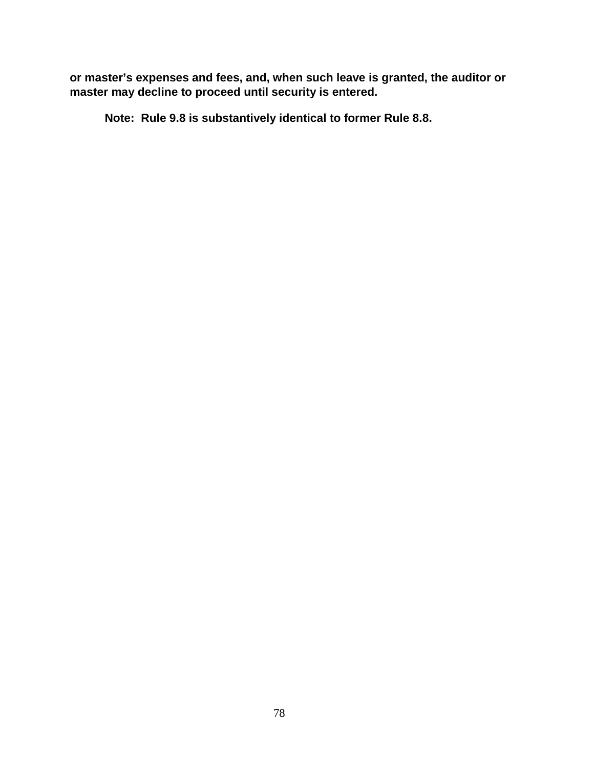**or master's expenses and fees, and, when such leave is granted, the auditor or master may decline to proceed until security is entered.** 

**Note: Rule 9.8 is substantively identical to former Rule 8.8.**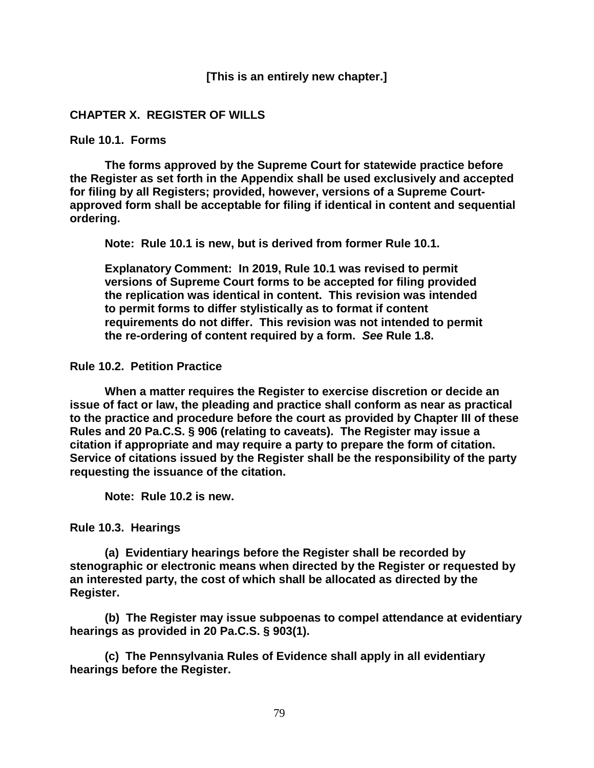#### **[This is an entirely new chapter.]**

### **CHAPTER X. REGISTER OF WILLS**

#### **Rule 10.1. Forms**

**The forms approved by the Supreme Court for statewide practice before the Register as set forth in the Appendix shall be used exclusively and accepted for filing by all Registers; provided, however, versions of a Supreme Courtapproved form shall be acceptable for filing if identical in content and sequential ordering.**

**Note: Rule 10.1 is new, but is derived from former Rule 10.1.** 

**Explanatory Comment: In 2019, Rule 10.1 was revised to permit versions of Supreme Court forms to be accepted for filing provided the replication was identical in content. This revision was intended to permit forms to differ stylistically as to format if content requirements do not differ. This revision was not intended to permit the re-ordering of content required by a form.** *See* **Rule 1.8.**

#### **Rule 10.2. Petition Practice**

**When a matter requires the Register to exercise discretion or decide an issue of fact or law, the pleading and practice shall conform as near as practical to the practice and procedure before the court as provided by Chapter III of these Rules and 20 Pa.C.S. § 906 (relating to caveats). The Register may issue a citation if appropriate and may require a party to prepare the form of citation. Service of citations issued by the Register shall be the responsibility of the party requesting the issuance of the citation.**

**Note: Rule 10.2 is new.** 

### **Rule 10.3. Hearings**

**(a) Evidentiary hearings before the Register shall be recorded by stenographic or electronic means when directed by the Register or requested by an interested party, the cost of which shall be allocated as directed by the Register.**

**(b) The Register may issue subpoenas to compel attendance at evidentiary hearings as provided in 20 Pa.C.S. § 903(1).**

**(c) The Pennsylvania Rules of Evidence shall apply in all evidentiary hearings before the Register.**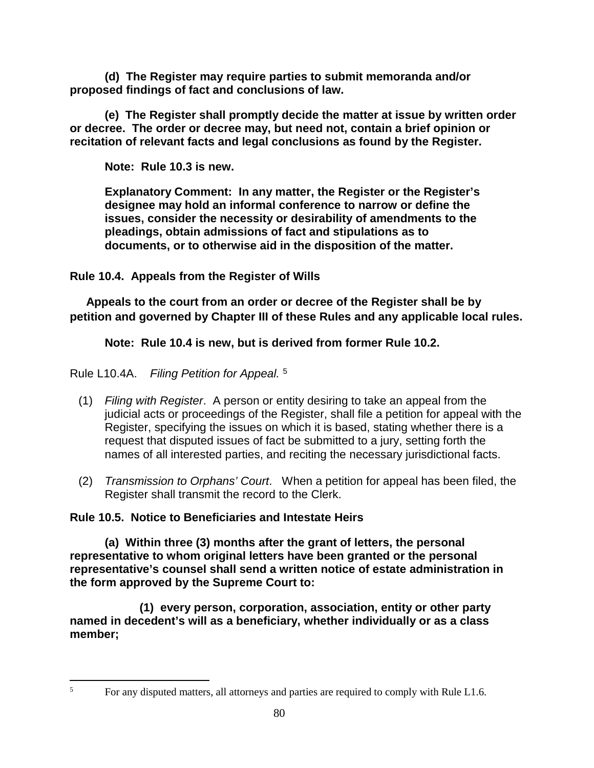**(d) The Register may require parties to submit memoranda and/or proposed findings of fact and conclusions of law.**

**(e) The Register shall promptly decide the matter at issue by written order or decree. The order or decree may, but need not, contain a brief opinion or recitation of relevant facts and legal conclusions as found by the Register.**

**Note: Rule 10.3 is new.** 

**Explanatory Comment: In any matter, the Register or the Register's designee may hold an informal conference to narrow or define the issues, consider the necessity or desirability of amendments to the pleadings, obtain admissions of fact and stipulations as to documents, or to otherwise aid in the disposition of the matter.** 

**Rule 10.4. Appeals from the Register of Wills**

 **Appeals to the court from an order or decree of the Register shall be by petition and governed by Chapter III of these Rules and any applicable local rules.**

**Note: Rule 10.4 is new, but is derived from former Rule 10.2.** 

Rule L10.4A. *Filing Petition for Appeal.* [5](#page-79-0)

- (1) *Filing with Register*. A person or entity desiring to take an appeal from the judicial acts or proceedings of the Register, shall file a petition for appeal with the Register, specifying the issues on which it is based, stating whether there is a request that disputed issues of fact be submitted to a jury, setting forth the names of all interested parties, and reciting the necessary jurisdictional facts.
- (2) *Transmission to Orphans' Court*. When a petition for appeal has been filed, the Register shall transmit the record to the Clerk.

# **Rule 10.5. Notice to Beneficiaries and Intestate Heirs**

**(a) Within three (3) months after the grant of letters, the personal representative to whom original letters have been granted or the personal representative's counsel shall send a written notice of estate administration in the form approved by the Supreme Court to:** 

**(1) every person, corporation, association, entity or other party named in decedent's will as a beneficiary, whether individually or as a class member;** 

<span id="page-79-0"></span><sup>&</sup>lt;sup>5</sup> For any disputed matters, all attorneys and parties are required to comply with Rule L1.6.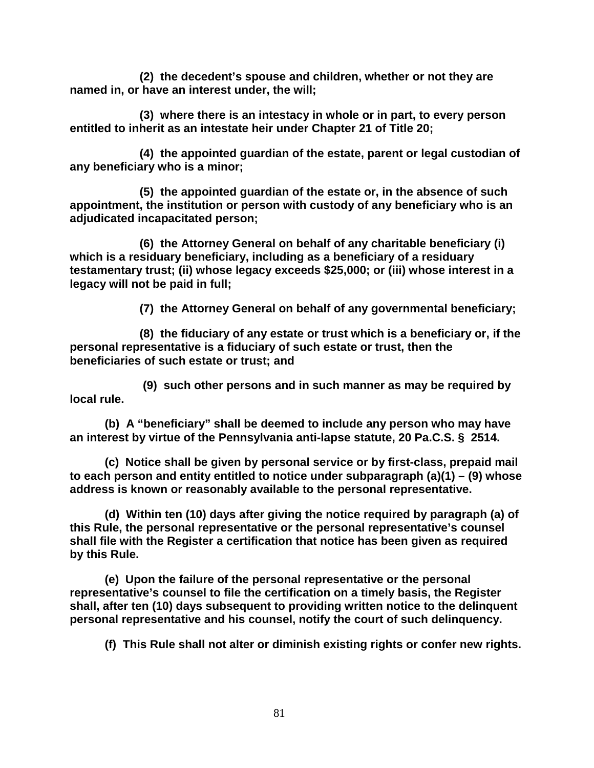**(2) the decedent's spouse and children, whether or not they are named in, or have an interest under, the will;** 

**(3) where there is an intestacy in whole or in part, to every person entitled to inherit as an intestate heir under Chapter 21 of Title 20;** 

**(4) the appointed guardian of the estate, parent or legal custodian of any beneficiary who is a minor;** 

**(5) the appointed guardian of the estate or, in the absence of such appointment, the institution or person with custody of any beneficiary who is an adjudicated incapacitated person;** 

**(6) the Attorney General on behalf of any charitable beneficiary (i) which is a residuary beneficiary, including as a beneficiary of a residuary testamentary trust; (ii) whose legacy exceeds \$25,000; or (iii) whose interest in a legacy will not be paid in full;** 

**(7) the Attorney General on behalf of any governmental beneficiary;** 

**(8) the fiduciary of any estate or trust which is a beneficiary or, if the personal representative is a fiduciary of such estate or trust, then the beneficiaries of such estate or trust; and** 

**(9) such other persons and in such manner as may be required by local rule.** 

**(b) A "beneficiary" shall be deemed to include any person who may have an interest by virtue of the Pennsylvania anti-lapse statute, 20 Pa.C.S. § 2514.** 

**(c) Notice shall be given by personal service or by first-class, prepaid mail to each person and entity entitled to notice under subparagraph (a)(1) – (9) whose address is known or reasonably available to the personal representative.** 

**(d) Within ten (10) days after giving the notice required by paragraph (a) of this Rule, the personal representative or the personal representative's counsel shall file with the Register a certification that notice has been given as required by this Rule.** 

**(e) Upon the failure of the personal representative or the personal representative's counsel to file the certification on a timely basis, the Register shall, after ten (10) days subsequent to providing written notice to the delinquent personal representative and his counsel, notify the court of such delinquency.**

**(f) This Rule shall not alter or diminish existing rights or confer new rights.**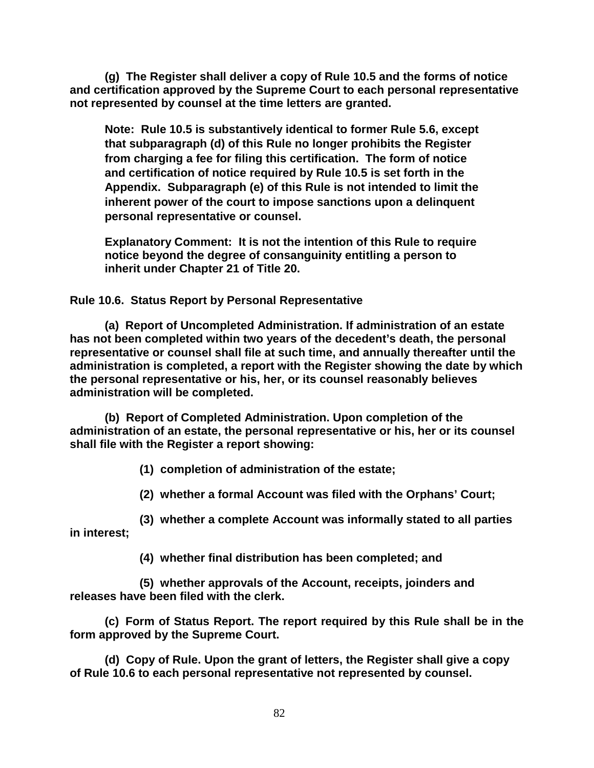**(g) The Register shall deliver a copy of Rule 10.5 and the forms of notice and certification approved by the Supreme Court to each personal representative not represented by counsel at the time letters are granted.**

**Note: Rule 10.5 is substantively identical to former Rule 5.6, except that subparagraph (d) of this Rule no longer prohibits the Register from charging a fee for filing this certification. The form of notice and certification of notice required by Rule 10.5 is set forth in the Appendix. Subparagraph (e) of this Rule is not intended to limit the inherent power of the court to impose sanctions upon a delinquent personal representative or counsel.**

**Explanatory Comment: It is not the intention of this Rule to require notice beyond the degree of consanguinity entitling a person to inherit under Chapter 21 of Title 20.**

**Rule 10.6. Status Report by Personal Representative**

**(a) Report of Uncompleted Administration. If administration of an estate has not been completed within two years of the decedent's death, the personal representative or counsel shall file at such time, and annually thereafter until the administration is completed, a report with the Register showing the date by which the personal representative or his, her, or its counsel reasonably believes administration will be completed.**

**(b) Report of Completed Administration. Upon completion of the administration of an estate, the personal representative or his, her or its counsel shall file with the Register a report showing:**

**(1) completion of administration of the estate;**

**(2) whether a formal Account was filed with the Orphans' Court;**

**(3) whether a complete Account was informally stated to all parties in interest;**

**(4) whether final distribution has been completed; and**

**(5) whether approvals of the Account, receipts, joinders and releases have been filed with the clerk.**

**(c) Form of Status Report. The report required by this Rule shall be in the form approved by the Supreme Court.**

**(d) Copy of Rule. Upon the grant of letters, the Register shall give a copy of Rule 10.6 to each personal representative not represented by counsel.**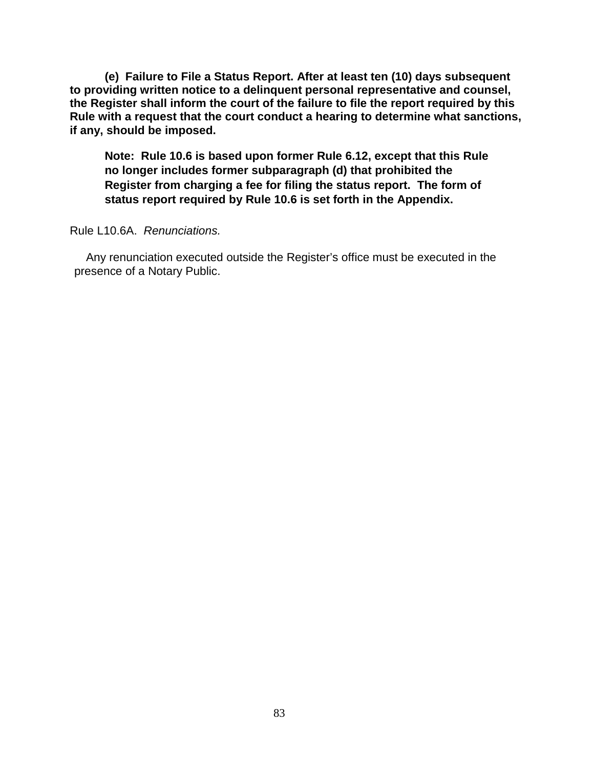**(e) Failure to File a Status Report. After at least ten (10) days subsequent to providing written notice to a delinquent personal representative and counsel, the Register shall inform the court of the failure to file the report required by this Rule with a request that the court conduct a hearing to determine what sanctions, if any, should be imposed.**

**Note: Rule 10.6 is based upon former Rule 6.12, except that this Rule no longer includes former subparagraph (d) that prohibited the Register from charging a fee for filing the status report. The form of status report required by Rule 10.6 is set forth in the Appendix.**

Rule L10.6A. *Renunciations.*

 Any renunciation executed outside the Register's office must be executed in the presence of a Notary Public.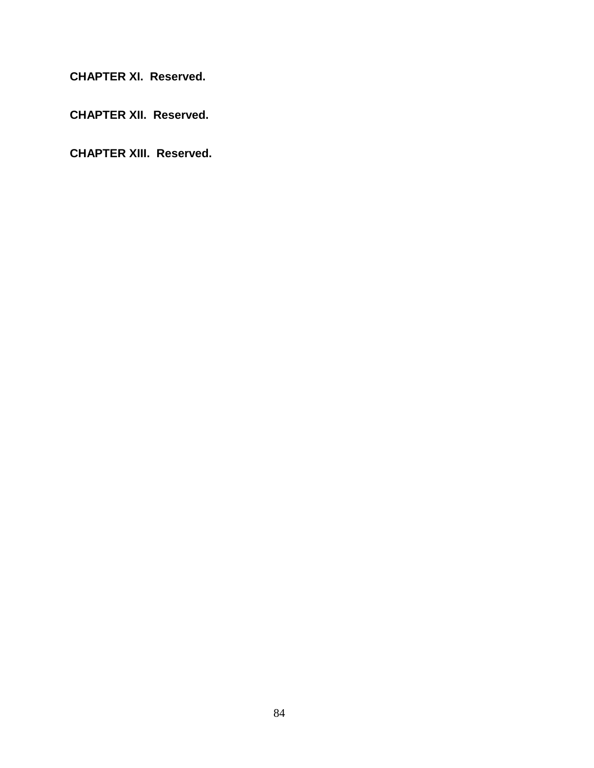**CHAPTER XI. Reserved.**

**CHAPTER XII. Reserved.**

**CHAPTER XIII. Reserved.**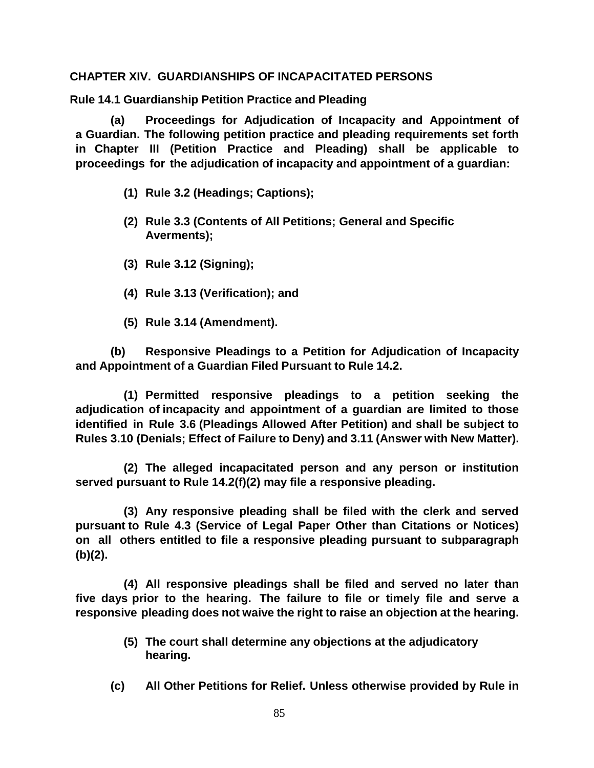### **CHAPTER XIV. GUARDIANSHIPS OF INCAPACITATED PERSONS**

**Rule 14.1 Guardianship Petition Practice and Pleading**

**(a) Proceedings for Adjudication of Incapacity and Appointment of a Guardian. The following petition practice and pleading requirements set forth in Chapter III (Petition Practice and Pleading) shall be applicable to proceedings for the adjudication of incapacity and appointment of a guardian:**

- **(1) Rule 3.2 (Headings; Captions);**
- **(2) Rule 3.3 (Contents of All Petitions; General and Specific Averments);**
- **(3) Rule 3.12 (Signing);**
- **(4) Rule 3.13 (Verification); and**
- **(5) Rule 3.14 (Amendment).**

**(b) Responsive Pleadings to a Petition for Adjudication of Incapacity and Appointment of a Guardian Filed Pursuant to Rule 14.2.**

**(1) Permitted responsive pleadings to a petition seeking the adjudication of incapacity and appointment of a guardian are limited to those identified in Rule 3.6 (Pleadings Allowed After Petition) and shall be subject to Rules 3.10 (Denials; Effect of Failure to Deny) and 3.11 (Answer with New Matter).**

**(2) The alleged incapacitated person and any person or institution served pursuant to Rule 14.2(f)(2) may file a responsive pleading.**

**(3) Any responsive pleading shall be filed with the clerk and served pursuant to Rule 4.3 (Service of Legal Paper Other than Citations or Notices) on all others entitled to file a responsive pleading pursuant to subparagraph (b)(2).**

**(4) All responsive pleadings shall be filed and served no later than five days prior to the hearing. The failure to file or timely file and serve a responsive pleading does not waive the right to raise an objection at the hearing.**

- **(5) The court shall determine any objections at the adjudicatory hearing.**
- **(c) All Other Petitions for Relief. Unless otherwise provided by Rule in**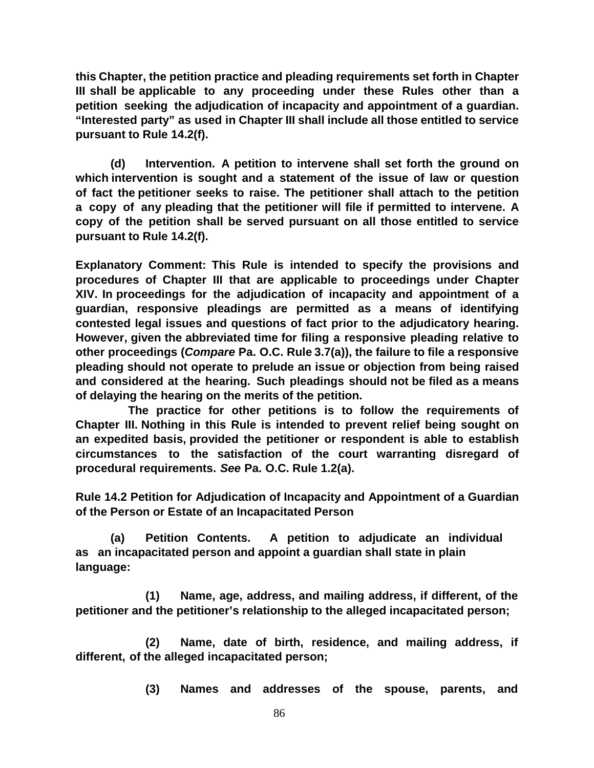**this Chapter, the petition practice and pleading requirements set forth in Chapter III shall be applicable to any proceeding under these Rules other than a petition seeking the adjudication of incapacity and appointment of a guardian. "Interested party" as used in Chapter III shall include all those entitled to service pursuant to Rule 14.2(f).**

**(d) Intervention. A petition to intervene shall set forth the ground on which intervention is sought and a statement of the issue of law or question of fact the petitioner seeks to raise. The petitioner shall attach to the petition a copy of any pleading that the petitioner will file if permitted to intervene. A copy of the petition shall be served pursuant on all those entitled to service pursuant to Rule 14.2(f).**

**Explanatory Comment: This Rule is intended to specify the provisions and procedures of Chapter III that are applicable to proceedings under Chapter XIV. In proceedings for the adjudication of incapacity and appointment of a guardian, responsive pleadings are permitted as a means of identifying contested legal issues and questions of fact prior to the adjudicatory hearing. However, given the abbreviated time for filing a responsive pleading relative to other proceedings (***Compare* **Pa. O.C. Rule 3.7(a)), the failure to file a responsive pleading should not operate to prelude an issue or objection from being raised and considered at the hearing. Such pleadings should not be filed as a means of delaying the hearing on the merits of the petition.**

**The practice for other petitions is to follow the requirements of Chapter III. Nothing in this Rule is intended to prevent relief being sought on an expedited basis, provided the petitioner or respondent is able to establish circumstances to the satisfaction of the court warranting disregard of procedural requirements.** *See* **Pa. O.C. Rule 1.2(a).**

**Rule 14.2 Petition for Adjudication of Incapacity and Appointment of a Guardian of the Person or Estate of an Incapacitated Person**

**(a) Petition Contents. A petition to adjudicate an individual as an incapacitated person and appoint a guardian shall state in plain language:**

**(1) Name, age, address, and mailing address, if different, of the petitioner and the petitioner's relationship to the alleged incapacitated person;**

**(2) Name, date of birth, residence, and mailing address, if different, of the alleged incapacitated person;**

**(3) Names and addresses of the spouse, parents, and**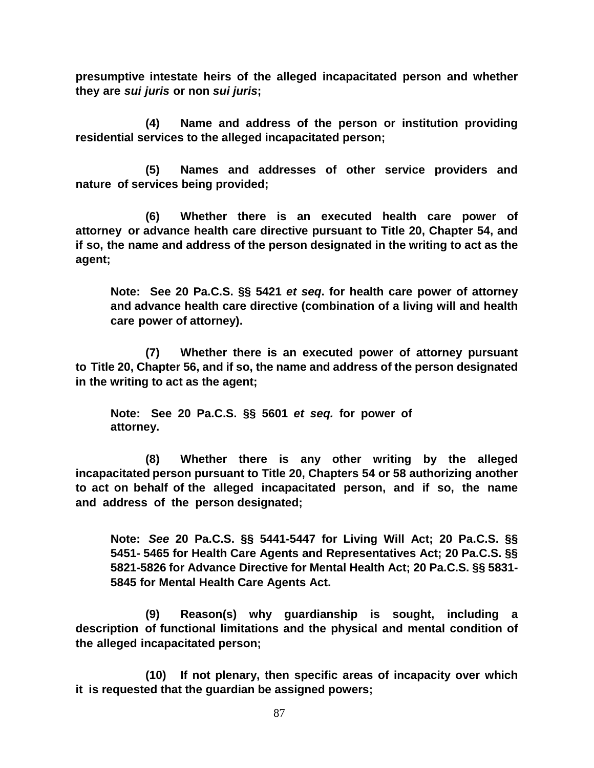**presumptive intestate heirs of the alleged incapacitated person and whether they are** *sui juris* **or non** *sui juris***;**

**(4) Name and address of the person or institution providing residential services to the alleged incapacitated person;**

**(5) Names and addresses of other service providers and nature of services being provided;**

**(6) Whether there is an executed health care power of attorney or advance health care directive pursuant to Title 20, Chapter 54, and if so, the name and address of the person designated in the writing to act as the agent;**

**Note: See 20 Pa.C.S. §§ 5421** *et seq***. for health care power of attorney and advance health care directive (combination of a living will and health care power of attorney).**

**(7) Whether there is an executed power of attorney pursuant to Title 20, Chapter 56, and if so, the name and address of the person designated in the writing to act as the agent;**

**Note: See 20 Pa.C.S. §§ 5601** *et seq.* **for power of attorney.**

**(8) Whether there is any other writing by the alleged incapacitated person pursuant to Title 20, Chapters 54 or 58 authorizing another to act on behalf of the alleged incapacitated person, and if so, the name and address of the person designated;**

**Note:** *See* **20 Pa.C.S. §§ 5441-5447 for Living Will Act; 20 Pa.C.S. §§ 5451- 5465 for Health Care Agents and Representatives Act; 20 Pa.C.S. §§ 5821-5826 for Advance Directive for Mental Health Act; 20 Pa.C.S. §§ 5831- 5845 for Mental Health Care Agents Act.**

**(9) Reason(s) why guardianship is sought, including a description of functional limitations and the physical and mental condition of the alleged incapacitated person;**

**(10) If not plenary, then specific areas of incapacity over which it is requested that the guardian be assigned powers;**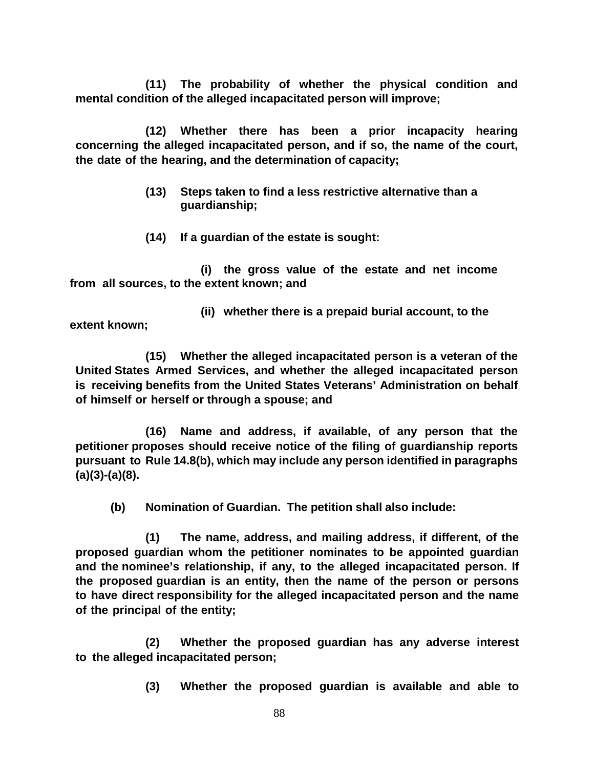**(11) The probability of whether the physical condition and mental condition of the alleged incapacitated person will improve;**

**(12) Whether there has been a prior incapacity hearing concerning the alleged incapacitated person, and if so, the name of the court, the date of the hearing, and the determination of capacity;**

- **(13) Steps taken to find a less restrictive alternative than a guardianship;**
- **(14) If a guardian of the estate is sought:**

**(i) the gross value of the estate and net income from all sources, to the extent known; and**

**(ii) whether there is a prepaid burial account, to the extent known;**

**(15) Whether the alleged incapacitated person is a veteran of the United States Armed Services, and whether the alleged incapacitated person is receiving benefits from the United States Veterans' Administration on behalf of himself or herself or through a spouse; and**

**(16) Name and address, if available, of any person that the petitioner proposes should receive notice of the filing of guardianship reports pursuant to Rule 14.8(b), which may include any person identified in paragraphs (a)(3)-(a)(8).**

**(b) Nomination of Guardian. The petition shall also include:**

**(1) The name, address, and mailing address, if different, of the proposed guardian whom the petitioner nominates to be appointed guardian and the nominee's relationship, if any, to the alleged incapacitated person. If the proposed guardian is an entity, then the name of the person or persons to have direct responsibility for the alleged incapacitated person and the name of the principal of the entity;**

**(2) Whether the proposed guardian has any adverse interest to the alleged incapacitated person;**

**(3) Whether the proposed guardian is available and able to**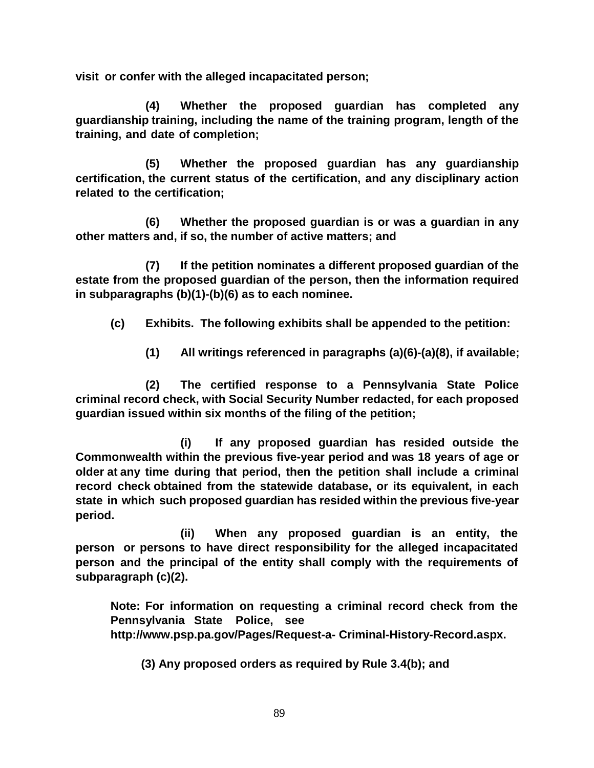**visit or confer with the alleged incapacitated person;**

**(4) Whether the proposed guardian has completed any guardianship training, including the name of the training program, length of the training, and date of completion;**

**(5) Whether the proposed guardian has any guardianship certification, the current status of the certification, and any disciplinary action related to the certification;**

**(6) Whether the proposed guardian is or was a guardian in any other matters and, if so, the number of active matters; and**

**(7) If the petition nominates a different proposed guardian of the estate from the proposed guardian of the person, then the information required in subparagraphs (b)(1)-(b)(6) as to each nominee.**

**(c) Exhibits. The following exhibits shall be appended to the petition:**

**(1) All writings referenced in paragraphs (a)(6)-(a)(8), if available;**

**(2) The certified response to a Pennsylvania State Police criminal record check, with Social Security Number redacted, for each proposed guardian issued within six months of the filing of the petition;**

**(i) If any proposed guardian has resided outside the Commonwealth within the previous five-year period and was 18 years of age or older at any time during that period, then the petition shall include a criminal record check obtained from the statewide database, or its equivalent, in each state in which such proposed guardian has resided within the previous five-year period.**

**(ii) When any proposed guardian is an entity, the person or persons to have direct responsibility for the alleged incapacitated person and the principal of the entity shall comply with the requirements of subparagraph (c)(2).**

**Note: For information on requesting a criminal record check from the Pennsylvania State Police, see**

**<http://www.psp.pa.gov/Pages/Request-a-> Criminal-History-Record.aspx.**

**(3) Any proposed orders as required by Rule 3.4(b); and**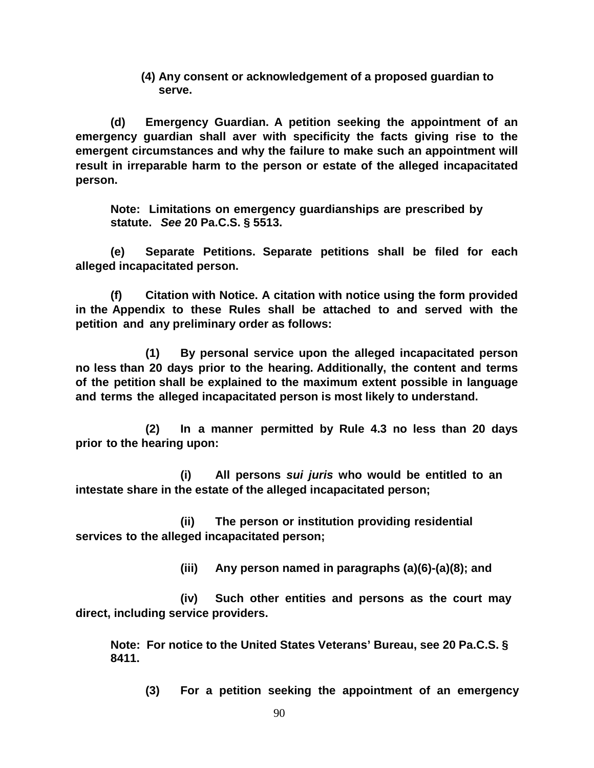**(4) Any consent or acknowledgement of a proposed guardian to serve.**

**(d) Emergency Guardian. A petition seeking the appointment of an emergency guardian shall aver with specificity the facts giving rise to the emergent circumstances and why the failure to make such an appointment will result in irreparable harm to the person or estate of the alleged incapacitated person.**

**Note: Limitations on emergency guardianships are prescribed by statute.** *See* **20 Pa.C.S. § 5513.**

**(e) Separate Petitions. Separate petitions shall be filed for each alleged incapacitated person.**

**(f) Citation with Notice. A citation with notice using the form provided in the Appendix to these Rules shall be attached to and served with the petition and any preliminary order as follows:**

**(1) By personal service upon the alleged incapacitated person no less than 20 days prior to the hearing. Additionally, the content and terms of the petition shall be explained to the maximum extent possible in language and terms the alleged incapacitated person is most likely to understand.**

**(2) In a manner permitted by Rule 4.3 no less than 20 days prior to the hearing upon:**

**(i) All persons** *sui juris* **who would be entitled to an intestate share in the estate of the alleged incapacitated person;**

**(ii) The person or institution providing residential services to the alleged incapacitated person;**

**(iii) Any person named in paragraphs (a)(6)-(a)(8); and**

**(iv) Such other entities and persons as the court may direct, including service providers.**

**Note: For notice to the United States Veterans' Bureau, see 20 Pa.C.S. § 8411.**

**(3) For a petition seeking the appointment of an emergency**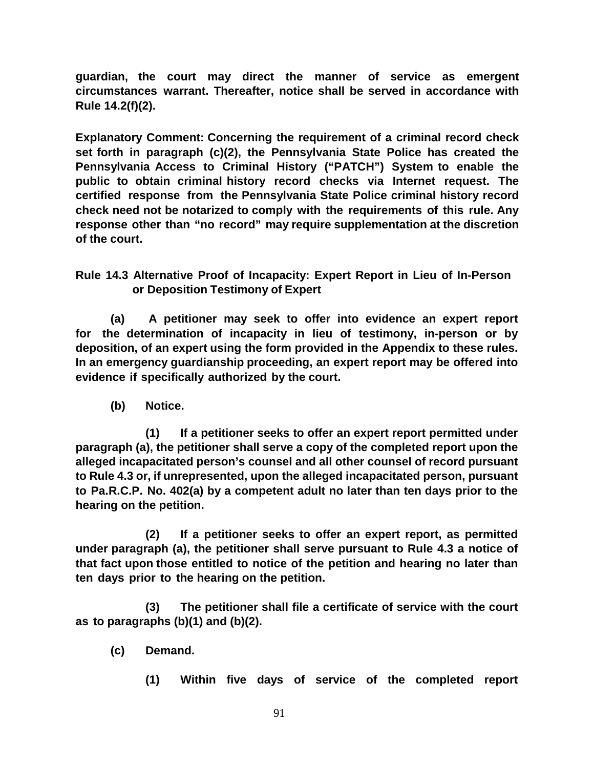**guardian, the court may direct the manner of service as emergent circumstances warrant. Thereafter, notice shall be served in accordance with Rule 14.2(f)(2).**

**Explanatory Comment: Concerning the requirement of a criminal record check set forth in paragraph (c)(2), the Pennsylvania State Police has created the Pennsylvania Access to Criminal History ("PATCH") System to enable the public to obtain criminal history record checks via Internet request. The certified response from the Pennsylvania State Police criminal history record check need not be notarized to comply with the requirements of this rule. Any response other than "no record" may require supplementation at the discretion of the court.**

**Rule 14.3 Alternative Proof of Incapacity: Expert Report in Lieu of In-Person or Deposition Testimony of Expert**

**(a) A petitioner may seek to offer into evidence an expert report for the determination of incapacity in lieu of testimony, in-person or by deposition, of an expert using the form provided in the Appendix to these rules. In an emergency guardianship proceeding, an expert report may be offered into evidence if specifically authorized by the court.**

**(b) Notice.**

**(1) If a petitioner seeks to offer an expert report permitted under paragraph (a), the petitioner shall serve a copy of the completed report upon the alleged incapacitated person's counsel and all other counsel of record pursuant to Rule 4.3 or, if unrepresented, upon the alleged incapacitated person, pursuant to Pa.R.C.P. No. 402(a) by a competent adult no later than ten days prior to the hearing on the petition.**

**(2) If a petitioner seeks to offer an expert report, as permitted under paragraph (a), the petitioner shall serve pursuant to Rule 4.3 a notice of that fact upon those entitled to notice of the petition and hearing no later than ten days prior to the hearing on the petition.**

**(3) The petitioner shall file a certificate of service with the court as to paragraphs (b)(1) and (b)(2).**

- **(c) Demand.**
	- **(1) Within five days of service of the completed report**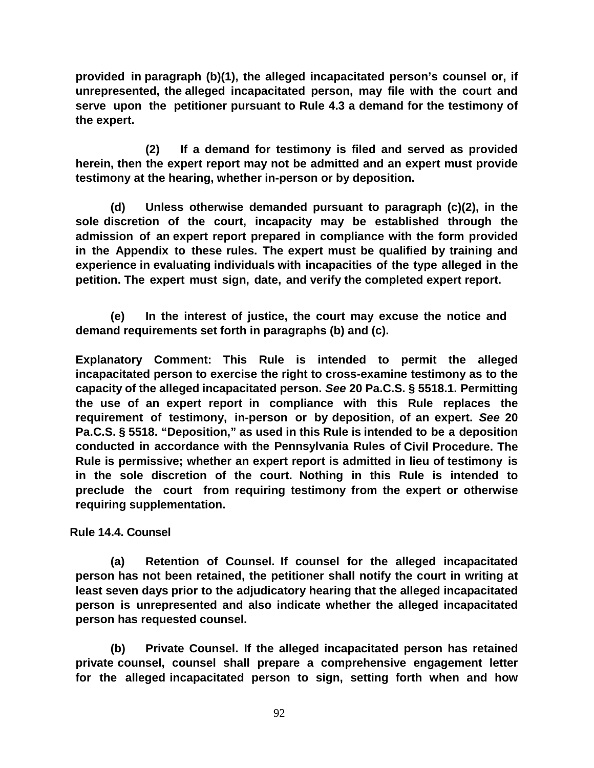**provided in paragraph (b)(1), the alleged incapacitated person's counsel or, if unrepresented, the alleged incapacitated person, may file with the court and serve upon the petitioner pursuant to Rule 4.3 a demand for the testimony of the expert.**

**(2) If a demand for testimony is filed and served as provided herein, then the expert report may not be admitted and an expert must provide testimony at the hearing, whether in-person or by deposition.**

**(d) Unless otherwise demanded pursuant to paragraph (c)(2), in the sole discretion of the court, incapacity may be established through the admission of an expert report prepared in compliance with the form provided in the Appendix to these rules. The expert must be qualified by training and experience in evaluating individuals with incapacities of the type alleged in the petition. The expert must sign, date, and verify the completed expert report.**

**(e) In the interest of justice, the court may excuse the notice and demand requirements set forth in paragraphs (b) and (c).**

**Explanatory Comment: This Rule is intended to permit the alleged incapacitated person to exercise the right to cross-examine testimony as to the capacity of the alleged incapacitated person.** *See* **20 Pa.C.S. § 5518.1. Permitting the use of an expert report in compliance with this Rule replaces the requirement of testimony, in-person or by deposition, of an expert.** *See* **20 Pa.C.S. § 5518. "Deposition," as used in this Rule is intended to be a deposition conducted in accordance with the Pennsylvania Rules of Civil Procedure. The Rule is permissive; whether an expert report is admitted in lieu of testimony is in the sole discretion of the court. Nothing in this Rule is intended to preclude the court from requiring testimony from the expert or otherwise requiring supplementation.**

### **Rule 14.4. Counsel**

**(a) Retention of Counsel. If counsel for the alleged incapacitated person has not been retained, the petitioner shall notify the court in writing at least seven days prior to the adjudicatory hearing that the alleged incapacitated person is unrepresented and also indicate whether the alleged incapacitated person has requested counsel.**

**(b) Private Counsel. If the alleged incapacitated person has retained private counsel, counsel shall prepare a comprehensive engagement letter for the alleged incapacitated person to sign, setting forth when and how**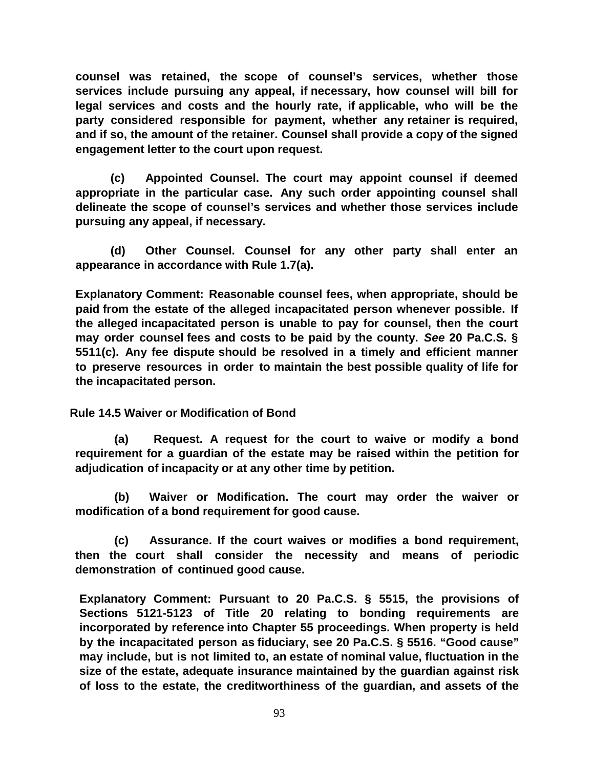**counsel was retained, the scope of counsel's services, whether those services include pursuing any appeal, if necessary, how counsel will bill for legal services and costs and the hourly rate, if applicable, who will be the party considered responsible for payment, whether any retainer is required, and if so, the amount of the retainer. Counsel shall provide a copy of the signed engagement letter to the court upon request.**

**(c) Appointed Counsel. The court may appoint counsel if deemed appropriate in the particular case. Any such order appointing counsel shall delineate the scope of counsel's services and whether those services include pursuing any appeal, if necessary.**

**(d) Other Counsel. Counsel for any other party shall enter an appearance in accordance with Rule 1.7(a).**

**Explanatory Comment: Reasonable counsel fees, when appropriate, should be paid from the estate of the alleged incapacitated person whenever possible. If the alleged incapacitated person is unable to pay for counsel, then the court may order counsel fees and costs to be paid by the county.** *See* **20 Pa.C.S. § 5511(c). Any fee dispute should be resolved in a timely and efficient manner to preserve resources in order to maintain the best possible quality of life for the incapacitated person.**

**Rule 14.5 Waiver or Modification of Bond**

**(a) Request. A request for the court to waive or modify a bond requirement for a guardian of the estate may be raised within the petition for adjudication of incapacity or at any other time by petition.**

**(b) Waiver or Modification. The court may order the waiver or modification of a bond requirement for good cause.**

**(c) Assurance. If the court waives or modifies a bond requirement, then the court shall consider the necessity and means of periodic demonstration of continued good cause.**

**Explanatory Comment: Pursuant to 20 Pa.C.S. § 5515, the provisions of Sections 5121-5123 of Title 20 relating to bonding requirements are incorporated by reference into Chapter 55 proceedings. When property is held by the incapacitated person as fiduciary, see 20 Pa.C.S. § 5516. "Good cause" may include, but is not limited to, an estate of nominal value, fluctuation in the size of the estate, adequate insurance maintained by the guardian against risk of loss to the estate, the creditworthiness of the guardian, and assets of the**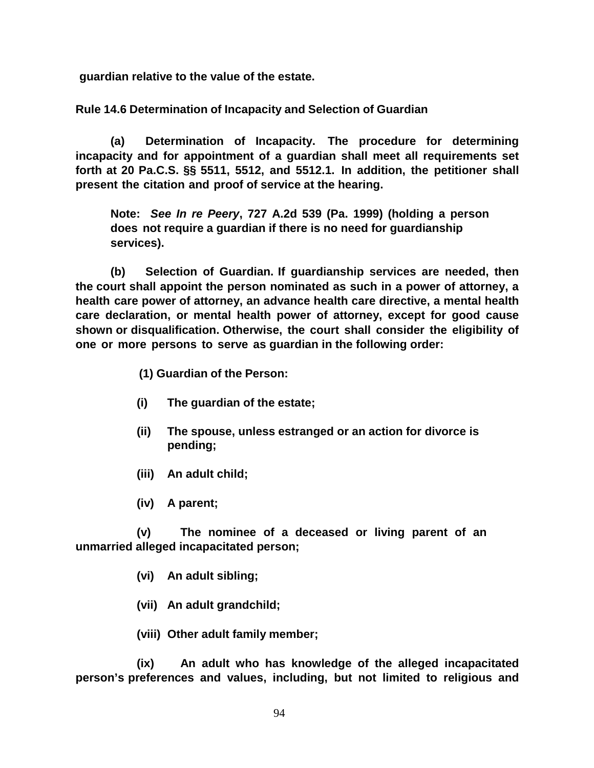**guardian relative to the value of the estate.**

**Rule 14.6 Determination of Incapacity and Selection of Guardian**

**(a) Determination of Incapacity. The procedure for determining incapacity and for appointment of a guardian shall meet all requirements set forth at 20 Pa.C.S. §§ 5511, 5512, and 5512.1. In addition, the petitioner shall present the citation and proof of service at the hearing.**

**Note:** *See In re Peery***, 727 A.2d 539 (Pa. 1999) (holding a person does not require a guardian if there is no need for guardianship services).**

**(b) Selection of Guardian. If guardianship services are needed, then the court shall appoint the person nominated as such in a power of attorney, a health care power of attorney, an advance health care directive, a mental health care declaration, or mental health power of attorney, except for good cause shown or disqualification. Otherwise, the court shall consider the eligibility of one or more persons to serve as guardian in the following order:**

**(1) Guardian of the Person:**

- **(i) The guardian of the estate;**
- **(ii) The spouse, unless estranged or an action for divorce is pending;**
- **(iii) An adult child;**
- **(iv) A parent;**

**(v) The nominee of a deceased or living parent of an unmarried alleged incapacitated person;**

- **(vi) An adult sibling;**
- **(vii) An adult grandchild;**
- **(viii) Other adult family member;**

**(ix) An adult who has knowledge of the alleged incapacitated person's preferences and values, including, but not limited to religious and**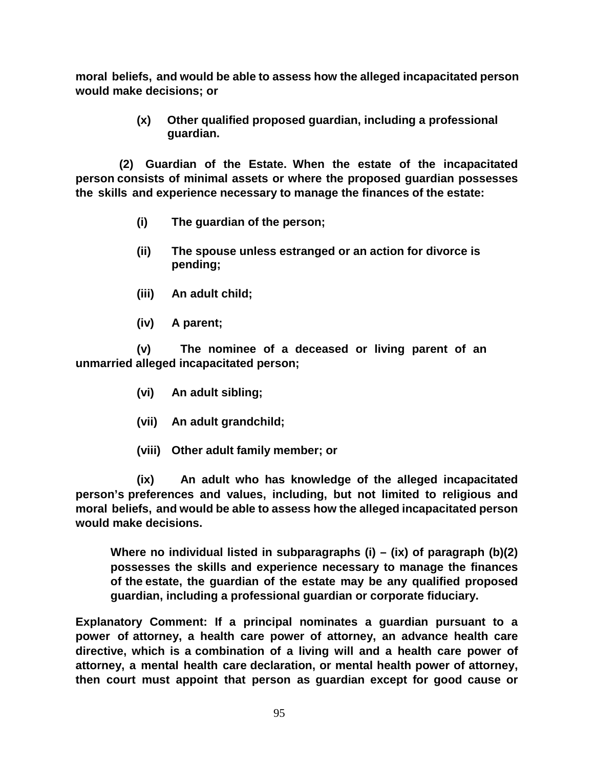**moral beliefs, and would be able to assess how the alleged incapacitated person would make decisions; or**

> **(x) Other qualified proposed guardian, including a professional guardian.**

**(2) Guardian of the Estate. When the estate of the incapacitated person consists of minimal assets or where the proposed guardian possesses the skills and experience necessary to manage the finances of the estate:**

- **(i) The guardian of the person;**
- **(ii) The spouse unless estranged or an action for divorce is pending;**
- **(iii) An adult child;**
- **(iv) A parent;**

**(v) The nominee of a deceased or living parent of an unmarried alleged incapacitated person;**

- **(vi) An adult sibling;**
- **(vii) An adult grandchild;**
- **(viii) Other adult family member; or**

**(ix) An adult who has knowledge of the alleged incapacitated person's preferences and values, including, but not limited to religious and moral beliefs, and would be able to assess how the alleged incapacitated person would make decisions.**

**Where no individual listed in subparagraphs (i) – (ix) of paragraph (b)(2) possesses the skills and experience necessary to manage the finances of the estate, the guardian of the estate may be any qualified proposed guardian, including a professional guardian or corporate fiduciary.**

**Explanatory Comment: If a principal nominates a guardian pursuant to a power of attorney, a health care power of attorney, an advance health care directive, which is a combination of a living will and a health care power of attorney, a mental health care declaration, or mental health power of attorney, then court must appoint that person as guardian except for good cause or**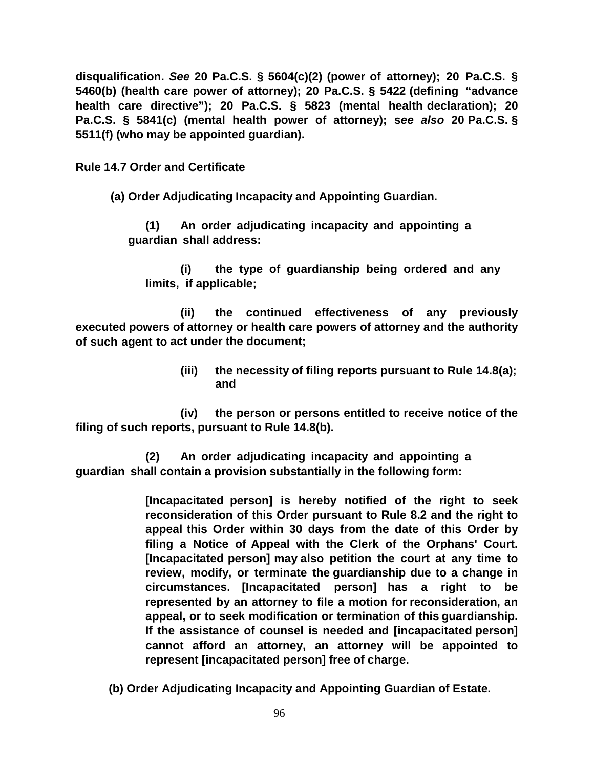**disqualification.** *See* **20 Pa.C.S. § 5604(c)(2) (power of attorney); 20 Pa.C.S. § 5460(b) (health care power of attorney); 20 Pa.C.S. § 5422 (defining "advance health care directive"); 20 Pa.C.S. § 5823 (mental health declaration); 20 Pa.C.S. § 5841(c) (mental health power of attorney); s***ee also* **20 Pa.C.S. § 5511(f) (who may be appointed guardian).**

**Rule 14.7 Order and Certificate**

**(a) Order Adjudicating Incapacity and Appointing Guardian.**

**(1) An order adjudicating incapacity and appointing a guardian shall address:**

**(i) the type of guardianship being ordered and any limits, if applicable;**

**(ii) the continued effectiveness of any previously executed powers of attorney or health care powers of attorney and the authority of such agent to act under the document;**

> **(iii) the necessity of filing reports pursuant to Rule 14.8(a); and**

**(iv) the person or persons entitled to receive notice of the filing of such reports, pursuant to Rule 14.8(b).**

**(2) An order adjudicating incapacity and appointing a guardian shall contain a provision substantially in the following form:**

> **[Incapacitated person] is hereby notified of the right to seek reconsideration of this Order pursuant to Rule 8.2 and the right to appeal this Order within 30 days from the date of this Order by filing a Notice of Appeal with the Clerk of the Orphans' Court. [Incapacitated person] may also petition the court at any time to review, modify, or terminate the guardianship due to a change in circumstances. [Incapacitated person] has a right to be represented by an attorney to file a motion for reconsideration, an appeal, or to seek modification or termination of this guardianship. If the assistance of counsel is needed and [incapacitated person] cannot afford an attorney, an attorney will be appointed to represent [incapacitated person] free of charge.**

 **(b) Order Adjudicating Incapacity and Appointing Guardian of Estate.**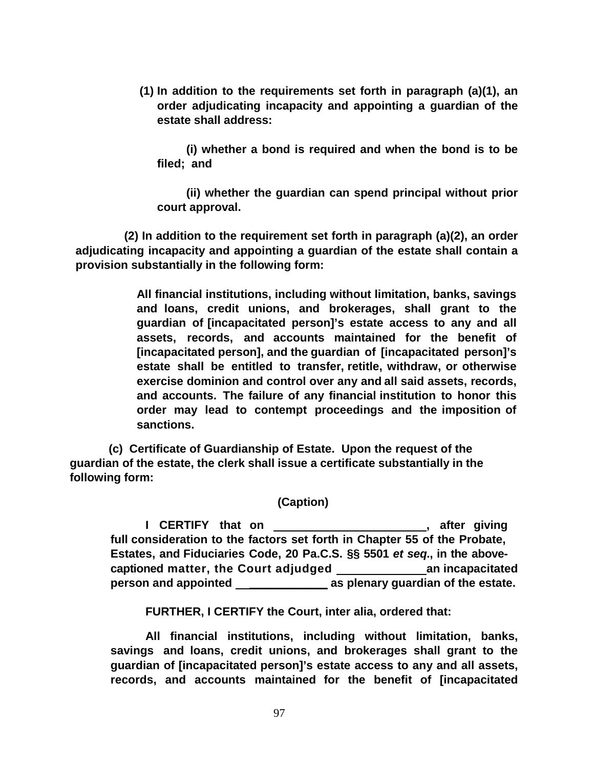**(1) In addition to the requirements set forth in paragraph (a)(1), an order adjudicating incapacity and appointing a guardian of the estate shall address:**

 **(i) whether a bond is required and when the bond is to be filed; and**

 **(ii) whether the guardian can spend principal without prior court approval.**

 **(2) In addition to the requirement set forth in paragraph (a)(2), an order adjudicating incapacity and appointing a guardian of the estate shall contain a provision substantially in the following form:**

> **All financial institutions, including without limitation, banks, savings and loans, credit unions, and brokerages, shall grant to the guardian of [incapacitated person]'s estate access to any and all assets, records, and accounts maintained for the benefit of [incapacitated person], and the guardian of [incapacitated person]'s estate shall be entitled to transfer, retitle, withdraw, or otherwise exercise dominion and control over any and all said assets, records, and accounts. The failure of any financial institution to honor this order may lead to contempt proceedings and the imposition of sanctions.**

 **(c) Certificate of Guardianship of Estate. Upon the request of the guardian of the estate, the clerk shall issue a certificate substantially in the following form:**

**(Caption)**

**I CERTIFY that on , after giving full consideration to the factors set forth in Chapter 55 of the Probate, Estates, and Fiduciaries Code, 20 Pa.C.S. §§ 5501** *et seq***., in the abovecaptioned matter, the Court adjudged an incapacitated captioned matter, the Court adjudged person and appointed \_\_\_\_\_\_\_\_\_\_\_\_ as plenary guardian of the estate.**

**FURTHER, I CERTIFY the Court, inter alia, ordered that:**

**All financial institutions, including without limitation, banks, savings and loans, credit unions, and brokerages shall grant to the guardian of [incapacitated person]'s estate access to any and all assets, records, and accounts maintained for the benefit of [incapacitated**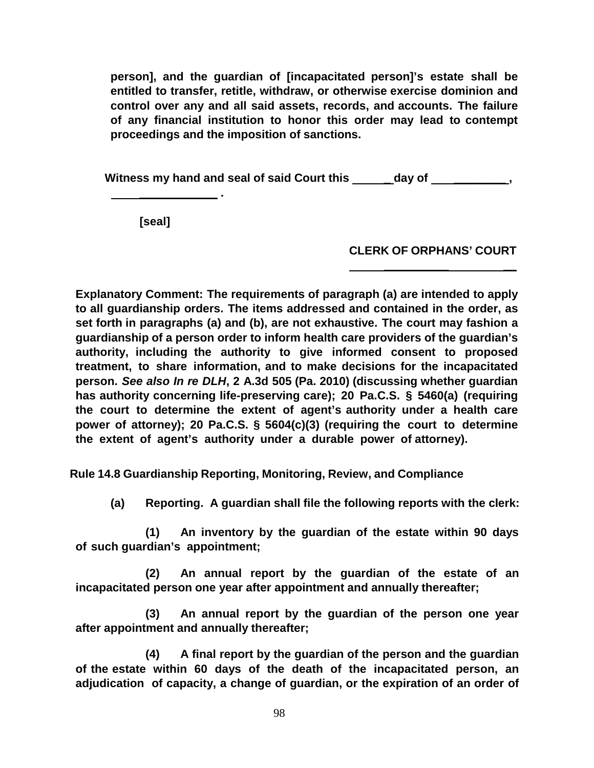**person], and the guardian of [incapacitated person]'s estate shall be entitled to transfer, retitle, withdraw, or otherwise exercise dominion and control over any and all said assets, records, and accounts. The failure of any financial institution to honor this order may lead to contempt proceedings and the imposition of sanctions.**

Witness my hand and seal of said Court this \_\_\_\_\_\_\_ day of \_\_\_\_\_\_\_\_\_\_,

**[seal]**

 **\_\_\_\_\_\_\_\_\_\_\_\_ .**

**CLERK OF ORPHANS' COURT**

**\_\_\_\_\_\_\_\_\_\_ \_\_** 

**Explanatory Comment: The requirements of paragraph (a) are intended to apply to all guardianship orders. The items addressed and contained in the order, as set forth in paragraphs (a) and (b), are not exhaustive. The court may fashion a guardianship of a person order to inform health care providers of the guardian's authority, including the authority to give informed consent to proposed treatment, to share information, and to make decisions for the incapacitated person.** *See also In re DLH***, 2 A.3d 505 (Pa. 2010) (discussing whether guardian has authority concerning life-preserving care); 20 Pa.C.S. § 5460(a) (requiring the court to determine the extent of agent's authority under a health care power of attorney); 20 Pa.C.S. § 5604(c)(3) (requiring the court to determine the extent of agent's authority under a durable power of attorney).**

**Rule 14.8 Guardianship Reporting, Monitoring, Review, and Compliance**

**(a) Reporting. A guardian shall file the following reports with the clerk:**

**(1) An inventory by the guardian of the estate within 90 days of such guardian's appointment;**

**(2) An annual report by the guardian of the estate of an incapacitated person one year after appointment and annually thereafter;**

**(3) An annual report by the guardian of the person one year after appointment and annually thereafter;**

**(4) A final report by the guardian of the person and the guardian of the estate within 60 days of the death of the incapacitated person, an adjudication of capacity, a change of guardian, or the expiration of an order of**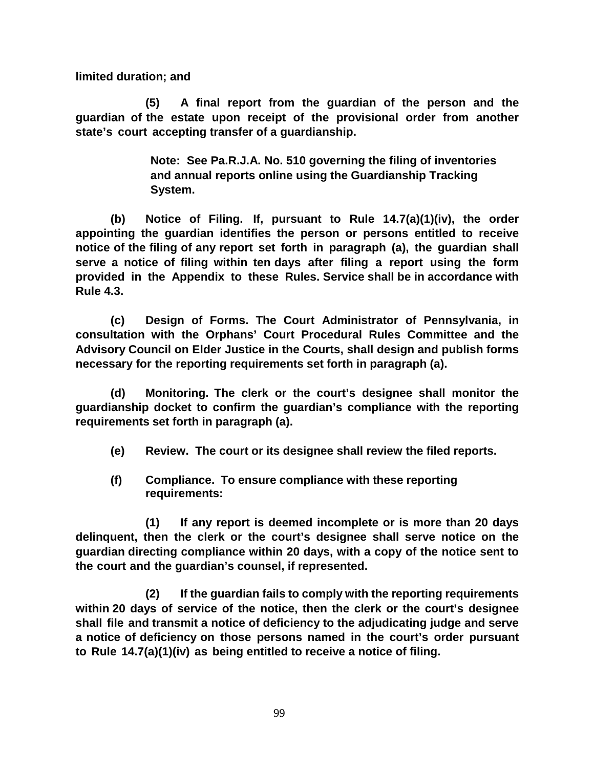**limited duration; and**

**(5) A final report from the guardian of the person and the guardian of the estate upon receipt of the provisional order from another state's court accepting transfer of a guardianship.**

> **Note: See Pa.R.J.A. No. 510 governing the filing of inventories and annual reports online using the Guardianship Tracking System.**

**(b) Notice of Filing. If, pursuant to Rule 14.7(a)(1)(iv), the order appointing the guardian identifies the person or persons entitled to receive notice of the filing of any report set forth in paragraph (a), the guardian shall serve a notice of filing within ten days after filing a report using the form provided in the Appendix to these Rules. Service shall be in accordance with Rule 4.3.**

**(c) Design of Forms. The Court Administrator of Pennsylvania, in consultation with the Orphans' Court Procedural Rules Committee and the Advisory Council on Elder Justice in the Courts, shall design and publish forms necessary for the reporting requirements set forth in paragraph (a).**

**(d) Monitoring. The clerk or the court's designee shall monitor the guardianship docket to confirm the guardian's compliance with the reporting requirements set forth in paragraph (a).**

- **(e) Review. The court or its designee shall review the filed reports.**
- **(f) Compliance. To ensure compliance with these reporting requirements:**

**(1) If any report is deemed incomplete or is more than 20 days delinquent, then the clerk or the court's designee shall serve notice on the guardian directing compliance within 20 days, with a copy of the notice sent to the court and the guardian's counsel, if represented.**

**(2) If the guardian fails to comply with the reporting requirements within 20 days of service of the notice, then the clerk or the court's designee shall file and transmit a notice of deficiency to the adjudicating judge and serve a notice of deficiency on those persons named in the court's order pursuant to Rule 14.7(a)(1)(iv) as being entitled to receive a notice of filing.**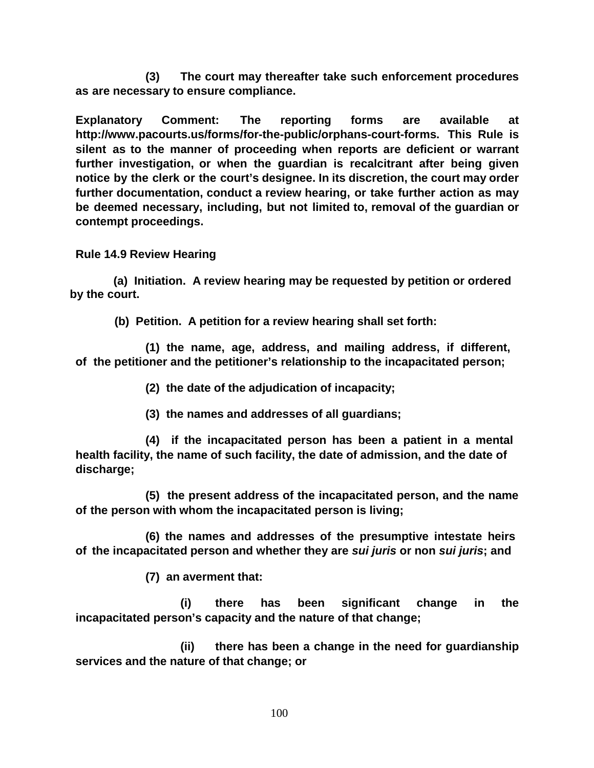**(3) The court may thereafter take such enforcement procedures as are necessary to ensure compliance.**

**Explanatory Comment: The reporting forms are available at [http://www.pacourts.us/forms/for-the-public/orphans-court-forms.](http://www.pacourts.us/forms/for-the-public/orphans-court-forms) This Rule is silent as to the manner of proceeding when reports are deficient or warrant further investigation, or when the guardian is recalcitrant after being given notice by the clerk or the court's designee. In its discretion, the court may order further documentation, conduct a review hearing, or take further action as may be deemed necessary, including, but not limited to, removal of the guardian or contempt proceedings.**

**Rule 14.9 Review Hearing**

 **(a) Initiation. A review hearing may be requested by petition or ordered by the court.**

 **(b) Petition. A petition for a review hearing shall set forth:**

**(1) the name, age, address, and mailing address, if different, of the petitioner and the petitioner's relationship to the incapacitated person;**

**(2) the date of the adjudication of incapacity;**

**(3) the names and addresses of all guardians;**

**(4) if the incapacitated person has been a patient in a mental health facility, the name of such facility, the date of admission, and the date of discharge;**

**(5) the present address of the incapacitated person, and the name of the person with whom the incapacitated person is living;**

**(6) the names and addresses of the presumptive intestate heirs of the incapacitated person and whether they are** *sui juris* **or non** *sui juris***; and**

**(7) an averment that:**

**(i) there has been significant change in the incapacitated person's capacity and the nature of that change;**

**(ii) there has been a change in the need for guardianship services and the nature of that change; or**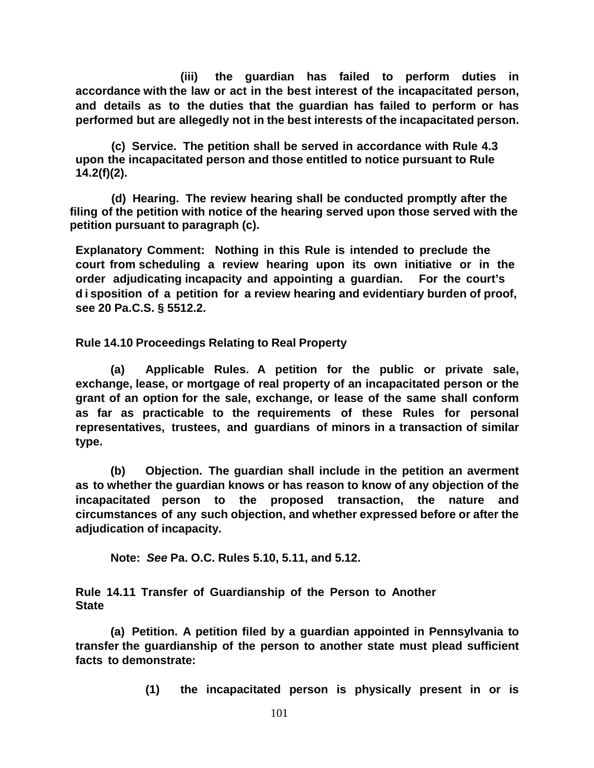**(iii) the guardian has failed to perform duties in accordance with the law or act in the best interest of the incapacitated person, and details as to the duties that the guardian has failed to perform or has performed but are allegedly not in the best interests of the incapacitated person.**

 **(c) Service. The petition shall be served in accordance with Rule 4.3 upon the incapacitated person and those entitled to notice pursuant to Rule 14.2(f)(2).**

 **(d) Hearing. The review hearing shall be conducted promptly after the filing of the petition with notice of the hearing served upon those served with the petition pursuant to paragraph (c).**

**Explanatory Comment: Nothing in this Rule is intended to preclude the court from scheduling a review hearing upon its own initiative or in the order adjudicating incapacity and appointing a guardian. For the court's d i sposition of a petition for a review hearing and evidentiary burden of proof, see 20 Pa.C.S. § 5512.2.**

**Rule 14.10 Proceedings Relating to Real Property**

**(a) Applicable Rules. A petition for the public or private sale, exchange, lease, or mortgage of real property of an incapacitated person or the grant of an option for the sale, exchange, or lease of the same shall conform as far as practicable to the requirements of these Rules for personal representatives, trustees, and guardians of minors in a transaction of similar type.**

**(b) Objection. The guardian shall include in the petition an averment as to whether the guardian knows or has reason to know of any objection of the incapacitated person to the proposed transaction, the nature and circumstances of any such objection, and whether expressed before or after the adjudication of incapacity.**

**Note:** *See* **Pa. O.C. Rules 5.10, 5.11, and 5.12.**

**Rule 14.11 Transfer of Guardianship of the Person to Another State**

**(a) Petition. A petition filed by a guardian appointed in Pennsylvania to transfer the guardianship of the person to another state must plead sufficient facts to demonstrate:**

**(1) the incapacitated person is physically present in or is**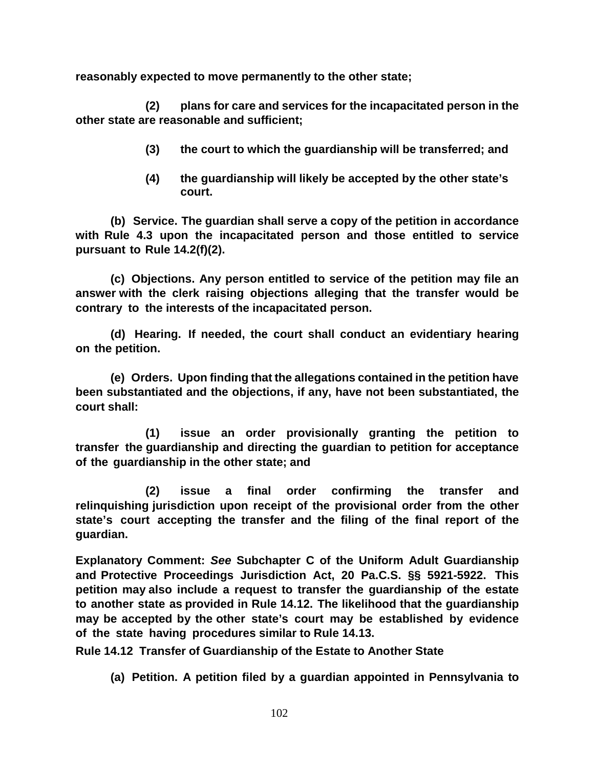**reasonably expected to move permanently to the other state;**

**(2) plans for care and services for the incapacitated person in the other state are reasonable and sufficient;**

- **(3) the court to which the guardianship will be transferred; and**
- **(4) the guardianship will likely be accepted by the other state's court.**

**(b) Service. The guardian shall serve a copy of the petition in accordance with Rule 4.3 upon the incapacitated person and those entitled to service pursuant to Rule 14.2(f)(2).**

**(c) Objections. Any person entitled to service of the petition may file an answer with the clerk raising objections alleging that the transfer would be contrary to the interests of the incapacitated person.**

**(d) Hearing. If needed, the court shall conduct an evidentiary hearing on the petition.**

**(e) Orders. Upon finding that the allegations contained in the petition have been substantiated and the objections, if any, have not been substantiated, the court shall:**

**(1) issue an order provisionally granting the petition to transfer the guardianship and directing the guardian to petition for acceptance of the guardianship in the other state; and**

**(2) issue a final order confirming the transfer and relinquishing jurisdiction upon receipt of the provisional order from the other state's court accepting the transfer and the filing of the final report of the guardian.**

**Explanatory Comment:** *See* **Subchapter C of the Uniform Adult Guardianship and Protective Proceedings Jurisdiction Act, 20 Pa.C.S. §§ 5921-5922. This petition may also include a request to transfer the guardianship of the estate to another state as provided in Rule 14.12. The likelihood that the guardianship may be accepted by the other state's court may be established by evidence of the state having procedures similar to Rule 14.13.**

**Rule 14.12 Transfer of Guardianship of the Estate to Another State**

**(a) Petition. A petition filed by a guardian appointed in Pennsylvania to**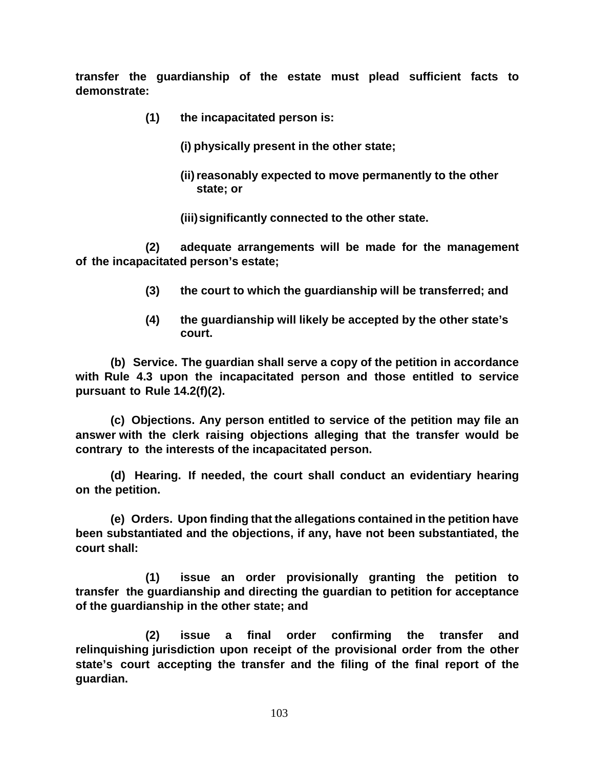**transfer the guardianship of the estate must plead sufficient facts to demonstrate:**

**(1) the incapacitated person is:**

**(i) physically present in the other state;**

- **(ii)reasonably expected to move permanently to the other state; or**
- **(iii)significantly connected to the other state.**

**(2) adequate arrangements will be made for the management of the incapacitated person's estate;**

- **(3) the court to which the guardianship will be transferred; and**
- **(4) the guardianship will likely be accepted by the other state's court.**

**(b) Service. The guardian shall serve a copy of the petition in accordance with Rule 4.3 upon the incapacitated person and those entitled to service pursuant to Rule 14.2(f)(2).**

**(c) Objections. Any person entitled to service of the petition may file an answer with the clerk raising objections alleging that the transfer would be contrary to the interests of the incapacitated person.**

**(d) Hearing. If needed, the court shall conduct an evidentiary hearing on the petition.**

**(e) Orders. Upon finding that the allegations contained in the petition have been substantiated and the objections, if any, have not been substantiated, the court shall:**

**(1) issue an order provisionally granting the petition to transfer the guardianship and directing the guardian to petition for acceptance of the guardianship in the other state; and**

**(2) issue a final order confirming the transfer and relinquishing jurisdiction upon receipt of the provisional order from the other state's court accepting the transfer and the filing of the final report of the guardian.**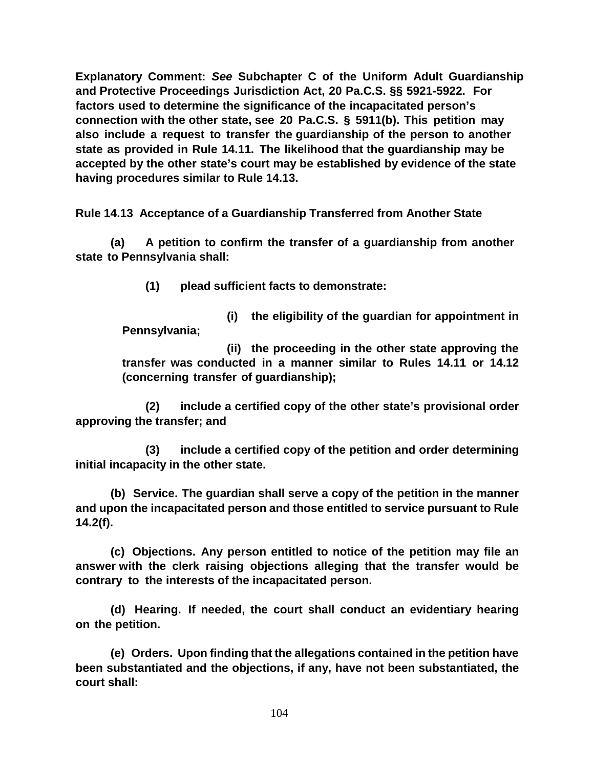**Explanatory Comment:** *See* **Subchapter C of the Uniform Adult Guardianship and Protective Proceedings Jurisdiction Act, 20 Pa.C.S. §§ 5921-5922. For factors used to determine the significance of the incapacitated person's connection with the other state, see 20 Pa.C.S. § 5911(b). This petition may also include a request to transfer the guardianship of the person to another state as provided in Rule 14.11. The likelihood that the guardianship may be accepted by the other state's court may be established by evidence of the state having procedures similar to Rule 14.13.**

**Rule 14.13 Acceptance of a Guardianship Transferred from Another State**

**(a) A petition to confirm the transfer of a guardianship from another state to Pennsylvania shall:**

**(1) plead sufficient facts to demonstrate:**

**(i) the eligibility of the guardian for appointment in Pennsylvania;** 

**(ii) the proceeding in the other state approving the transfer was conducted in a manner similar to Rules 14.11 or 14.12 (concerning transfer of guardianship);**

**(2) include a certified copy of the other state's provisional order approving the transfer; and**

**(3) include a certified copy of the petition and order determining initial incapacity in the other state.**

**(b) Service. The guardian shall serve a copy of the petition in the manner and upon the incapacitated person and those entitled to service pursuant to Rule 14.2(f).**

**(c) Objections. Any person entitled to notice of the petition may file an answer with the clerk raising objections alleging that the transfer would be contrary to the interests of the incapacitated person.**

**(d) Hearing. If needed, the court shall conduct an evidentiary hearing on the petition.**

**(e) Orders. Upon finding that the allegations contained in the petition have been substantiated and the objections, if any, have not been substantiated, the court shall:**

104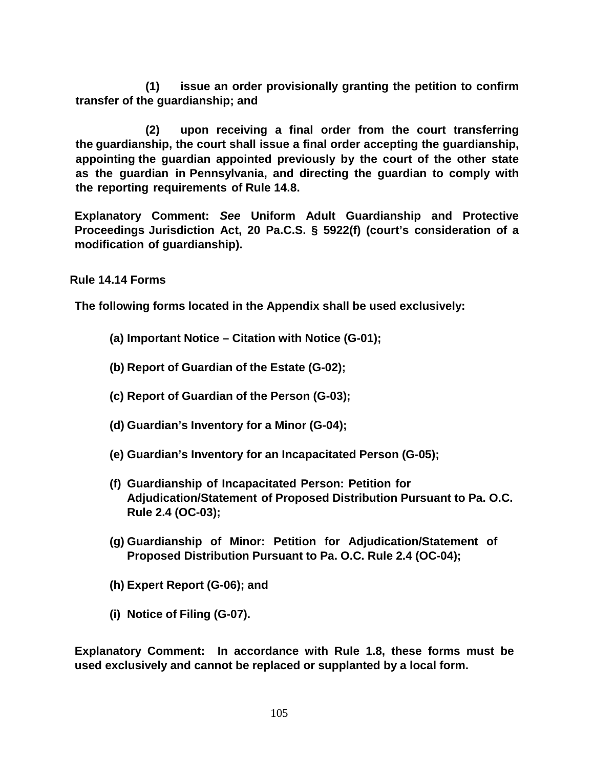**(1) issue an order provisionally granting the petition to confirm transfer of the guardianship; and**

**(2) upon receiving a final order from the court transferring the guardianship, the court shall issue a final order accepting the guardianship, appointing the guardian appointed previously by the court of the other state as the guardian in Pennsylvania, and directing the guardian to comply with the reporting requirements of Rule 14.8.**

**Explanatory Comment:** *See* **Uniform Adult Guardianship and Protective Proceedings Jurisdiction Act, 20 Pa.C.S. § 5922(f) (court's consideration of a modification of guardianship).**

**Rule 14.14 Forms**

**The following forms located in the Appendix shall be used exclusively:**

- **(a) Important Notice – Citation with Notice (G-01);**
- **(b) Report of Guardian of the Estate (G-02);**
- **(c) Report of Guardian of the Person (G-03);**
- **(d) Guardian's Inventory for a Minor (G-04);**
- **(e) Guardian's Inventory for an Incapacitated Person (G-05);**
- **(f) Guardianship of Incapacitated Person: Petition for Adjudication/Statement of Proposed Distribution Pursuant to Pa. O.C. Rule 2.4 (OC-03);**
- **(g) Guardianship of Minor: Petition for Adjudication/Statement of Proposed Distribution Pursuant to Pa. O.C. Rule 2.4 (OC-04);**
- **(h) Expert Report (G-06); and**
- **(i) Notice of Filing (G-07).**

**Explanatory Comment: In accordance with Rule 1.8, these forms must be used exclusively and cannot be replaced or supplanted by a local form.**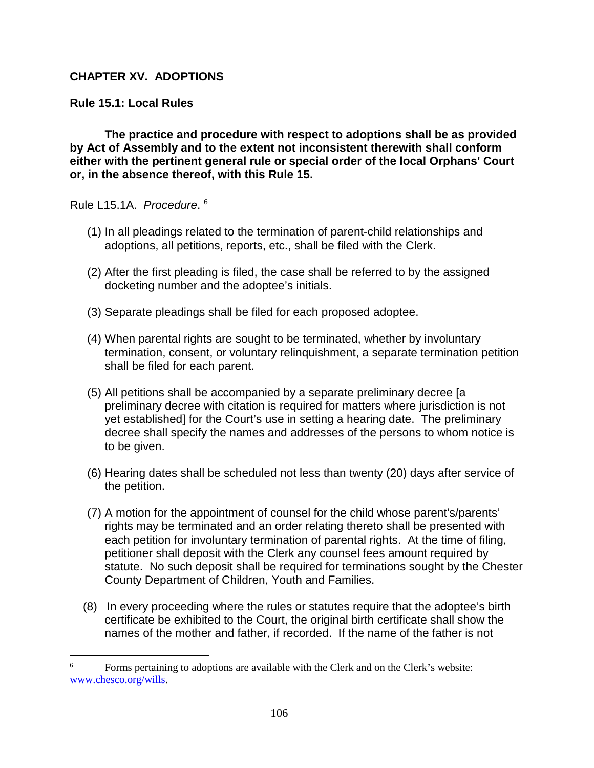## **CHAPTER XV. ADOPTIONS**

### **Rule 15.1: Local Rules**

**The practice and procedure with respect to adoptions shall be as provided by Act of Assembly and to the extent not inconsistent therewith shall conform either with the pertinent general rule or special order of the local Orphans' Court or, in the absence thereof, with this Rule 15.**

Rule L15.1A. *Procedure*. [6](#page-105-0)

- (1) In all pleadings related to the termination of parent-child relationships and adoptions, all petitions, reports, etc., shall be filed with the Clerk.
- (2) After the first pleading is filed, the case shall be referred to by the assigned docketing number and the adoptee's initials.
- (3) Separate pleadings shall be filed for each proposed adoptee.
- (4) When parental rights are sought to be terminated, whether by involuntary termination, consent, or voluntary relinquishment, a separate termination petition shall be filed for each parent.
- (5) All petitions shall be accompanied by a separate preliminary decree [a preliminary decree with citation is required for matters where jurisdiction is not yet established] for the Court's use in setting a hearing date. The preliminary decree shall specify the names and addresses of the persons to whom notice is to be given.
- (6) Hearing dates shall be scheduled not less than twenty (20) days after service of the petition.
- (7) A motion for the appointment of counsel for the child whose parent's/parents' rights may be terminated and an order relating thereto shall be presented with each petition for involuntary termination of parental rights. At the time of filing, petitioner shall deposit with the Clerk any counsel fees amount required by statute. No such deposit shall be required for terminations sought by the Chester County Department of Children, Youth and Families.
- (8) In every proceeding where the rules or statutes require that the adoptee's birth certificate be exhibited to the Court, the original birth certificate shall show the names of the mother and father, if recorded. If the name of the father is not

<span id="page-105-0"></span><sup>&</sup>lt;sup>6</sup> Forms pertaining to adoptions are available with the Clerk and on the Clerk's website: [www.chesco.org/wills.](http://www.chesco.org/wills)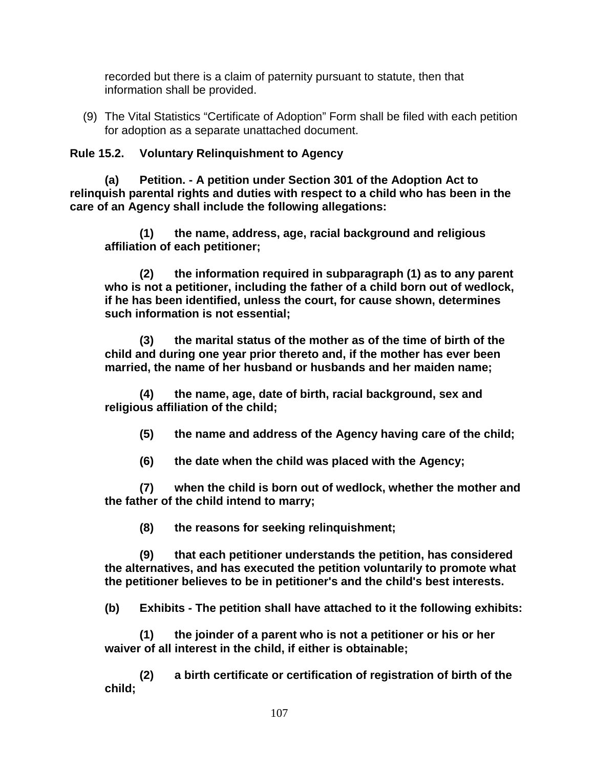recorded but there is a claim of paternity pursuant to statute, then that information shall be provided.

(9) The Vital Statistics "Certificate of Adoption" Form shall be filed with each petition for adoption as a separate unattached document.

### **Rule 15.2. Voluntary Relinquishment to Agency**

**(a) Petition. - A petition under Section 301 of the Adoption Act to relinquish parental rights and duties with respect to a child who has been in the care of an Agency shall include the following allegations:** 

**(1) the name, address, age, racial background and religious affiliation of each petitioner;** 

**(2) the information required in subparagraph (1) as to any parent who is not a petitioner, including the father of a child born out of wedlock, if he has been identified, unless the court, for cause shown, determines such information is not essential;** 

**(3) the marital status of the mother as of the time of birth of the child and during one year prior thereto and, if the mother has ever been married, the name of her husband or husbands and her maiden name;** 

**(4) the name, age, date of birth, racial background, sex and religious affiliation of the child;** 

**(5) the name and address of the Agency having care of the child;** 

**(6) the date when the child was placed with the Agency;**

**(7) when the child is born out of wedlock, whether the mother and the father of the child intend to marry;** 

**(8) the reasons for seeking relinquishment;** 

**(9) that each petitioner understands the petition, has considered the alternatives, and has executed the petition voluntarily to promote what the petitioner believes to be in petitioner's and the child's best interests.** 

**(b) Exhibits - The petition shall have attached to it the following exhibits:** 

**(1) the joinder of a parent who is not a petitioner or his or her waiver of all interest in the child, if either is obtainable;** 

**(2) a birth certificate or certification of registration of birth of the child;**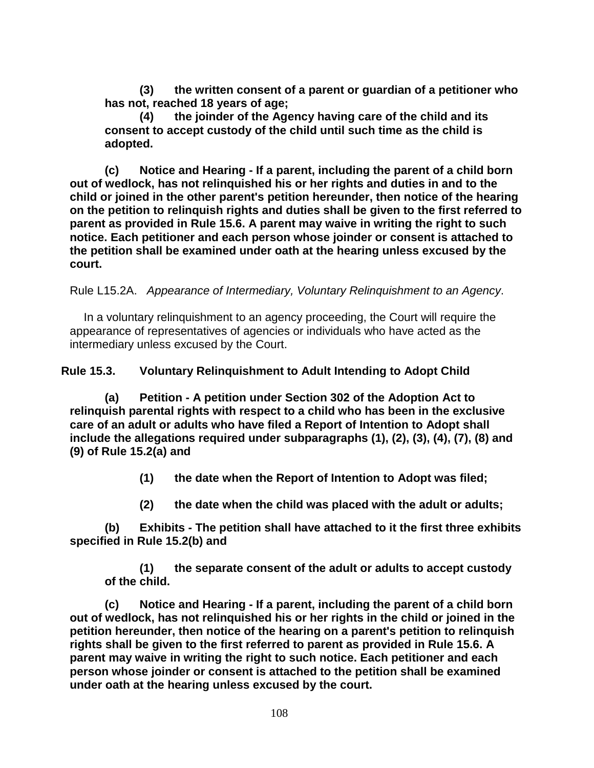**(3) the written consent of a parent or guardian of a petitioner who has not, reached 18 years of age;**

**(4) the joinder of the Agency having care of the child and its consent to accept custody of the child until such time as the child is adopted.** 

**(c) Notice and Hearing - If a parent, including the parent of a child born out of wedlock, has not relinquished his or her rights and duties in and to the child or joined in the other parent's petition hereunder, then notice of the hearing on the petition to relinquish rights and duties shall be given to the first referred to parent as provided in Rule 15.6. A parent may waive in writing the right to such notice. Each petitioner and each person whose joinder or consent is attached to the petition shall be examined under oath at the hearing unless excused by the court.** 

Rule L15.2A. *Appearance of Intermediary, Voluntary Relinquishment to an Agency*.

 In a voluntary relinquishment to an agency proceeding, the Court will require the appearance of representatives of agencies or individuals who have acted as the intermediary unless excused by the Court.

**Rule 15.3. Voluntary Relinquishment to Adult Intending to Adopt Child** 

**(a) Petition - A petition under Section 302 of the Adoption Act to relinquish parental rights with respect to a child who has been in the exclusive care of an adult or adults who have filed a Report of Intention to Adopt shall include the allegations required under subparagraphs (1), (2), (3), (4), (7), (8) and (9) of Rule 15.2(a) and** 

**(1) the date when the Report of Intention to Adopt was filed;** 

**(2) the date when the child was placed with the adult or adults;**

**(b) Exhibits - The petition shall have attached to it the first three exhibits specified in Rule 15.2(b) and** 

**(1) the separate consent of the adult or adults to accept custody of the child.** 

**(c) Notice and Hearing - If a parent, including the parent of a child born out of wedlock, has not relinquished his or her rights in the child or joined in the petition hereunder, then notice of the hearing on a parent's petition to relinquish rights shall be given to the first referred to parent as provided in Rule 15.6. A parent may waive in writing the right to such notice. Each petitioner and each person whose joinder or consent is attached to the petition shall be examined under oath at the hearing unless excused by the court.**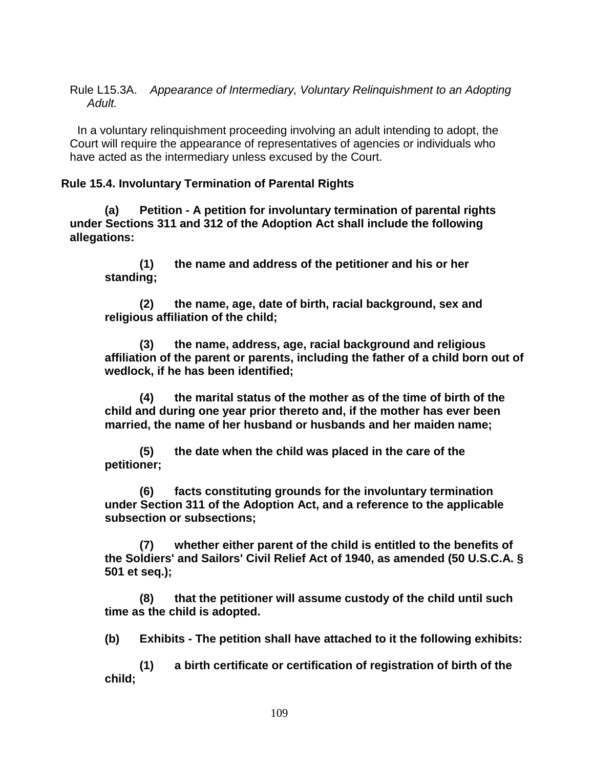Rule L15.3A. *Appearance of Intermediary, Voluntary Relinquishment to an Adopting Adult.*

 In a voluntary relinquishment proceeding involving an adult intending to adopt, the Court will require the appearance of representatives of agencies or individuals who have acted as the intermediary unless excused by the Court.

## **Rule 15.4. Involuntary Termination of Parental Rights**

**(a) Petition - A petition for involuntary termination of parental rights under Sections 311 and 312 of the Adoption Act shall include the following allegations:**

**(1) the name and address of the petitioner and his or her standing;** 

**(2) the name, age, date of birth, racial background, sex and religious affiliation of the child;** 

**(3) the name, address, age, racial background and religious affiliation of the parent or parents, including the father of a child born out of wedlock, if he has been identified;** 

**(4) the marital status of the mother as of the time of birth of the child and during one year prior thereto and, if the mother has ever been married, the name of her husband or husbands and her maiden name;** 

**(5) the date when the child was placed in the care of the petitioner;** 

**(6) facts constituting grounds for the involuntary termination under Section 311 of the Adoption Act, and a reference to the applicable subsection or subsections;** 

**(7) whether either parent of the child is entitled to the benefits of the Soldiers' and Sailors' Civil Relief Act of 1940, as amended (50 U.S.C.A. § 501 et seq.);**

**(8) that the petitioner will assume custody of the child until such time as the child is adopted.** 

**(b) Exhibits - The petition shall have attached to it the following exhibits:**

**(1) a birth certificate or certification of registration of birth of the child;**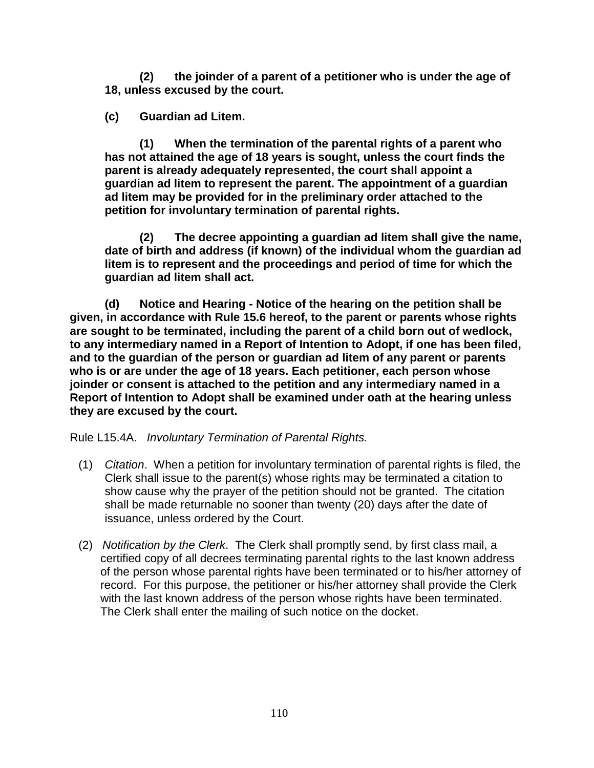**(2) the joinder of a parent of a petitioner who is under the age of 18, unless excused by the court.** 

# **(c) Guardian ad Litem.**

**(1) When the termination of the parental rights of a parent who has not attained the age of 18 years is sought, unless the court finds the parent is already adequately represented, the court shall appoint a guardian ad litem to represent the parent. The appointment of a guardian ad litem may be provided for in the preliminary order attached to the petition for involuntary termination of parental rights.** 

**(2) The decree appointing a guardian ad litem shall give the name, date of birth and address (if known) of the individual whom the guardian ad litem is to represent and the proceedings and period of time for which the guardian ad litem shall act.** 

**(d) Notice and Hearing - Notice of the hearing on the petition shall be given, in accordance with Rule 15.6 hereof, to the parent or parents whose rights are sought to be terminated, including the parent of a child born out of wedlock, to any intermediary named in a Report of Intention to Adopt, if one has been filed, and to the guardian of the person or guardian ad litem of any parent or parents who is or are under the age of 18 years. Each petitioner, each person whose joinder or consent is attached to the petition and any intermediary named in a Report of Intention to Adopt shall be examined under oath at the hearing unless they are excused by the court.**

Rule L15.4A. *Involuntary Termination of Parental Rights.*

- (1) *Citation*. When a petition for involuntary termination of parental rights is filed, the Clerk shall issue to the parent(s) whose rights may be terminated a citation to show cause why the prayer of the petition should not be granted. The citation shall be made returnable no sooner than twenty (20) days after the date of issuance, unless ordered by the Court.
- (2) *Notification by the Clerk*. The Clerk shall promptly send, by first class mail, a certified copy of all decrees terminating parental rights to the last known address of the person whose parental rights have been terminated or to his/her attorney of record. For this purpose, the petitioner or his/her attorney shall provide the Clerk with the last known address of the person whose rights have been terminated. The Clerk shall enter the mailing of such notice on the docket.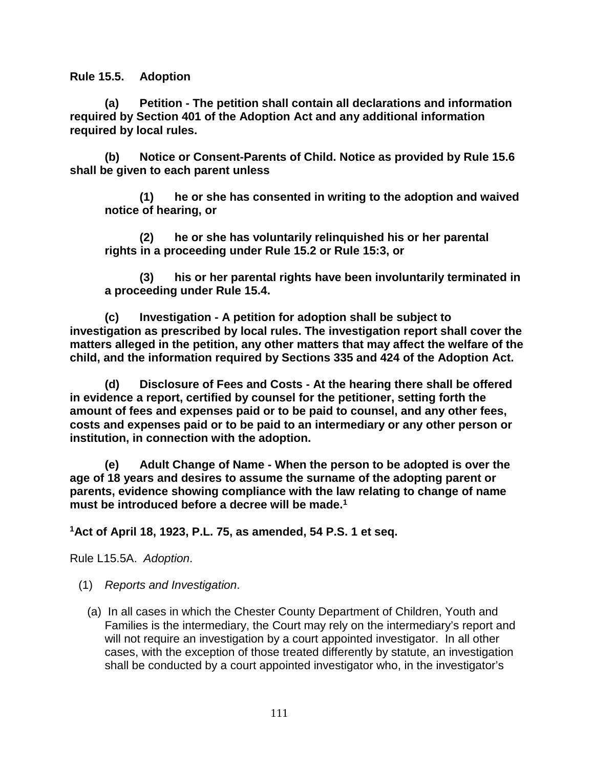**Rule 15.5. Adoption**

**(a) Petition - The petition shall contain all declarations and information required by Section 401 of the Adoption Act and any additional information required by local rules.** 

**(b) Notice or Consent-Parents of Child. Notice as provided by Rule 15.6 shall be given to each parent unless** 

**(1) he or she has consented in writing to the adoption and waived notice of hearing, or** 

**(2) he or she has voluntarily relinquished his or her parental rights in a proceeding under Rule 15.2 or Rule 15:3, or** 

**(3) his or her parental rights have been involuntarily terminated in a proceeding under Rule 15.4.** 

**(c) Investigation - A petition for adoption shall be subject to investigation as prescribed by local rules. The investigation report shall cover the matters alleged in the petition, any other matters that may affect the welfare of the child, and the information required by Sections 335 and 424 of the Adoption Act.** 

**(d) Disclosure of Fees and Costs - At the hearing there shall be offered in evidence a report, certified by counsel for the petitioner, setting forth the amount of fees and expenses paid or to be paid to counsel, and any other fees, costs and expenses paid or to be paid to an intermediary or any other person or institution, in connection with the adoption.** 

**(e) Adult Change of Name - When the person to be adopted is over the age of 18 years and desires to assume the surname of the adopting parent or parents, evidence showing compliance with the law relating to change of name must be introduced before a decree will be made.1**

**1Act of April 18, 1923, P.L. 75, as amended, 54 P.S. 1 et seq.**

Rule L15.5A. *Adoption*.

(1) *Reports and Investigation*.

(a) In all cases in which the Chester County Department of Children, Youth and Families is the intermediary, the Court may rely on the intermediary's report and will not require an investigation by a court appointed investigator. In all other cases, with the exception of those treated differently by statute, an investigation shall be conducted by a court appointed investigator who, in the investigator's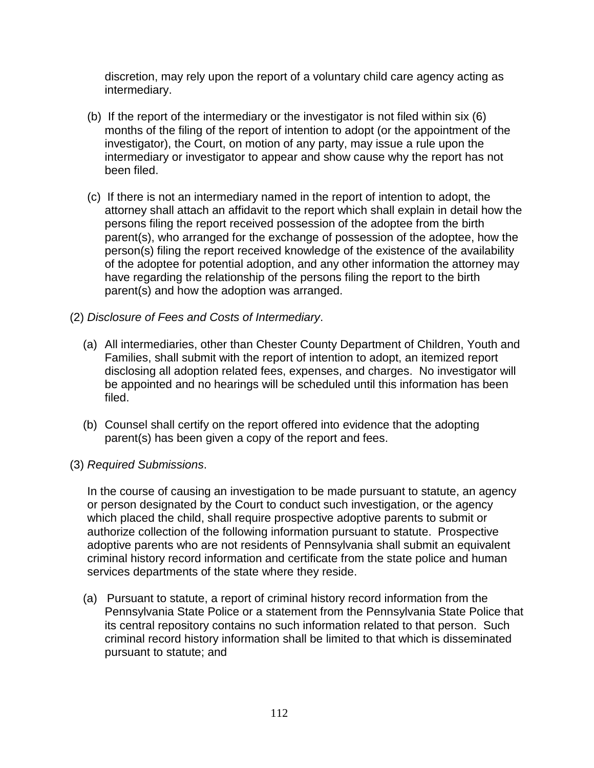discretion, may rely upon the report of a voluntary child care agency acting as intermediary.

- (b) If the report of the intermediary or the investigator is not filed within six (6) months of the filing of the report of intention to adopt (or the appointment of the investigator), the Court, on motion of any party, may issue a rule upon the intermediary or investigator to appear and show cause why the report has not been filed.
- (c) If there is not an intermediary named in the report of intention to adopt, the attorney shall attach an affidavit to the report which shall explain in detail how the persons filing the report received possession of the adoptee from the birth parent(s), who arranged for the exchange of possession of the adoptee, how the person(s) filing the report received knowledge of the existence of the availability of the adoptee for potential adoption, and any other information the attorney may have regarding the relationship of the persons filing the report to the birth parent(s) and how the adoption was arranged.
- (2) *Disclosure of Fees and Costs of Intermediary*.
	- (a) All intermediaries, other than Chester County Department of Children, Youth and Families, shall submit with the report of intention to adopt, an itemized report disclosing all adoption related fees, expenses, and charges. No investigator will be appointed and no hearings will be scheduled until this information has been filed.
	- (b) Counsel shall certify on the report offered into evidence that the adopting parent(s) has been given a copy of the report and fees.
- (3) *Required Submissions*.

In the course of causing an investigation to be made pursuant to statute, an agency or person designated by the Court to conduct such investigation, or the agency which placed the child, shall require prospective adoptive parents to submit or authorize collection of the following information pursuant to statute. Prospective adoptive parents who are not residents of Pennsylvania shall submit an equivalent criminal history record information and certificate from the state police and human services departments of the state where they reside.

(a) Pursuant to statute, a report of criminal history record information from the Pennsylvania State Police or a statement from the Pennsylvania State Police that its central repository contains no such information related to that person. Such criminal record history information shall be limited to that which is disseminated pursuant to statute; and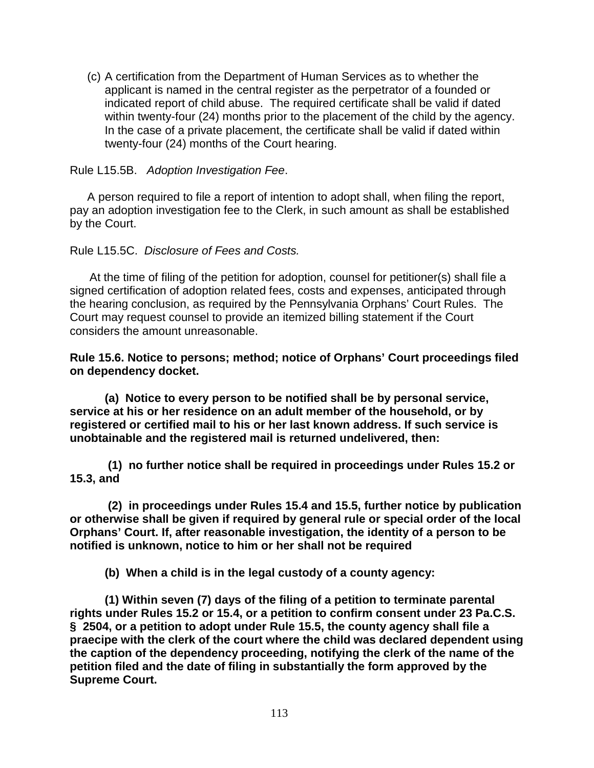(c) A certification from the Department of Human Services as to whether the applicant is named in the central register as the perpetrator of a founded or indicated report of child abuse. The required certificate shall be valid if dated within twenty-four (24) months prior to the placement of the child by the agency. In the case of a private placement, the certificate shall be valid if dated within twenty-four (24) months of the Court hearing.

### Rule L15.5B. *Adoption Investigation Fee*.

A person required to file a report of intention to adopt shall, when filing the report, pay an adoption investigation fee to the Clerk, in such amount as shall be established by the Court.

#### Rule L15.5C. *Disclosure of Fees and Costs.*

 At the time of filing of the petition for adoption, counsel for petitioner(s) shall file a signed certification of adoption related fees, costs and expenses, anticipated through the hearing conclusion, as required by the Pennsylvania Orphans' Court Rules. The Court may request counsel to provide an itemized billing statement if the Court considers the amount unreasonable.

**Rule 15.6. Notice to persons; method; notice of Orphans' Court proceedings filed on dependency docket.**

**(a) Notice to every person to be notified shall be by personal service, service at his or her residence on an adult member of the household, or by registered or certified mail to his or her last known address. If such service is unobtainable and the registered mail is returned undelivered, then:**

 **(1) no further notice shall be required in proceedings under Rules 15.2 or 15.3, and**

 **(2) in proceedings under Rules 15.4 and 15.5, further notice by publication or otherwise shall be given if required by general rule or special order of the local Orphans' Court. If, after reasonable investigation, the identity of a person to be notified is unknown, notice to him or her shall not be required**

**(b) When a child is in the legal custody of a county agency:**

 **(1) Within seven (7) days of the filing of a petition to terminate parental rights under Rules 15.2 or 15.4, or a petition to confirm consent under 23 Pa.C.S. § 2504, or a petition to adopt under Rule 15.5, the county agency shall file a praecipe with the clerk of the court where the child was declared dependent using the caption of the dependency proceeding, notifying the clerk of the name of the petition filed and the date of filing in substantially the form approved by the Supreme Court.**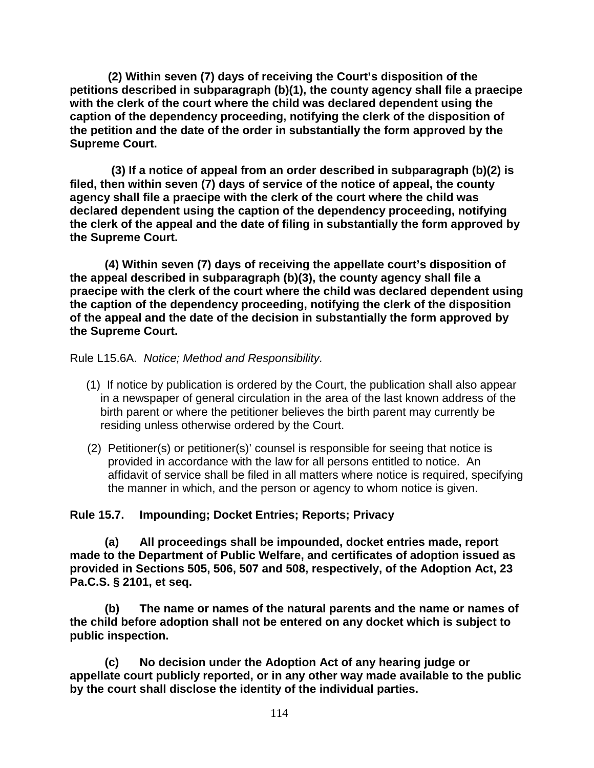**(2) Within seven (7) days of receiving the Court's disposition of the petitions described in subparagraph (b)(1), the county agency shall file a praecipe with the clerk of the court where the child was declared dependent using the caption of the dependency proceeding, notifying the clerk of the disposition of the petition and the date of the order in substantially the form approved by the Supreme Court.**

 **(3) If a notice of appeal from an order described in subparagraph (b)(2) is filed, then within seven (7) days of service of the notice of appeal, the county agency shall file a praecipe with the clerk of the court where the child was declared dependent using the caption of the dependency proceeding, notifying the clerk of the appeal and the date of filing in substantially the form approved by the Supreme Court.**

 **(4) Within seven (7) days of receiving the appellate court's disposition of the appeal described in subparagraph (b)(3), the county agency shall file a praecipe with the clerk of the court where the child was declared dependent using the caption of the dependency proceeding, notifying the clerk of the disposition of the appeal and the date of the decision in substantially the form approved by the Supreme Court.**

Rule L15.6A. *Notice; Method and Responsibility.*

- (1) If notice by publication is ordered by the Court, the publication shall also appear in a newspaper of general circulation in the area of the last known address of the birth parent or where the petitioner believes the birth parent may currently be residing unless otherwise ordered by the Court.
- (2) Petitioner(s) or petitioner(s)' counsel is responsible for seeing that notice is provided in accordance with the law for all persons entitled to notice. An affidavit of service shall be filed in all matters where notice is required, specifying the manner in which, and the person or agency to whom notice is given.

**Rule 15.7. Impounding; Docket Entries; Reports; Privacy** 

**(a) All proceedings shall be impounded, docket entries made, report made to the Department of Public Welfare, and certificates of adoption issued as provided in Sections 505, 506, 507 and 508, respectively, of the Adoption Act, 23 Pa.C.S. § 2101, et seq.** 

**(b) The name or names of the natural parents and the name or names of the child before adoption shall not be entered on any docket which is subject to public inspection.** 

**(c) No decision under the Adoption Act of any hearing judge or appellate court publicly reported, or in any other way made available to the public by the court shall disclose the identity of the individual parties.**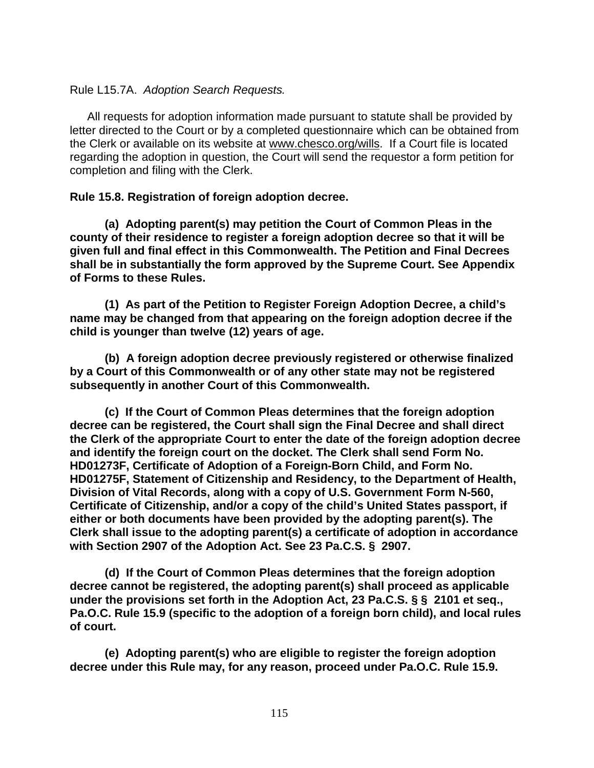#### Rule L15.7A. *Adoption Search Requests.*

All requests for adoption information made pursuant to statute shall be provided by letter directed to the Court or by a completed questionnaire which can be obtained from the Clerk or available on its website at www.chesco.org/wills. If a Court file is located regarding the adoption in question, the Court will send the requestor a form petition for completion and filing with the Clerk.

#### **Rule 15.8. Registration of foreign adoption decree.**

**(a) Adopting parent(s) may petition the Court of Common Pleas in the county of their residence to register a foreign adoption decree so that it will be given full and final effect in this Commonwealth. The Petition and Final Decrees shall be in substantially the form approved by the Supreme Court. See Appendix of Forms to these Rules.**

 **(1) As part of the Petition to Register Foreign Adoption Decree, a child's name may be changed from that appearing on the foreign adoption decree if the child is younger than twelve (12) years of age.**

**(b) A foreign adoption decree previously registered or otherwise finalized by a Court of this Commonwealth or of any other state may not be registered subsequently in another Court of this Commonwealth.**

**(c) If the Court of Common Pleas determines that the foreign adoption decree can be registered, the Court shall sign the Final Decree and shall direct the Clerk of the appropriate Court to enter the date of the foreign adoption decree and identify the foreign court on the docket. The Clerk shall send Form No. HD01273F, Certificate of Adoption of a Foreign-Born Child, and Form No. HD01275F, Statement of Citizenship and Residency, to the Department of Health, Division of Vital Records, along with a copy of U.S. Government Form N-560, Certificate of Citizenship, and/or a copy of the child's United States passport, if either or both documents have been provided by the adopting parent(s). The Clerk shall issue to the adopting parent(s) a certificate of adoption in accordance with Section 2907 of the Adoption Act. See 23 Pa.C.S. § 2907.**

**(d) If the Court of Common Pleas determines that the foreign adoption decree cannot be registered, the adopting parent(s) shall proceed as applicable under the provisions set forth in the Adoption Act, 23 Pa.C.S. § § 2101 et seq., Pa.O.C. Rule 15.9 (specific to the adoption of a foreign born child), and local rules of court.**

**(e) Adopting parent(s) who are eligible to register the foreign adoption decree under this Rule may, for any reason, proceed under Pa.O.C. Rule 15.9.**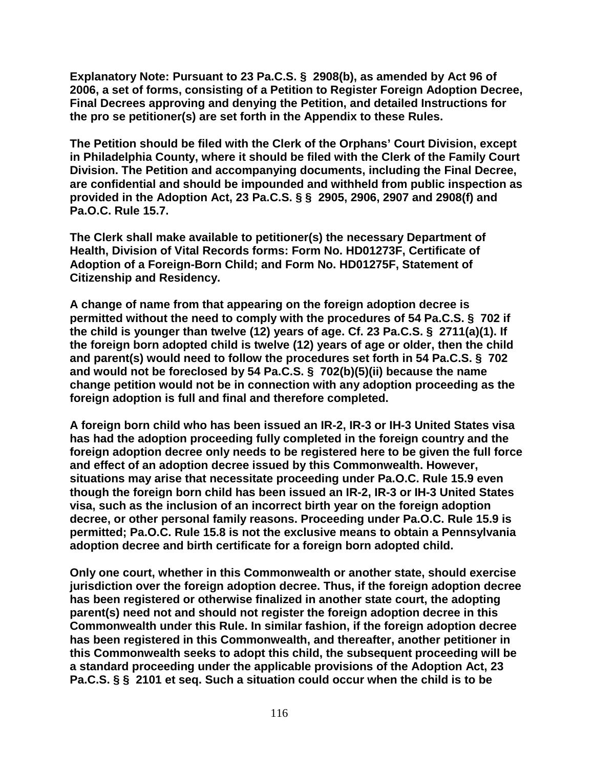**Explanatory Note: Pursuant to 23 Pa.C.S. § 2908(b), as amended by Act 96 of 2006, a set of forms, consisting of a Petition to Register Foreign Adoption Decree, Final Decrees approving and denying the Petition, and detailed Instructions for the pro se petitioner(s) are set forth in the Appendix to these Rules.** 

**The Petition should be filed with the Clerk of the Orphans' Court Division, except in Philadelphia County, where it should be filed with the Clerk of the Family Court Division. The Petition and accompanying documents, including the Final Decree, are confidential and should be impounded and withheld from public inspection as provided in the Adoption Act, 23 Pa.C.S. § § 2905, 2906, 2907 and 2908(f) and Pa.O.C. Rule 15.7.**

**The Clerk shall make available to petitioner(s) the necessary Department of Health, Division of Vital Records forms: Form No. HD01273F, Certificate of Adoption of a Foreign-Born Child; and Form No. HD01275F, Statement of Citizenship and Residency.**

**A change of name from that appearing on the foreign adoption decree is permitted without the need to comply with the procedures of 54 Pa.C.S. § 702 if the child is younger than twelve (12) years of age. Cf. 23 Pa.C.S. § 2711(a)(1). If the foreign born adopted child is twelve (12) years of age or older, then the child and parent(s) would need to follow the procedures set forth in 54 Pa.C.S. § 702 and would not be foreclosed by 54 Pa.C.S. § 702(b)(5)(ii) because the name change petition would not be in connection with any adoption proceeding as the foreign adoption is full and final and therefore completed.**

**A foreign born child who has been issued an IR-2, IR-3 or IH-3 United States visa has had the adoption proceeding fully completed in the foreign country and the foreign adoption decree only needs to be registered here to be given the full force and effect of an adoption decree issued by this Commonwealth. However, situations may arise that necessitate proceeding under Pa.O.C. Rule 15.9 even though the foreign born child has been issued an IR-2, IR-3 or IH-3 United States visa, such as the inclusion of an incorrect birth year on the foreign adoption decree, or other personal family reasons. Proceeding under Pa.O.C. Rule 15.9 is permitted; Pa.O.C. Rule 15.8 is not the exclusive means to obtain a Pennsylvania adoption decree and birth certificate for a foreign born adopted child.**

**Only one court, whether in this Commonwealth or another state, should exercise jurisdiction over the foreign adoption decree. Thus, if the foreign adoption decree has been registered or otherwise finalized in another state court, the adopting parent(s) need not and should not register the foreign adoption decree in this Commonwealth under this Rule. In similar fashion, if the foreign adoption decree has been registered in this Commonwealth, and thereafter, another petitioner in this Commonwealth seeks to adopt this child, the subsequent proceeding will be a standard proceeding under the applicable provisions of the Adoption Act, 23 Pa.C.S. § § 2101 et seq. Such a situation could occur when the child is to be**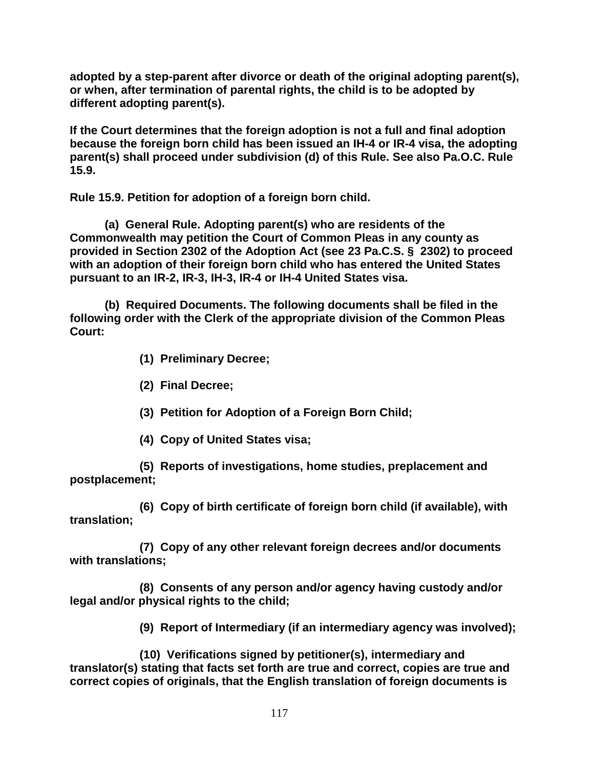**adopted by a step-parent after divorce or death of the original adopting parent(s), or when, after termination of parental rights, the child is to be adopted by different adopting parent(s).**

**If the Court determines that the foreign adoption is not a full and final adoption because the foreign born child has been issued an IH-4 or IR-4 visa, the adopting parent(s) shall proceed under subdivision (d) of this Rule. See also Pa.O.C. Rule 15.9.**

**Rule 15.9. Petition for adoption of a foreign born child.**

**(a) General Rule. Adopting parent(s) who are residents of the Commonwealth may petition the Court of Common Pleas in any county as provided in Section 2302 of the Adoption Act (see 23 Pa.C.S. § 2302) to proceed with an adoption of their foreign born child who has entered the United States pursuant to an IR-2, IR-3, IH-3, IR-4 or IH-4 United States visa.**

**(b) Required Documents. The following documents shall be filed in the following order with the Clerk of the appropriate division of the Common Pleas Court:**

 **(1) Preliminary Decree;**

 **(2) Final Decree;**

 **(3) Petition for Adoption of a Foreign Born Child;**

 **(4) Copy of United States visa;**

 **(5) Reports of investigations, home studies, preplacement and postplacement;**

 **(6) Copy of birth certificate of foreign born child (if available), with translation;**

 **(7) Copy of any other relevant foreign decrees and/or documents with translations;**

 **(8) Consents of any person and/or agency having custody and/or legal and/or physical rights to the child;**

 **(9) Report of Intermediary (if an intermediary agency was involved);**

 **(10) Verifications signed by petitioner(s), intermediary and translator(s) stating that facts set forth are true and correct, copies are true and correct copies of originals, that the English translation of foreign documents is**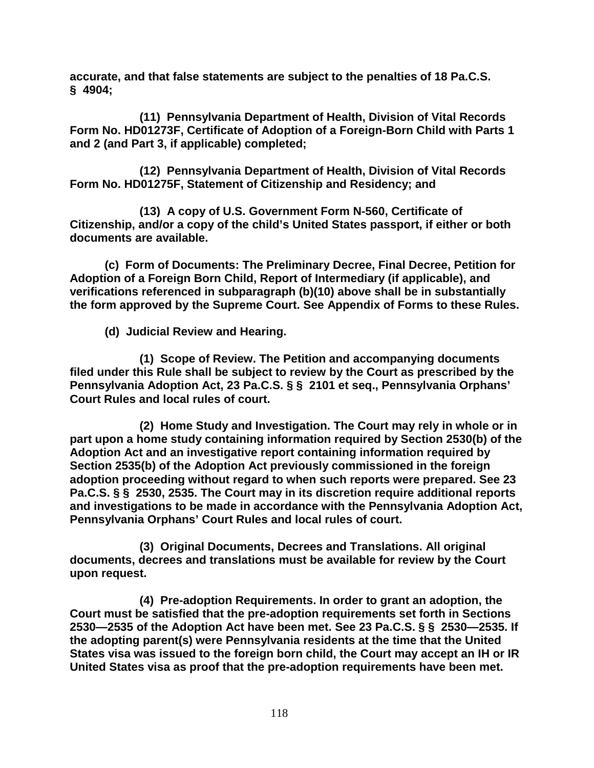**accurate, and that false statements are subject to the penalties of 18 Pa.C.S. § 4904;**

 **(11) Pennsylvania Department of Health, Division of Vital Records Form No. HD01273F, Certificate of Adoption of a Foreign-Born Child with Parts 1 and 2 (and Part 3, if applicable) completed;**

 **(12) Pennsylvania Department of Health, Division of Vital Records Form No. HD01275F, Statement of Citizenship and Residency; and**

 **(13) A copy of U.S. Government Form N-560, Certificate of Citizenship, and/or a copy of the child's United States passport, if either or both documents are available.**

**(c) Form of Documents: The Preliminary Decree, Final Decree, Petition for Adoption of a Foreign Born Child, Report of Intermediary (if applicable), and verifications referenced in subparagraph (b)(10) above shall be in substantially the form approved by the Supreme Court. See Appendix of Forms to these Rules.**

**(d) Judicial Review and Hearing.**

 **(1) Scope of Review. The Petition and accompanying documents filed under this Rule shall be subject to review by the Court as prescribed by the Pennsylvania Adoption Act, 23 Pa.C.S. § § 2101 et seq., Pennsylvania Orphans' Court Rules and local rules of court.**

 **(2) Home Study and Investigation. The Court may rely in whole or in part upon a home study containing information required by Section 2530(b) of the Adoption Act and an investigative report containing information required by Section 2535(b) of the Adoption Act previously commissioned in the foreign adoption proceeding without regard to when such reports were prepared. See 23 Pa.C.S. § § 2530, 2535. The Court may in its discretion require additional reports and investigations to be made in accordance with the Pennsylvania Adoption Act, Pennsylvania Orphans' Court Rules and local rules of court.**

 **(3) Original Documents, Decrees and Translations. All original documents, decrees and translations must be available for review by the Court upon request.**

 **(4) Pre-adoption Requirements. In order to grant an adoption, the Court must be satisfied that the pre-adoption requirements set forth in Sections 2530—2535 of the Adoption Act have been met. See 23 Pa.C.S. § § 2530—2535. If the adopting parent(s) were Pennsylvania residents at the time that the United States visa was issued to the foreign born child, the Court may accept an IH or IR United States visa as proof that the pre-adoption requirements have been met.**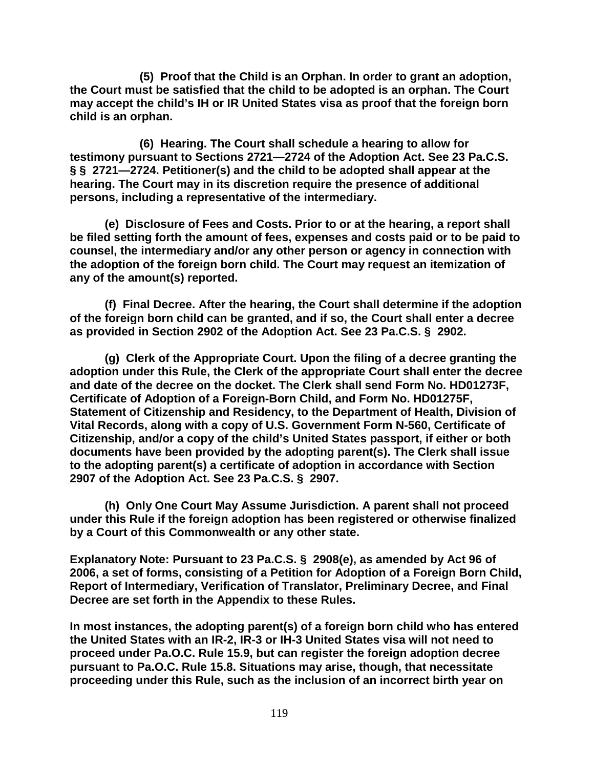**(5) Proof that the Child is an Orphan. In order to grant an adoption, the Court must be satisfied that the child to be adopted is an orphan. The Court may accept the child's IH or IR United States visa as proof that the foreign born child is an orphan.**

 **(6) Hearing. The Court shall schedule a hearing to allow for testimony pursuant to Sections 2721—2724 of the Adoption Act. See 23 Pa.C.S. § § 2721—2724. Petitioner(s) and the child to be adopted shall appear at the hearing. The Court may in its discretion require the presence of additional persons, including a representative of the intermediary.**

**(e) Disclosure of Fees and Costs. Prior to or at the hearing, a report shall be filed setting forth the amount of fees, expenses and costs paid or to be paid to counsel, the intermediary and/or any other person or agency in connection with the adoption of the foreign born child. The Court may request an itemization of any of the amount(s) reported.**

**(f) Final Decree. After the hearing, the Court shall determine if the adoption of the foreign born child can be granted, and if so, the Court shall enter a decree as provided in Section 2902 of the Adoption Act. See 23 Pa.C.S. § 2902.**

**(g) Clerk of the Appropriate Court. Upon the filing of a decree granting the adoption under this Rule, the Clerk of the appropriate Court shall enter the decree and date of the decree on the docket. The Clerk shall send Form No. HD01273F, Certificate of Adoption of a Foreign-Born Child, and Form No. HD01275F, Statement of Citizenship and Residency, to the Department of Health, Division of Vital Records, along with a copy of U.S. Government Form N-560, Certificate of Citizenship, and/or a copy of the child's United States passport, if either or both documents have been provided by the adopting parent(s). The Clerk shall issue to the adopting parent(s) a certificate of adoption in accordance with Section 2907 of the Adoption Act. See 23 Pa.C.S. § 2907.**

**(h) Only One Court May Assume Jurisdiction. A parent shall not proceed under this Rule if the foreign adoption has been registered or otherwise finalized by a Court of this Commonwealth or any other state.**

**Explanatory Note: Pursuant to 23 Pa.C.S. § 2908(e), as amended by Act 96 of 2006, a set of forms, consisting of a Petition for Adoption of a Foreign Born Child, Report of Intermediary, Verification of Translator, Preliminary Decree, and Final Decree are set forth in the Appendix to these Rules.**

**In most instances, the adopting parent(s) of a foreign born child who has entered the United States with an IR-2, IR-3 or IH-3 United States visa will not need to proceed under Pa.O.C. Rule 15.9, but can register the foreign adoption decree pursuant to Pa.O.C. Rule 15.8. Situations may arise, though, that necessitate proceeding under this Rule, such as the inclusion of an incorrect birth year on**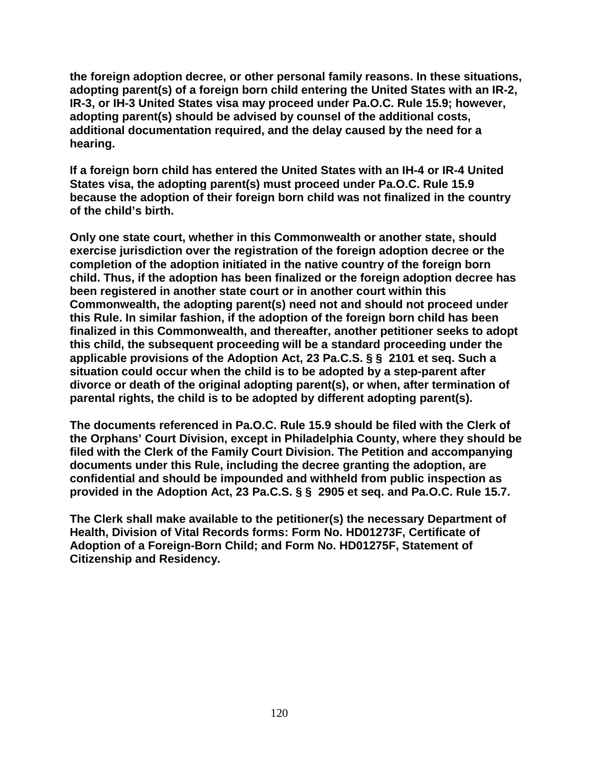**the foreign adoption decree, or other personal family reasons. In these situations, adopting parent(s) of a foreign born child entering the United States with an IR-2, IR-3, or IH-3 United States visa may proceed under Pa.O.C. Rule 15.9; however, adopting parent(s) should be advised by counsel of the additional costs, additional documentation required, and the delay caused by the need for a hearing.**

**If a foreign born child has entered the United States with an IH-4 or IR-4 United States visa, the adopting parent(s) must proceed under Pa.O.C. Rule 15.9 because the adoption of their foreign born child was not finalized in the country of the child's birth.**

**Only one state court, whether in this Commonwealth or another state, should exercise jurisdiction over the registration of the foreign adoption decree or the completion of the adoption initiated in the native country of the foreign born child. Thus, if the adoption has been finalized or the foreign adoption decree has been registered in another state court or in another court within this Commonwealth, the adopting parent(s) need not and should not proceed under this Rule. In similar fashion, if the adoption of the foreign born child has been finalized in this Commonwealth, and thereafter, another petitioner seeks to adopt this child, the subsequent proceeding will be a standard proceeding under the applicable provisions of the Adoption Act, 23 Pa.C.S. § § 2101 et seq. Such a situation could occur when the child is to be adopted by a step-parent after divorce or death of the original adopting parent(s), or when, after termination of parental rights, the child is to be adopted by different adopting parent(s).**

**The documents referenced in Pa.O.C. Rule 15.9 should be filed with the Clerk of the Orphans' Court Division, except in Philadelphia County, where they should be filed with the Clerk of the Family Court Division. The Petition and accompanying documents under this Rule, including the decree granting the adoption, are confidential and should be impounded and withheld from public inspection as provided in the Adoption Act, 23 Pa.C.S. § § 2905 et seq. and Pa.O.C. Rule 15.7.**

**The Clerk shall make available to the petitioner(s) the necessary Department of Health, Division of Vital Records forms: Form No. HD01273F, Certificate of Adoption of a Foreign-Born Child; and Form No. HD01275F, Statement of Citizenship and Residency.**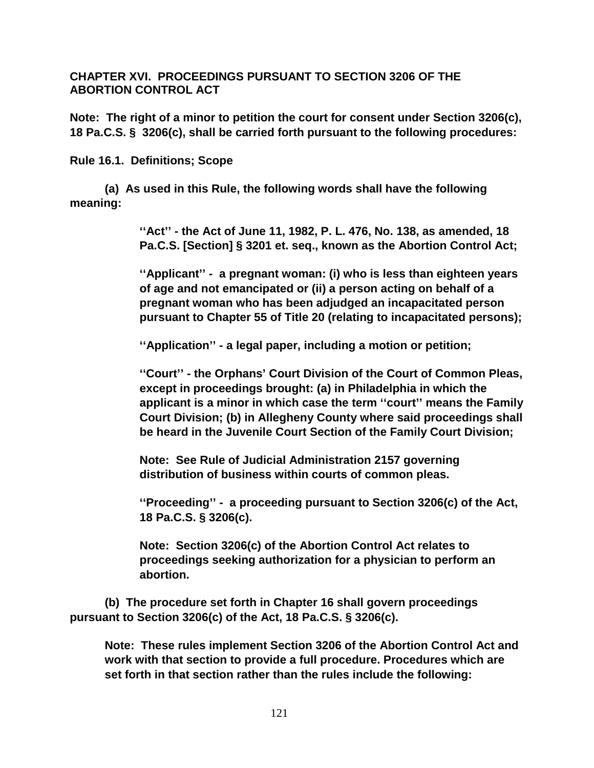**CHAPTER XVI. PROCEEDINGS PURSUANT TO SECTION 3206 OF THE ABORTION CONTROL ACT**

**Note: The right of a minor to petition the court for consent under Section 3206(c), 18 Pa.C.S. § 3206(c), shall be carried forth pursuant to the following procedures:**

**Rule 16.1. Definitions; Scope**

**(a) As used in this Rule, the following words shall have the following meaning:**

> **''Act'' - the Act of June 11, 1982, P. L. 476, No. 138, as amended, 18 Pa.C.S. [Section] § 3201 et. seq., known as the Abortion Control Act;**

> **''Applicant'' - a pregnant woman: (i) who is less than eighteen years of age and not emancipated or (ii) a person acting on behalf of a pregnant woman who has been adjudged an incapacitated person pursuant to Chapter 55 of Title 20 (relating to incapacitated persons);**

**''Application'' - a legal paper, including a motion or petition;**

**''Court'' - the Orphans' Court Division of the Court of Common Pleas, except in proceedings brought: (a) in Philadelphia in which the applicant is a minor in which case the term ''court'' means the Family Court Division; (b) in Allegheny County where said proceedings shall be heard in the Juvenile Court Section of the Family Court Division;**

**Note: See Rule of Judicial Administration 2157 governing distribution of business within courts of common pleas.**

**''Proceeding'' - a proceeding pursuant to Section 3206(c) of the Act, 18 Pa.C.S. § 3206(c).**

**Note: Section 3206(c) of the Abortion Control Act relates to proceedings seeking authorization for a physician to perform an abortion.**

**(b) The procedure set forth in Chapter 16 shall govern proceedings pursuant to Section 3206(c) of the Act, 18 Pa.C.S. § 3206(c).**

**Note: These rules implement Section 3206 of the Abortion Control Act and work with that section to provide a full procedure. Procedures which are set forth in that section rather than the rules include the following:**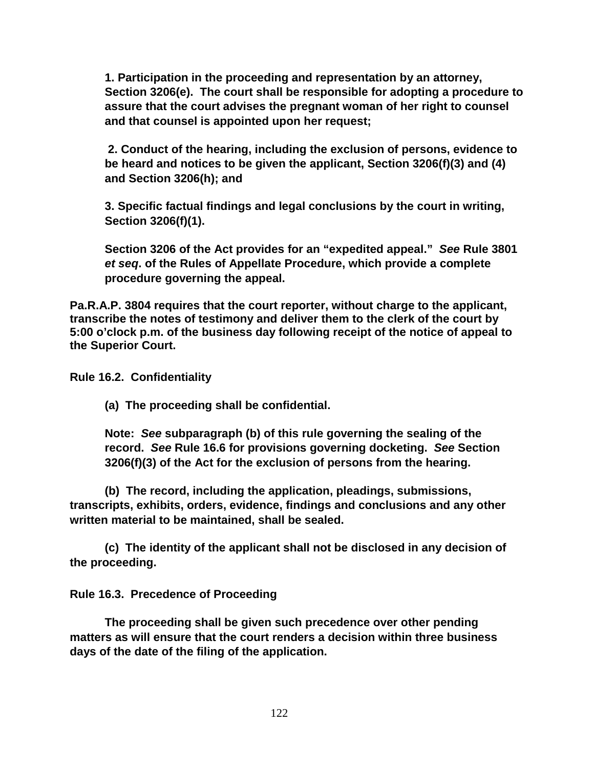**1. Participation in the proceeding and representation by an attorney, Section 3206(e). The court shall be responsible for adopting a procedure to assure that the court advises the pregnant woman of her right to counsel and that counsel is appointed upon her request;**

**2. Conduct of the hearing, including the exclusion of persons, evidence to be heard and notices to be given the applicant, Section 3206(f)(3) and (4) and Section 3206(h); and**

**3. Specific factual findings and legal conclusions by the court in writing, Section 3206(f)(1).**

**Section 3206 of the Act provides for an "expedited appeal."** *See* **Rule 3801**  *et seq***. of the Rules of Appellate Procedure, which provide a complete procedure governing the appeal.**

**Pa.R.A.P. 3804 requires that the court reporter, without charge to the applicant, transcribe the notes of testimony and deliver them to the clerk of the court by 5:00 o'clock p.m. of the business day following receipt of the notice of appeal to the Superior Court.**

**Rule 16.2. Confidentiality**

**(a) The proceeding shall be confidential.**

**Note:** *See* **subparagraph (b) of this rule governing the sealing of the record.** *See* **Rule 16.6 for provisions governing docketing.** *See* **Section 3206(f)(3) of the Act for the exclusion of persons from the hearing.**

**(b) The record, including the application, pleadings, submissions, transcripts, exhibits, orders, evidence, findings and conclusions and any other written material to be maintained, shall be sealed.**

**(c) The identity of the applicant shall not be disclosed in any decision of the proceeding.**

**Rule 16.3. Precedence of Proceeding**

**The proceeding shall be given such precedence over other pending matters as will ensure that the court renders a decision within three business days of the date of the filing of the application.**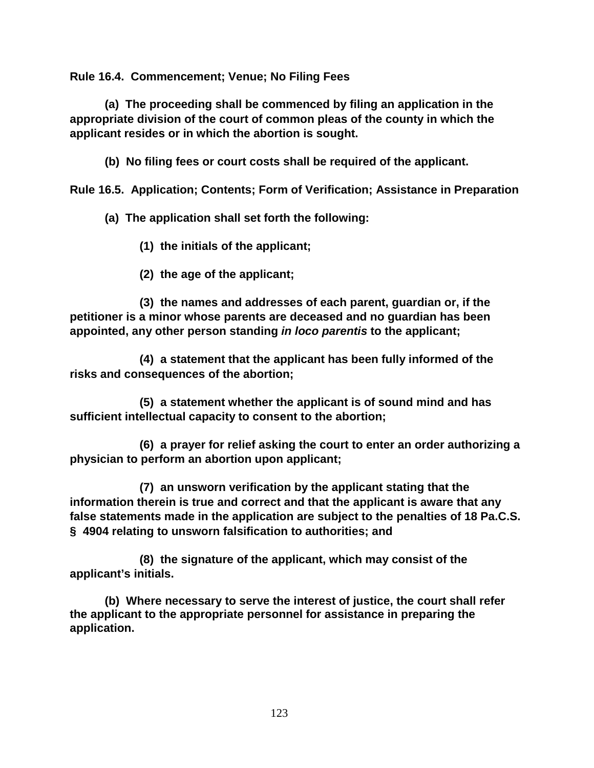**Rule 16.4. Commencement; Venue; No Filing Fees**

**(a) The proceeding shall be commenced by filing an application in the appropriate division of the court of common pleas of the county in which the applicant resides or in which the abortion is sought.**

**(b) No filing fees or court costs shall be required of the applicant.**

**Rule 16.5. Application; Contents; Form of Verification; Assistance in Preparation**

- **(a) The application shall set forth the following:**
	- **(1) the initials of the applicant;**
	- **(2) the age of the applicant;**

**(3) the names and addresses of each parent, guardian or, if the petitioner is a minor whose parents are deceased and no guardian has been appointed, any other person standing** *in loco parentis* **to the applicant;**

**(4) a statement that the applicant has been fully informed of the risks and consequences of the abortion;**

**(5) a statement whether the applicant is of sound mind and has sufficient intellectual capacity to consent to the abortion;**

**(6) a prayer for relief asking the court to enter an order authorizing a physician to perform an abortion upon applicant;**

**(7) an unsworn verification by the applicant stating that the information therein is true and correct and that the applicant is aware that any false statements made in the application are subject to the penalties of 18 Pa.C.S. § 4904 relating to unsworn falsification to authorities; and**

**(8) the signature of the applicant, which may consist of the applicant's initials.**

**(b) Where necessary to serve the interest of justice, the court shall refer the applicant to the appropriate personnel for assistance in preparing the application.**